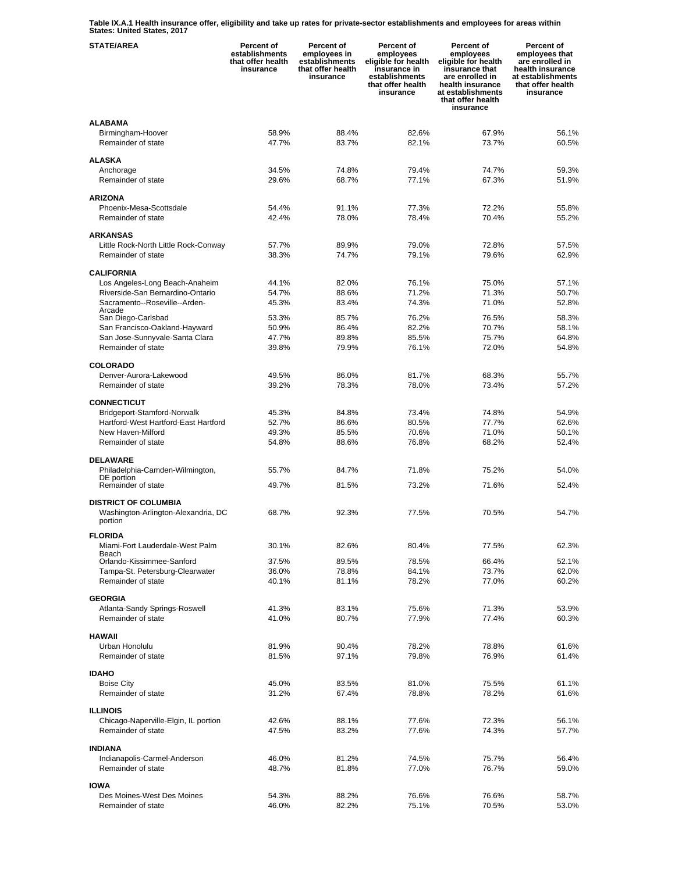**Table IX.A.1 Health insurance offer, eligibility and take up rates for private-sector establishments and employees for areas within States: United States, 2017** 

| <b>STATE/AREA</b>                                          | Percent of<br>establishments<br>that offer health<br>insurance | Percent of<br>employees in<br>establishments<br>that offer health<br>insurance | Percent of<br>employees<br>eligible for health<br>insurance in<br>establishments<br>that offer health<br>insurance | Percent of<br>employees<br>eligible for health<br>insurance that<br>are enrolled in<br>health insurance<br>at establishments<br>that offer health<br>insurance | Percent of<br>employees that<br>are enrolled in<br>health insurance<br>at establishments<br>that offer health<br>insurance |
|------------------------------------------------------------|----------------------------------------------------------------|--------------------------------------------------------------------------------|--------------------------------------------------------------------------------------------------------------------|----------------------------------------------------------------------------------------------------------------------------------------------------------------|----------------------------------------------------------------------------------------------------------------------------|
| <b>ALABAMA</b>                                             |                                                                |                                                                                |                                                                                                                    |                                                                                                                                                                |                                                                                                                            |
| Birmingham-Hoover                                          | 58.9%                                                          | 88.4%                                                                          | 82.6%                                                                                                              | 67.9%                                                                                                                                                          | 56.1%                                                                                                                      |
| Remainder of state                                         | 47.7%                                                          | 83.7%                                                                          | 82.1%                                                                                                              | 73.7%                                                                                                                                                          | 60.5%                                                                                                                      |
|                                                            |                                                                |                                                                                |                                                                                                                    |                                                                                                                                                                |                                                                                                                            |
| <b>ALASKA</b>                                              |                                                                |                                                                                |                                                                                                                    |                                                                                                                                                                |                                                                                                                            |
| Anchorage<br>Remainder of state                            | 34.5%<br>29.6%                                                 | 74.8%<br>68.7%                                                                 | 79.4%<br>77.1%                                                                                                     | 74.7%<br>67.3%                                                                                                                                                 | 59.3%<br>51.9%                                                                                                             |
|                                                            |                                                                |                                                                                |                                                                                                                    |                                                                                                                                                                |                                                                                                                            |
| <b>ARIZONA</b>                                             |                                                                |                                                                                |                                                                                                                    |                                                                                                                                                                |                                                                                                                            |
| Phoenix-Mesa-Scottsdale                                    | 54.4%                                                          | 91.1%                                                                          | 77.3%                                                                                                              | 72.2%                                                                                                                                                          | 55.8%                                                                                                                      |
| Remainder of state                                         | 42.4%                                                          | 78.0%                                                                          | 78.4%                                                                                                              | 70.4%                                                                                                                                                          | 55.2%                                                                                                                      |
|                                                            |                                                                |                                                                                |                                                                                                                    |                                                                                                                                                                |                                                                                                                            |
| <b>ARKANSAS</b>                                            |                                                                |                                                                                |                                                                                                                    |                                                                                                                                                                |                                                                                                                            |
| Little Rock-North Little Rock-Conway<br>Remainder of state | 57.7%                                                          | 89.9%<br>74.7%                                                                 | 79.0%                                                                                                              | 72.8%<br>79.6%                                                                                                                                                 | 57.5%                                                                                                                      |
|                                                            | 38.3%                                                          |                                                                                | 79.1%                                                                                                              |                                                                                                                                                                | 62.9%                                                                                                                      |
| <b>CALIFORNIA</b>                                          |                                                                |                                                                                |                                                                                                                    |                                                                                                                                                                |                                                                                                                            |
| Los Angeles-Long Beach-Anaheim                             | 44.1%                                                          | 82.0%                                                                          | 76.1%                                                                                                              | 75.0%                                                                                                                                                          | 57.1%                                                                                                                      |
| Riverside-San Bernardino-Ontario                           | 54.7%                                                          | 88.6%                                                                          | 71.2%                                                                                                              | 71.3%                                                                                                                                                          | 50.7%                                                                                                                      |
| Sacramento--Roseville--Arden-                              | 45.3%                                                          | 83.4%                                                                          | 74.3%                                                                                                              | 71.0%                                                                                                                                                          | 52.8%                                                                                                                      |
| Arcade<br>San Diego-Carlsbad                               | 53.3%                                                          | 85.7%                                                                          | 76.2%                                                                                                              | 76.5%                                                                                                                                                          | 58.3%                                                                                                                      |
| San Francisco-Oakland-Hayward                              | 50.9%                                                          | 86.4%                                                                          | 82.2%                                                                                                              | 70.7%                                                                                                                                                          | 58.1%                                                                                                                      |
| San Jose-Sunnyvale-Santa Clara                             | 47.7%                                                          | 89.8%                                                                          | 85.5%                                                                                                              | 75.7%                                                                                                                                                          | 64.8%                                                                                                                      |
| Remainder of state                                         | 39.8%                                                          | 79.9%                                                                          | 76.1%                                                                                                              | 72.0%                                                                                                                                                          | 54.8%                                                                                                                      |
|                                                            |                                                                |                                                                                |                                                                                                                    |                                                                                                                                                                |                                                                                                                            |
| <b>COLORADO</b>                                            |                                                                |                                                                                |                                                                                                                    |                                                                                                                                                                |                                                                                                                            |
| Denver-Aurora-Lakewood                                     | 49.5%                                                          | 86.0%                                                                          | 81.7%                                                                                                              | 68.3%                                                                                                                                                          | 55.7%                                                                                                                      |
| Remainder of state                                         | 39.2%                                                          | 78.3%                                                                          | 78.0%                                                                                                              | 73.4%                                                                                                                                                          | 57.2%                                                                                                                      |
| <b>CONNECTICUT</b>                                         |                                                                |                                                                                |                                                                                                                    |                                                                                                                                                                |                                                                                                                            |
| Bridgeport-Stamford-Norwalk                                | 45.3%                                                          | 84.8%                                                                          | 73.4%                                                                                                              | 74.8%                                                                                                                                                          | 54.9%                                                                                                                      |
| Hartford-West Hartford-East Hartford                       | 52.7%                                                          | 86.6%                                                                          | 80.5%                                                                                                              | 77.7%                                                                                                                                                          | 62.6%                                                                                                                      |
| New Haven-Milford                                          | 49.3%                                                          | 85.5%                                                                          | 70.6%                                                                                                              | 71.0%                                                                                                                                                          | 50.1%                                                                                                                      |
| Remainder of state                                         | 54.8%                                                          | 88.6%                                                                          | 76.8%                                                                                                              | 68.2%                                                                                                                                                          | 52.4%                                                                                                                      |
|                                                            |                                                                |                                                                                |                                                                                                                    |                                                                                                                                                                |                                                                                                                            |
| <b>DELAWARE</b>                                            |                                                                |                                                                                |                                                                                                                    |                                                                                                                                                                |                                                                                                                            |
| Philadelphia-Camden-Wilmington,<br>DE portion              | 55.7%                                                          | 84.7%                                                                          | 71.8%                                                                                                              | 75.2%                                                                                                                                                          | 54.0%                                                                                                                      |
| Remainder of state                                         | 49.7%                                                          | 81.5%                                                                          | 73.2%                                                                                                              | 71.6%                                                                                                                                                          | 52.4%                                                                                                                      |
|                                                            |                                                                |                                                                                |                                                                                                                    |                                                                                                                                                                |                                                                                                                            |
| <b>DISTRICT OF COLUMBIA</b>                                |                                                                |                                                                                |                                                                                                                    |                                                                                                                                                                |                                                                                                                            |
| Washington-Arlington-Alexandria, DC<br>portion             | 68.7%                                                          | 92.3%                                                                          | 77.5%                                                                                                              | 70.5%                                                                                                                                                          | 54.7%                                                                                                                      |
|                                                            |                                                                |                                                                                |                                                                                                                    |                                                                                                                                                                |                                                                                                                            |
| <b>FLORIDA</b>                                             |                                                                |                                                                                |                                                                                                                    |                                                                                                                                                                |                                                                                                                            |
| Miami-Fort Lauderdale-West Palm<br>Beach                   | 30.1%                                                          | 82.6%                                                                          | 80.4%                                                                                                              | 77.5%                                                                                                                                                          | 62.3%                                                                                                                      |
| Orlando-Kissimmee-Sanford                                  | 37.5%                                                          | 89.5%                                                                          | 78.5%                                                                                                              | 66.4%                                                                                                                                                          | 52.1%                                                                                                                      |
| Tampa-St. Petersburg-Clearwater                            | 36.0%                                                          | 78.8%                                                                          | 84.1%                                                                                                              | 73.7%                                                                                                                                                          | 62.0%                                                                                                                      |
| Remainder of state                                         | 40.1%                                                          | 81.1%                                                                          | 78.2%                                                                                                              | 77.0%                                                                                                                                                          | 60.2%                                                                                                                      |
|                                                            |                                                                |                                                                                |                                                                                                                    |                                                                                                                                                                |                                                                                                                            |
| <b>GEORGIA</b>                                             |                                                                | 83.1%                                                                          | 75.6%                                                                                                              |                                                                                                                                                                |                                                                                                                            |
| Atlanta-Sandy Springs-Roswell<br>Remainder of state        | 41.3%<br>41.0%                                                 | 80.7%                                                                          | 77.9%                                                                                                              | 71.3%<br>77.4%                                                                                                                                                 | 53.9%<br>60.3%                                                                                                             |
|                                                            |                                                                |                                                                                |                                                                                                                    |                                                                                                                                                                |                                                                                                                            |
| <b>HAWAII</b>                                              |                                                                |                                                                                |                                                                                                                    |                                                                                                                                                                |                                                                                                                            |
| Urban Honolulu                                             | 81.9%                                                          | 90.4%                                                                          | 78.2%                                                                                                              | 78.8%                                                                                                                                                          | 61.6%                                                                                                                      |
| Remainder of state                                         | 81.5%                                                          | 97.1%                                                                          | 79.8%                                                                                                              | 76.9%                                                                                                                                                          | 61.4%                                                                                                                      |
|                                                            |                                                                |                                                                                |                                                                                                                    |                                                                                                                                                                |                                                                                                                            |
| <b>IDAHO</b><br><b>Boise City</b>                          | 45.0%                                                          | 83.5%                                                                          | 81.0%                                                                                                              | 75.5%                                                                                                                                                          | 61.1%                                                                                                                      |
| Remainder of state                                         | 31.2%                                                          | 67.4%                                                                          | 78.8%                                                                                                              | 78.2%                                                                                                                                                          | 61.6%                                                                                                                      |
|                                                            |                                                                |                                                                                |                                                                                                                    |                                                                                                                                                                |                                                                                                                            |
| <b>ILLINOIS</b>                                            |                                                                |                                                                                |                                                                                                                    |                                                                                                                                                                |                                                                                                                            |
| Chicago-Naperville-Elgin, IL portion                       | 42.6%                                                          | 88.1%                                                                          | 77.6%                                                                                                              | 72.3%                                                                                                                                                          | 56.1%                                                                                                                      |
| Remainder of state                                         | 47.5%                                                          | 83.2%                                                                          | 77.6%                                                                                                              | 74.3%                                                                                                                                                          | 57.7%                                                                                                                      |
|                                                            |                                                                |                                                                                |                                                                                                                    |                                                                                                                                                                |                                                                                                                            |
| <b>INDIANA</b>                                             |                                                                |                                                                                |                                                                                                                    |                                                                                                                                                                |                                                                                                                            |
| Indianapolis-Carmel-Anderson<br>Remainder of state         | 46.0%<br>48.7%                                                 | 81.2%<br>81.8%                                                                 | 74.5%<br>77.0%                                                                                                     | 75.7%<br>76.7%                                                                                                                                                 | 56.4%<br>59.0%                                                                                                             |
|                                                            |                                                                |                                                                                |                                                                                                                    |                                                                                                                                                                |                                                                                                                            |
| <b>IOWA</b>                                                |                                                                |                                                                                |                                                                                                                    |                                                                                                                                                                |                                                                                                                            |
| Des Moines-West Des Moines                                 | 54.3%                                                          | 88.2%                                                                          | 76.6%                                                                                                              | 76.6%                                                                                                                                                          | 58.7%                                                                                                                      |
| Remainder of state                                         | 46.0%                                                          | 82.2%                                                                          | 75.1%                                                                                                              | 70.5%                                                                                                                                                          | 53.0%                                                                                                                      |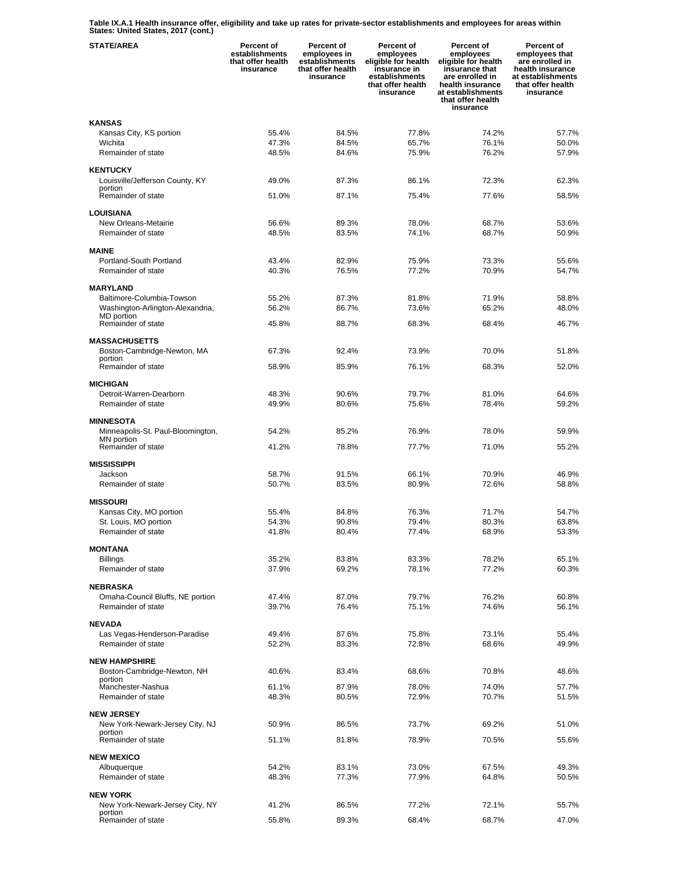**Table IX.A.1 Health insurance offer, eligibility and take up rates for private-sector establishments and employees for areas within States: United States, 2017 (cont.)** 

| <b>STATE/AREA</b>                                   | Percent of<br>establishments<br>that offer health<br>insurance | Percent of<br>employees in<br>establishments<br>that offer health<br>insurance | Percent of<br>employees<br>eligible for health<br>insurance in<br>establishments<br>that offer health<br>insurance | Percent of<br>employees<br>eligible for health<br>insurance that<br>are enrolled in<br>health insurance<br>at establishments<br>that offer health<br>insurance | Percent of<br>employees that<br>are enrolled in<br>health insurance<br>at establishments<br>that offer health<br>insurance |
|-----------------------------------------------------|----------------------------------------------------------------|--------------------------------------------------------------------------------|--------------------------------------------------------------------------------------------------------------------|----------------------------------------------------------------------------------------------------------------------------------------------------------------|----------------------------------------------------------------------------------------------------------------------------|
| <b>KANSAS</b>                                       |                                                                |                                                                                |                                                                                                                    |                                                                                                                                                                |                                                                                                                            |
| Kansas City, KS portion                             | 55.4%                                                          | 84.5%                                                                          | 77.8%                                                                                                              | 74.2%                                                                                                                                                          | 57.7%                                                                                                                      |
| Wichita                                             | 47.3%                                                          | 84.5%                                                                          | 65.7%                                                                                                              | 76.1%                                                                                                                                                          | 50.0%                                                                                                                      |
| Remainder of state                                  | 48.5%                                                          | 84.6%                                                                          | 75.9%                                                                                                              | 76.2%                                                                                                                                                          | 57.9%                                                                                                                      |
| <b>KENTUCKY</b>                                     |                                                                |                                                                                |                                                                                                                    |                                                                                                                                                                |                                                                                                                            |
| Louisville/Jefferson County, KY                     | 49.0%                                                          | 87.3%                                                                          | 86.1%                                                                                                              | 72.3%                                                                                                                                                          | 62.3%                                                                                                                      |
| portion                                             |                                                                |                                                                                |                                                                                                                    |                                                                                                                                                                |                                                                                                                            |
| Remainder of state                                  | 51.0%                                                          | 87.1%                                                                          | 75.4%                                                                                                              | 77.6%                                                                                                                                                          | 58.5%                                                                                                                      |
| <b>LOUISIANA</b>                                    |                                                                |                                                                                |                                                                                                                    |                                                                                                                                                                |                                                                                                                            |
| New Orleans-Metairie                                | 56.6%                                                          | 89.3%                                                                          | 78.0%                                                                                                              | 68.7%                                                                                                                                                          | 53.6%                                                                                                                      |
| Remainder of state                                  | 48.5%                                                          | 83.5%                                                                          | 74.1%                                                                                                              | 68.7%                                                                                                                                                          | 50.9%                                                                                                                      |
|                                                     |                                                                |                                                                                |                                                                                                                    |                                                                                                                                                                |                                                                                                                            |
| <b>MAINE</b>                                        |                                                                |                                                                                |                                                                                                                    |                                                                                                                                                                |                                                                                                                            |
| Portland-South Portland                             | 43.4%                                                          | 82.9%                                                                          | 75.9%                                                                                                              | 73.3%                                                                                                                                                          | 55.6%                                                                                                                      |
| Remainder of state                                  | 40.3%                                                          | 76.5%                                                                          | 77.2%                                                                                                              | 70.9%                                                                                                                                                          | 54.7%                                                                                                                      |
| <b>MARYLAND</b>                                     |                                                                |                                                                                |                                                                                                                    |                                                                                                                                                                |                                                                                                                            |
| Baltimore-Columbia-Towson                           | 55.2%                                                          | 87.3%                                                                          | 81.8%                                                                                                              | 71.9%                                                                                                                                                          | 58.8%                                                                                                                      |
| Washington-Arlington-Alexandria,                    | 56.2%                                                          | 86.7%                                                                          | 73.6%                                                                                                              | 65.2%                                                                                                                                                          | 48.0%                                                                                                                      |
| MD portion                                          |                                                                |                                                                                |                                                                                                                    |                                                                                                                                                                |                                                                                                                            |
| Remainder of state                                  | 45.8%                                                          | 88.7%                                                                          | 68.3%                                                                                                              | 68.4%                                                                                                                                                          | 46.7%                                                                                                                      |
| <b>MASSACHUSETTS</b>                                |                                                                |                                                                                |                                                                                                                    |                                                                                                                                                                |                                                                                                                            |
| Boston-Cambridge-Newton, MA                         | 67.3%                                                          | 92.4%                                                                          | 73.9%                                                                                                              | 70.0%                                                                                                                                                          | 51.8%                                                                                                                      |
| portion                                             |                                                                |                                                                                |                                                                                                                    |                                                                                                                                                                |                                                                                                                            |
| Remainder of state                                  | 58.9%                                                          | 85.9%                                                                          | 76.1%                                                                                                              | 68.3%                                                                                                                                                          | 52.0%                                                                                                                      |
| <b>MICHIGAN</b>                                     |                                                                |                                                                                |                                                                                                                    |                                                                                                                                                                |                                                                                                                            |
| Detroit-Warren-Dearborn                             | 48.3%                                                          | 90.6%                                                                          | 79.7%                                                                                                              | 81.0%                                                                                                                                                          | 64.6%                                                                                                                      |
| Remainder of state                                  | 49.9%                                                          | 80.6%                                                                          | 75.6%                                                                                                              | 78.4%                                                                                                                                                          | 59.2%                                                                                                                      |
|                                                     |                                                                |                                                                                |                                                                                                                    |                                                                                                                                                                |                                                                                                                            |
| <b>MINNESOTA</b>                                    |                                                                |                                                                                |                                                                                                                    |                                                                                                                                                                |                                                                                                                            |
| Minneapolis-St. Paul-Bloomington,<br>MN portion     | 54.2%                                                          | 85.2%                                                                          | 76.9%                                                                                                              | 78.0%                                                                                                                                                          | 59.9%                                                                                                                      |
| Remainder of state                                  | 41.2%                                                          | 78.8%                                                                          | 77.7%                                                                                                              | 71.0%                                                                                                                                                          | 55.2%                                                                                                                      |
|                                                     |                                                                |                                                                                |                                                                                                                    |                                                                                                                                                                |                                                                                                                            |
| <b>MISSISSIPPI</b>                                  |                                                                |                                                                                |                                                                                                                    |                                                                                                                                                                |                                                                                                                            |
| Jackson<br>Remainder of state                       | 58.7%<br>50.7%                                                 | 91.5%<br>83.5%                                                                 | 66.1%<br>80.9%                                                                                                     | 70.9%<br>72.6%                                                                                                                                                 | 46.9%<br>58.8%                                                                                                             |
|                                                     |                                                                |                                                                                |                                                                                                                    |                                                                                                                                                                |                                                                                                                            |
| <b>MISSOURI</b>                                     |                                                                |                                                                                |                                                                                                                    |                                                                                                                                                                |                                                                                                                            |
| Kansas City, MO portion                             | 55.4%                                                          | 84.8%                                                                          | 76.3%                                                                                                              | 71.7%                                                                                                                                                          | 54.7%                                                                                                                      |
| St. Louis, MO portion                               | 54.3%                                                          | 90.8%                                                                          | 79.4%                                                                                                              | 80.3%                                                                                                                                                          | 63.8%                                                                                                                      |
| Remainder of state                                  | 41.8%                                                          | 80.4%                                                                          | 77.4%                                                                                                              | 68.9%                                                                                                                                                          | 53.3%                                                                                                                      |
| <b>MONTANA</b>                                      |                                                                |                                                                                |                                                                                                                    |                                                                                                                                                                |                                                                                                                            |
| <b>Billings</b>                                     | 35.2%                                                          | 83.8%                                                                          | 83.3%                                                                                                              | 78.2%                                                                                                                                                          | 65.1%                                                                                                                      |
| Remainder of state                                  | 37.9%                                                          | 69.2%                                                                          | 78.1%                                                                                                              | 77.2%                                                                                                                                                          | 60.3%                                                                                                                      |
|                                                     |                                                                |                                                                                |                                                                                                                    |                                                                                                                                                                |                                                                                                                            |
| <b>NEBRASKA</b>                                     |                                                                |                                                                                |                                                                                                                    |                                                                                                                                                                |                                                                                                                            |
| Omaha-Council Bluffs, NE portion                    | 47.4%                                                          | 87.0%                                                                          | 79.7%                                                                                                              | 76.2%                                                                                                                                                          | 60.8%                                                                                                                      |
| Remainder of state                                  | 39.7%                                                          | 76.4%                                                                          | 75.1%                                                                                                              | 74.6%                                                                                                                                                          | 56.1%                                                                                                                      |
| <b>NEVADA</b>                                       |                                                                |                                                                                |                                                                                                                    |                                                                                                                                                                |                                                                                                                            |
| Las Vegas-Henderson-Paradise                        | 49.4%                                                          | 87.6%                                                                          | 75.8%                                                                                                              | 73.1%                                                                                                                                                          | 55.4%                                                                                                                      |
| Remainder of state                                  | 52.2%                                                          | 83.3%                                                                          | 72.8%                                                                                                              | 68.6%                                                                                                                                                          | 49.9%                                                                                                                      |
|                                                     |                                                                |                                                                                |                                                                                                                    |                                                                                                                                                                |                                                                                                                            |
| <b>NEW HAMPSHIRE</b><br>Boston-Cambridge-Newton, NH | 40.6%                                                          | 83.4%                                                                          | 68.6%                                                                                                              | 70.8%                                                                                                                                                          | 48.6%                                                                                                                      |
| portion                                             |                                                                |                                                                                |                                                                                                                    |                                                                                                                                                                |                                                                                                                            |
| Manchester-Nashua                                   | 61.1%                                                          | 87.9%                                                                          | 78.0%                                                                                                              | 74.0%                                                                                                                                                          | 57.7%                                                                                                                      |
| Remainder of state                                  | 48.3%                                                          | 80.5%                                                                          | 72.9%                                                                                                              | 70.7%                                                                                                                                                          | 51.5%                                                                                                                      |
| <b>NEW JERSEY</b>                                   |                                                                |                                                                                |                                                                                                                    |                                                                                                                                                                |                                                                                                                            |
| New York-Newark-Jersey City, NJ                     | 50.9%                                                          | 86.5%                                                                          | 73.7%                                                                                                              | 69.2%                                                                                                                                                          | 51.0%                                                                                                                      |
| portion                                             |                                                                |                                                                                |                                                                                                                    |                                                                                                                                                                |                                                                                                                            |
| Remainder of state                                  | 51.1%                                                          | 81.8%                                                                          | 78.9%                                                                                                              | 70.5%                                                                                                                                                          | 55.6%                                                                                                                      |
| <b>NEW MEXICO</b>                                   |                                                                |                                                                                |                                                                                                                    |                                                                                                                                                                |                                                                                                                            |
| Albuquerque                                         | 54.2%                                                          | 83.1%                                                                          | 73.0%                                                                                                              | 67.5%                                                                                                                                                          | 49.3%                                                                                                                      |
| Remainder of state                                  | 48.3%                                                          | 77.3%                                                                          | 77.9%                                                                                                              | 64.8%                                                                                                                                                          | 50.5%                                                                                                                      |
|                                                     |                                                                |                                                                                |                                                                                                                    |                                                                                                                                                                |                                                                                                                            |
| <b>NEW YORK</b>                                     |                                                                |                                                                                |                                                                                                                    |                                                                                                                                                                |                                                                                                                            |
| New York-Newark-Jersey City, NY<br>portion          | 41.2%                                                          | 86.5%                                                                          | 77.2%                                                                                                              | 72.1%                                                                                                                                                          | 55.7%                                                                                                                      |
| Remainder of state                                  | 55.8%                                                          | 89.3%                                                                          | 68.4%                                                                                                              | 68.7%                                                                                                                                                          | 47.0%                                                                                                                      |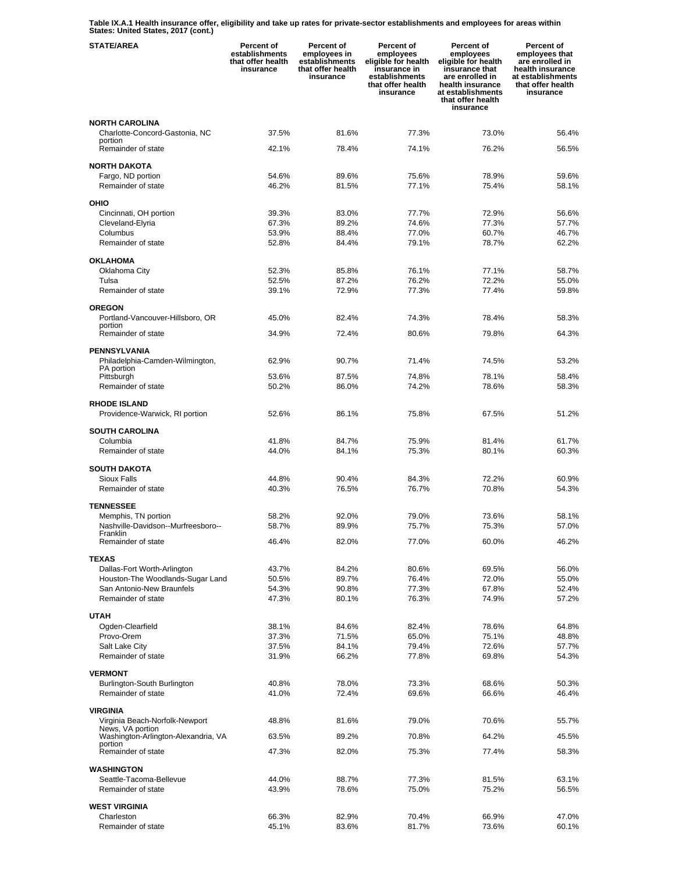**Table IX.A.1 Health insurance offer, eligibility and take up rates for private-sector establishments and employees for areas within States: United States, 2017 (cont.)** 

| <b>STATE/AREA</b>                                  | Percent of<br>establishments<br>that offer health<br>insurance | Percent of<br>employees in<br>establishments<br>that offer health<br>insurance | Percent of<br>employees<br>eligible for health<br>insurance in<br>establishments<br>that offer health<br>insurance | Percent of<br>employees<br>eligible for health<br>insurance that<br>are enrolled in<br>health insurance<br>at establishments<br>that offer health<br>insurance | Percent of<br>employees that<br>are enrolled in<br>health insurance<br>at establishments<br>that offer health<br>insurance |
|----------------------------------------------------|----------------------------------------------------------------|--------------------------------------------------------------------------------|--------------------------------------------------------------------------------------------------------------------|----------------------------------------------------------------------------------------------------------------------------------------------------------------|----------------------------------------------------------------------------------------------------------------------------|
| <b>NORTH CAROLINA</b>                              |                                                                |                                                                                |                                                                                                                    |                                                                                                                                                                |                                                                                                                            |
| Charlotte-Concord-Gastonia, NC                     | 37.5%                                                          | 81.6%                                                                          | 77.3%                                                                                                              | 73.0%                                                                                                                                                          | 56.4%                                                                                                                      |
| portion<br>Remainder of state                      | 42.1%                                                          | 78.4%                                                                          | 74.1%                                                                                                              | 76.2%                                                                                                                                                          | 56.5%                                                                                                                      |
|                                                    |                                                                |                                                                                |                                                                                                                    |                                                                                                                                                                |                                                                                                                            |
| <b>NORTH DAKOTA</b>                                |                                                                |                                                                                |                                                                                                                    |                                                                                                                                                                |                                                                                                                            |
| Fargo, ND portion<br>Remainder of state            | 54.6%<br>46.2%                                                 | 89.6%<br>81.5%                                                                 | 75.6%<br>77.1%                                                                                                     | 78.9%<br>75.4%                                                                                                                                                 | 59.6%<br>58.1%                                                                                                             |
|                                                    |                                                                |                                                                                |                                                                                                                    |                                                                                                                                                                |                                                                                                                            |
| OHIO                                               |                                                                |                                                                                |                                                                                                                    |                                                                                                                                                                |                                                                                                                            |
| Cincinnati, OH portion                             | 39.3%                                                          | 83.0%                                                                          | 77.7%<br>74.6%                                                                                                     | 72.9%<br>77.3%                                                                                                                                                 | 56.6%                                                                                                                      |
| Cleveland-Elyria<br>Columbus                       | 67.3%<br>53.9%                                                 | 89.2%<br>88.4%                                                                 | 77.0%                                                                                                              | 60.7%                                                                                                                                                          | 57.7%<br>46.7%                                                                                                             |
| Remainder of state                                 | 52.8%                                                          | 84.4%                                                                          | 79.1%                                                                                                              | 78.7%                                                                                                                                                          | 62.2%                                                                                                                      |
|                                                    |                                                                |                                                                                |                                                                                                                    |                                                                                                                                                                |                                                                                                                            |
| <b>OKLAHOMA</b>                                    |                                                                |                                                                                |                                                                                                                    |                                                                                                                                                                |                                                                                                                            |
| Oklahoma City                                      | 52.3%                                                          | 85.8%                                                                          | 76.1%                                                                                                              | 77.1%                                                                                                                                                          | 58.7%                                                                                                                      |
| Tulsa<br>Remainder of state                        | 52.5%<br>39.1%                                                 | 87.2%<br>72.9%                                                                 | 76.2%<br>77.3%                                                                                                     | 72.2%<br>77.4%                                                                                                                                                 | 55.0%<br>59.8%                                                                                                             |
|                                                    |                                                                |                                                                                |                                                                                                                    |                                                                                                                                                                |                                                                                                                            |
| <b>OREGON</b>                                      |                                                                |                                                                                |                                                                                                                    |                                                                                                                                                                |                                                                                                                            |
| Portland-Vancouver-Hillsboro, OR                   | 45.0%                                                          | 82.4%                                                                          | 74.3%                                                                                                              | 78.4%                                                                                                                                                          | 58.3%                                                                                                                      |
| portion<br>Remainder of state                      | 34.9%                                                          | 72.4%                                                                          | 80.6%                                                                                                              | 79.8%                                                                                                                                                          | 64.3%                                                                                                                      |
|                                                    |                                                                |                                                                                |                                                                                                                    |                                                                                                                                                                |                                                                                                                            |
| <b>PENNSYLVANIA</b>                                |                                                                |                                                                                | 71.4%                                                                                                              | 74.5%                                                                                                                                                          |                                                                                                                            |
| Philadelphia-Camden-Wilmington,<br>PA portion      | 62.9%                                                          | 90.7%                                                                          |                                                                                                                    |                                                                                                                                                                | 53.2%                                                                                                                      |
| Pittsburgh                                         | 53.6%                                                          | 87.5%                                                                          | 74.8%                                                                                                              | 78.1%                                                                                                                                                          | 58.4%                                                                                                                      |
| Remainder of state                                 | 50.2%                                                          | 86.0%                                                                          | 74.2%                                                                                                              | 78.6%                                                                                                                                                          | 58.3%                                                                                                                      |
| <b>RHODE ISLAND</b>                                |                                                                |                                                                                |                                                                                                                    |                                                                                                                                                                |                                                                                                                            |
| Providence-Warwick, RI portion                     | 52.6%                                                          | 86.1%                                                                          | 75.8%                                                                                                              | 67.5%                                                                                                                                                          | 51.2%                                                                                                                      |
|                                                    |                                                                |                                                                                |                                                                                                                    |                                                                                                                                                                |                                                                                                                            |
| <b>SOUTH CAROLINA</b><br>Columbia                  | 41.8%                                                          | 84.7%                                                                          | 75.9%                                                                                                              | 81.4%                                                                                                                                                          | 61.7%                                                                                                                      |
| Remainder of state                                 | 44.0%                                                          | 84.1%                                                                          | 75.3%                                                                                                              | 80.1%                                                                                                                                                          | 60.3%                                                                                                                      |
|                                                    |                                                                |                                                                                |                                                                                                                    |                                                                                                                                                                |                                                                                                                            |
| <b>SOUTH DAKOTA</b>                                |                                                                |                                                                                |                                                                                                                    |                                                                                                                                                                |                                                                                                                            |
| Sioux Falls                                        | 44.8%                                                          | 90.4%                                                                          | 84.3%                                                                                                              | 72.2%                                                                                                                                                          | 60.9%                                                                                                                      |
| Remainder of state                                 | 40.3%                                                          | 76.5%                                                                          | 76.7%                                                                                                              | 70.8%                                                                                                                                                          | 54.3%                                                                                                                      |
| <b>TENNESSEE</b>                                   |                                                                |                                                                                |                                                                                                                    |                                                                                                                                                                |                                                                                                                            |
| Memphis, TN portion                                | 58.2%                                                          | 92.0%                                                                          | 79.0%                                                                                                              | 73.6%                                                                                                                                                          | 58.1%                                                                                                                      |
| Nashville-Davidson--Murfreesboro--                 | 58.7%                                                          | 89.9%                                                                          | 75.7%                                                                                                              | 75.3%                                                                                                                                                          | 57.0%                                                                                                                      |
| Franklin<br>Remainder of state                     | 46.4%                                                          | 82.0%                                                                          | 77.0%                                                                                                              | 60.0%                                                                                                                                                          | 46.2%                                                                                                                      |
|                                                    |                                                                |                                                                                |                                                                                                                    |                                                                                                                                                                |                                                                                                                            |
| <b>TEXAS</b><br>Dallas-Fort Worth-Arlington        | 43.7%                                                          | 84.2%                                                                          | 80.6%                                                                                                              | 69.5%                                                                                                                                                          | 56.0%                                                                                                                      |
| Houston-The Woodlands-Sugar Land                   | 50.5%                                                          | 89.7%                                                                          | 76.4%                                                                                                              | 72.0%                                                                                                                                                          | 55.0%                                                                                                                      |
| San Antonio-New Braunfels                          | 54.3%                                                          | 90.8%                                                                          | 77.3%                                                                                                              | 67.8%                                                                                                                                                          | 52.4%                                                                                                                      |
| Remainder of state                                 | 47.3%                                                          | 80.1%                                                                          | 76.3%                                                                                                              | 74.9%                                                                                                                                                          | 57.2%                                                                                                                      |
|                                                    |                                                                |                                                                                |                                                                                                                    |                                                                                                                                                                |                                                                                                                            |
| <b>UTAH</b><br>Ogden-Clearfield                    | 38.1%                                                          | 84.6%                                                                          | 82.4%                                                                                                              | 78.6%                                                                                                                                                          | 64.8%                                                                                                                      |
| Provo-Orem                                         | 37.3%                                                          | 71.5%                                                                          | 65.0%                                                                                                              | 75.1%                                                                                                                                                          | 48.8%                                                                                                                      |
| Salt Lake City                                     | 37.5%                                                          | 84.1%                                                                          | 79.4%                                                                                                              | 72.6%                                                                                                                                                          | 57.7%                                                                                                                      |
| Remainder of state                                 | 31.9%                                                          | 66.2%                                                                          | 77.8%                                                                                                              | 69.8%                                                                                                                                                          | 54.3%                                                                                                                      |
| <b>VERMONT</b>                                     |                                                                |                                                                                |                                                                                                                    |                                                                                                                                                                |                                                                                                                            |
| Burlington-South Burlington                        | 40.8%                                                          | 78.0%                                                                          | 73.3%                                                                                                              | 68.6%                                                                                                                                                          | 50.3%                                                                                                                      |
| Remainder of state                                 | 41.0%                                                          | 72.4%                                                                          | 69.6%                                                                                                              | 66.6%                                                                                                                                                          | 46.4%                                                                                                                      |
|                                                    |                                                                |                                                                                |                                                                                                                    |                                                                                                                                                                |                                                                                                                            |
| <b>VIRGINIA</b>                                    |                                                                |                                                                                |                                                                                                                    |                                                                                                                                                                |                                                                                                                            |
| Virginia Beach-Norfolk-Newport<br>News, VA portion | 48.8%                                                          | 81.6%                                                                          | 79.0%                                                                                                              | 70.6%                                                                                                                                                          | 55.7%                                                                                                                      |
| Washington-Arlington-Alexandria, VA                | 63.5%                                                          | 89.2%                                                                          | 70.8%                                                                                                              | 64.2%                                                                                                                                                          | 45.5%                                                                                                                      |
| portion<br>Remainder of state                      | 47.3%                                                          | 82.0%                                                                          | 75.3%                                                                                                              | 77.4%                                                                                                                                                          | 58.3%                                                                                                                      |
|                                                    |                                                                |                                                                                |                                                                                                                    |                                                                                                                                                                |                                                                                                                            |
| <b>WASHINGTON</b>                                  |                                                                |                                                                                |                                                                                                                    |                                                                                                                                                                |                                                                                                                            |
| Seattle-Tacoma-Bellevue<br>Remainder of state      | 44.0%<br>43.9%                                                 | 88.7%<br>78.6%                                                                 | 77.3%<br>75.0%                                                                                                     | 81.5%<br>75.2%                                                                                                                                                 | 63.1%<br>56.5%                                                                                                             |
|                                                    |                                                                |                                                                                |                                                                                                                    |                                                                                                                                                                |                                                                                                                            |
| <b>WEST VIRGINIA</b>                               |                                                                |                                                                                |                                                                                                                    |                                                                                                                                                                |                                                                                                                            |
| Charleston                                         | 66.3%                                                          | 82.9%                                                                          | 70.4%                                                                                                              | 66.9%                                                                                                                                                          | 47.0%                                                                                                                      |
| Remainder of state                                 | 45.1%                                                          | 83.6%                                                                          | 81.7%                                                                                                              | 73.6%                                                                                                                                                          | 60.1%                                                                                                                      |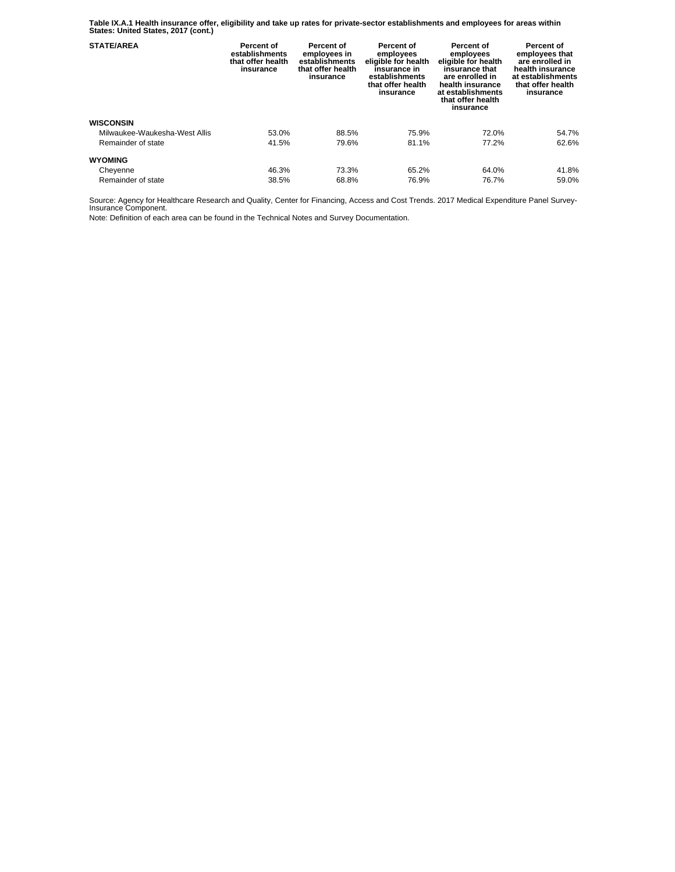**Table IX.A.1 Health insurance offer, eligibility and take up rates for private-sector establishments and employees for areas within States: United States, 2017 (cont.)** 

| <b>STATE/AREA</b>             | Percent of<br>establishments<br>that offer health<br>insurance | Percent of<br>employees in<br>establishments<br>that offer health<br>insurance | Percent of<br>employees<br>eligible for health<br>insurance in<br>establishments<br>that offer health<br>insurance | Percent of<br>employees<br>eligible for health<br>insurance that<br>are enrolled in<br>health insurance<br>at establishments<br>that offer health<br>insurance | Percent of<br>employees that<br>are enrolled in<br>health insurance<br>at establishments<br>that offer health<br>insurance |
|-------------------------------|----------------------------------------------------------------|--------------------------------------------------------------------------------|--------------------------------------------------------------------------------------------------------------------|----------------------------------------------------------------------------------------------------------------------------------------------------------------|----------------------------------------------------------------------------------------------------------------------------|
| <b>WISCONSIN</b>              |                                                                |                                                                                |                                                                                                                    |                                                                                                                                                                |                                                                                                                            |
| Milwaukee-Waukesha-West Allis | 53.0%                                                          | 88.5%                                                                          | 75.9%                                                                                                              | 72.0%                                                                                                                                                          | 54.7%                                                                                                                      |
| Remainder of state            | 41.5%                                                          | 79.6%                                                                          | 81.1%                                                                                                              | 77.2%                                                                                                                                                          | 62.6%                                                                                                                      |
| <b>WYOMING</b>                |                                                                |                                                                                |                                                                                                                    |                                                                                                                                                                |                                                                                                                            |
| Cheyenne                      | 46.3%                                                          | 73.3%                                                                          | 65.2%                                                                                                              | 64.0%                                                                                                                                                          | 41.8%                                                                                                                      |
| Remainder of state            | 38.5%                                                          | 68.8%                                                                          | 76.9%                                                                                                              | 76.7%                                                                                                                                                          | 59.0%                                                                                                                      |

Source: Agency for Healthcare Research and Quality, Center for Financing, Access and Cost Trends. 2017 Medical Expenditure Panel Survey-Insurance Component.

Note: Definition of each area can be found in the Technical Notes and Survey Documentation.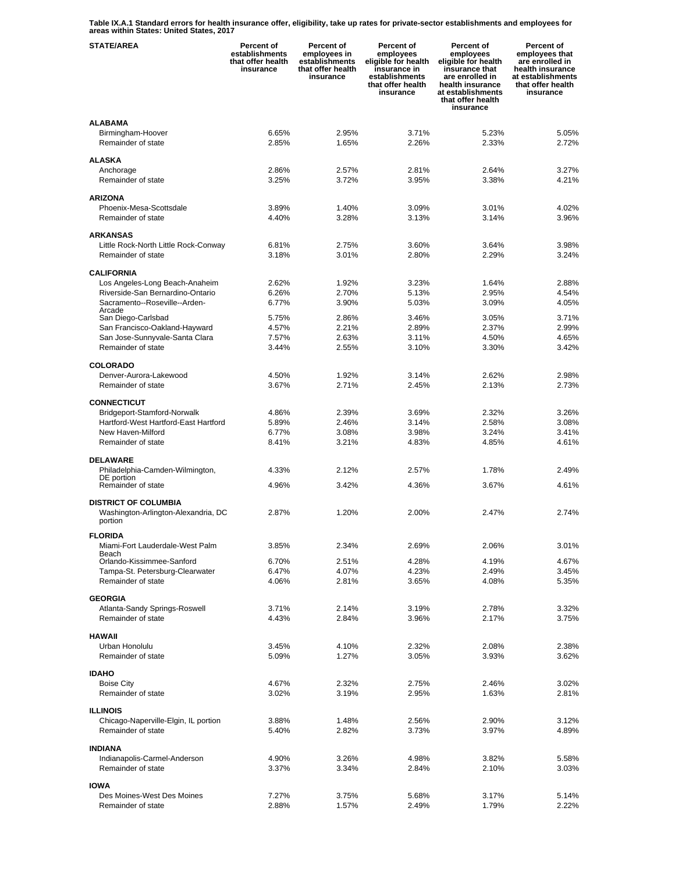**Table IX.A.1 Standard errors for health insurance offer, eligibility, take up rates for private-sector establishments and employees for areas within States: United States, 2017** 

| <b>STATE/AREA</b>                                     | Percent of<br>establishments<br>that offer health<br>insurance | Percent of<br>employees in<br>establishments<br>that offer health<br>insurance | Percent of<br>employees<br>eligible for health<br>insurance in<br>establishments<br>that offer health<br>insurance | <b>Percent of</b><br>employees<br>eligible for health<br>insurance that<br>are enrolled in<br>health insurance<br>at establishments<br>that offer health<br>insurance | Percent of<br>employees that<br>are enrolled in<br>health insurance<br>at establishments<br>that offer health<br>insurance |
|-------------------------------------------------------|----------------------------------------------------------------|--------------------------------------------------------------------------------|--------------------------------------------------------------------------------------------------------------------|-----------------------------------------------------------------------------------------------------------------------------------------------------------------------|----------------------------------------------------------------------------------------------------------------------------|
| <b>ALABAMA</b>                                        |                                                                |                                                                                |                                                                                                                    |                                                                                                                                                                       |                                                                                                                            |
| Birmingham-Hoover                                     | 6.65%                                                          | 2.95%                                                                          | 3.71%                                                                                                              | 5.23%                                                                                                                                                                 | 5.05%                                                                                                                      |
| Remainder of state                                    | 2.85%                                                          | 1.65%                                                                          | 2.26%                                                                                                              | 2.33%                                                                                                                                                                 | 2.72%                                                                                                                      |
| <b>ALASKA</b>                                         |                                                                |                                                                                |                                                                                                                    |                                                                                                                                                                       |                                                                                                                            |
| Anchorage                                             | 2.86%                                                          | 2.57%                                                                          | 2.81%                                                                                                              | 2.64%                                                                                                                                                                 | 3.27%                                                                                                                      |
| Remainder of state                                    | 3.25%                                                          | 3.72%                                                                          | 3.95%                                                                                                              | 3.38%                                                                                                                                                                 | 4.21%                                                                                                                      |
| <b>ARIZONA</b>                                        |                                                                |                                                                                |                                                                                                                    |                                                                                                                                                                       |                                                                                                                            |
| Phoenix-Mesa-Scottsdale                               | 3.89%                                                          | 1.40%                                                                          | 3.09%                                                                                                              | 3.01%                                                                                                                                                                 | 4.02%                                                                                                                      |
| Remainder of state                                    | 4.40%                                                          | 3.28%                                                                          | 3.13%                                                                                                              | 3.14%                                                                                                                                                                 | 3.96%                                                                                                                      |
| <b>ARKANSAS</b>                                       |                                                                |                                                                                |                                                                                                                    |                                                                                                                                                                       |                                                                                                                            |
| Little Rock-North Little Rock-Conway                  | 6.81%                                                          | 2.75%                                                                          | 3.60%                                                                                                              | 3.64%                                                                                                                                                                 | 3.98%                                                                                                                      |
| Remainder of state                                    | 3.18%                                                          | 3.01%                                                                          | 2.80%                                                                                                              | 2.29%                                                                                                                                                                 | 3.24%                                                                                                                      |
|                                                       |                                                                |                                                                                |                                                                                                                    |                                                                                                                                                                       |                                                                                                                            |
| <b>CALIFORNIA</b><br>Los Angeles-Long Beach-Anaheim   | 2.62%                                                          | 1.92%                                                                          | 3.23%                                                                                                              | 1.64%                                                                                                                                                                 | 2.88%                                                                                                                      |
| Riverside-San Bernardino-Ontario                      | 6.26%                                                          | 2.70%                                                                          | 5.13%                                                                                                              | 2.95%                                                                                                                                                                 | 4.54%                                                                                                                      |
| Sacramento--Roseville--Arden-                         | 6.77%                                                          | 3.90%                                                                          | 5.03%                                                                                                              | 3.09%                                                                                                                                                                 | 4.05%                                                                                                                      |
| Arcade<br>San Diego-Carlsbad                          | 5.75%                                                          | 2.86%                                                                          | 3.46%                                                                                                              | 3.05%                                                                                                                                                                 | 3.71%                                                                                                                      |
| San Francisco-Oakland-Hayward                         | 4.57%                                                          | 2.21%                                                                          | 2.89%                                                                                                              | 2.37%                                                                                                                                                                 | 2.99%                                                                                                                      |
| San Jose-Sunnyvale-Santa Clara                        | 7.57%                                                          | 2.63%                                                                          | 3.11%                                                                                                              | 4.50%                                                                                                                                                                 | 4.65%                                                                                                                      |
| Remainder of state                                    | 3.44%                                                          | 2.55%                                                                          | 3.10%                                                                                                              | 3.30%                                                                                                                                                                 | 3.42%                                                                                                                      |
| <b>COLORADO</b>                                       |                                                                |                                                                                |                                                                                                                    |                                                                                                                                                                       |                                                                                                                            |
| Denver-Aurora-Lakewood                                | 4.50%                                                          | 1.92%                                                                          | 3.14%                                                                                                              | 2.62%                                                                                                                                                                 | 2.98%                                                                                                                      |
| Remainder of state                                    | 3.67%                                                          | 2.71%                                                                          | 2.45%                                                                                                              | 2.13%                                                                                                                                                                 | 2.73%                                                                                                                      |
|                                                       |                                                                |                                                                                |                                                                                                                    |                                                                                                                                                                       |                                                                                                                            |
| <b>CONNECTICUT</b><br>Bridgeport-Stamford-Norwalk     | 4.86%                                                          | 2.39%                                                                          | 3.69%                                                                                                              | 2.32%                                                                                                                                                                 | 3.26%                                                                                                                      |
| Hartford-West Hartford-East Hartford                  | 5.89%                                                          | 2.46%                                                                          | 3.14%                                                                                                              | 2.58%                                                                                                                                                                 | 3.08%                                                                                                                      |
| New Haven-Milford                                     | 6.77%                                                          | 3.08%                                                                          | 3.98%                                                                                                              | 3.24%                                                                                                                                                                 | 3.41%                                                                                                                      |
| Remainder of state                                    | 8.41%                                                          | 3.21%                                                                          | 4.83%                                                                                                              | 4.85%                                                                                                                                                                 | 4.61%                                                                                                                      |
| <b>DELAWARE</b>                                       |                                                                |                                                                                |                                                                                                                    |                                                                                                                                                                       |                                                                                                                            |
| Philadelphia-Camden-Wilmington,                       | 4.33%                                                          | 2.12%                                                                          | 2.57%                                                                                                              | 1.78%                                                                                                                                                                 | 2.49%                                                                                                                      |
| DE portion<br>Remainder of state                      | 4.96%                                                          | 3.42%                                                                          | 4.36%                                                                                                              | 3.67%                                                                                                                                                                 | 4.61%                                                                                                                      |
|                                                       |                                                                |                                                                                |                                                                                                                    |                                                                                                                                                                       |                                                                                                                            |
| <b>DISTRICT OF COLUMBIA</b>                           |                                                                |                                                                                |                                                                                                                    |                                                                                                                                                                       |                                                                                                                            |
| Washington-Arlington-Alexandria, DC<br>portion        | 2.87%                                                          | 1.20%                                                                          | 2.00%                                                                                                              | 2.47%                                                                                                                                                                 | 2.74%                                                                                                                      |
|                                                       |                                                                |                                                                                |                                                                                                                    |                                                                                                                                                                       |                                                                                                                            |
| <b>FLORIDA</b><br>Miami-Fort Lauderdale-West Palm     | 3.85%                                                          | 2.34%                                                                          | 2.69%                                                                                                              | 2.06%                                                                                                                                                                 | 3.01%                                                                                                                      |
| Beach                                                 |                                                                |                                                                                |                                                                                                                    |                                                                                                                                                                       |                                                                                                                            |
| Orlando-Kissimmee-Sanford                             | 6.70%                                                          | 2.51%                                                                          | 4.28%                                                                                                              | 4.19%                                                                                                                                                                 | 4.67%                                                                                                                      |
| Tampa-St. Petersburg-Clearwater<br>Remainder of state | 6.47%<br>4.06%                                                 | 4.07%<br>2.81%                                                                 | 4.23%<br>3.65%                                                                                                     | 2.49%<br>4.08%                                                                                                                                                        | 3.45%<br>5.35%                                                                                                             |
|                                                       |                                                                |                                                                                |                                                                                                                    |                                                                                                                                                                       |                                                                                                                            |
| <b>GEORGIA</b>                                        |                                                                |                                                                                |                                                                                                                    |                                                                                                                                                                       |                                                                                                                            |
| Atlanta-Sandy Springs-Roswell                         | 3.71%                                                          | 2.14%                                                                          | 3.19%                                                                                                              | 2.78%                                                                                                                                                                 | 3.32%                                                                                                                      |
| Remainder of state                                    | 4.43%                                                          | 2.84%                                                                          | 3.96%                                                                                                              | 2.17%                                                                                                                                                                 | 3.75%                                                                                                                      |
| <b>HAWAII</b>                                         |                                                                |                                                                                |                                                                                                                    |                                                                                                                                                                       |                                                                                                                            |
| Urban Honolulu                                        | 3.45%                                                          | 4.10%                                                                          | 2.32%                                                                                                              | 2.08%                                                                                                                                                                 | 2.38%                                                                                                                      |
| Remainder of state                                    | 5.09%                                                          | 1.27%                                                                          | 3.05%                                                                                                              | 3.93%                                                                                                                                                                 | 3.62%                                                                                                                      |
| <b>IDAHO</b>                                          |                                                                |                                                                                |                                                                                                                    |                                                                                                                                                                       |                                                                                                                            |
| <b>Boise City</b>                                     | 4.67%                                                          | 2.32%                                                                          | 2.75%                                                                                                              | 2.46%                                                                                                                                                                 | 3.02%                                                                                                                      |
| Remainder of state                                    | 3.02%                                                          | 3.19%                                                                          | 2.95%                                                                                                              | 1.63%                                                                                                                                                                 | 2.81%                                                                                                                      |
| <b>ILLINOIS</b>                                       |                                                                |                                                                                |                                                                                                                    |                                                                                                                                                                       |                                                                                                                            |
| Chicago-Naperville-Elgin, IL portion                  | 3.88%                                                          | 1.48%                                                                          | 2.56%                                                                                                              | 2.90%                                                                                                                                                                 | 3.12%                                                                                                                      |
| Remainder of state                                    | 5.40%                                                          | 2.82%                                                                          | 3.73%                                                                                                              | 3.97%                                                                                                                                                                 | 4.89%                                                                                                                      |
| <b>INDIANA</b>                                        |                                                                |                                                                                |                                                                                                                    |                                                                                                                                                                       |                                                                                                                            |
| Indianapolis-Carmel-Anderson                          | 4.90%                                                          | 3.26%                                                                          | 4.98%                                                                                                              | 3.82%                                                                                                                                                                 | 5.58%                                                                                                                      |
| Remainder of state                                    | 3.37%                                                          | 3.34%                                                                          | 2.84%                                                                                                              | 2.10%                                                                                                                                                                 | 3.03%                                                                                                                      |
| <b>IOWA</b>                                           |                                                                |                                                                                |                                                                                                                    |                                                                                                                                                                       |                                                                                                                            |
| Des Moines-West Des Moines                            | 7.27%                                                          | 3.75%                                                                          | 5.68%                                                                                                              | 3.17%                                                                                                                                                                 | 5.14%                                                                                                                      |
| Remainder of state                                    | 2.88%                                                          | 1.57%                                                                          | 2.49%                                                                                                              | 1.79%                                                                                                                                                                 | 2.22%                                                                                                                      |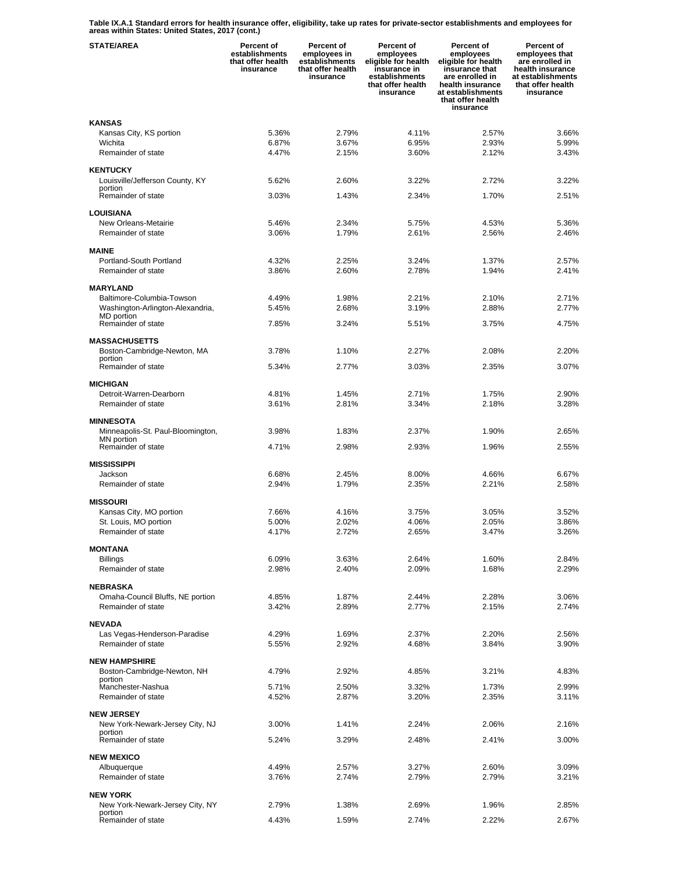**Table IX.A.1 Standard errors for health insurance offer, eligibility, take up rates for private-sector establishments and employees for areas within States: United States, 2017 (cont.)** 

| <b>STATE/AREA</b>                                   | Percent of<br>establishments<br>that offer health<br>insurance | Percent of<br>employees in<br>establishments<br>that offer health<br>insurance | Percent of<br>employees<br>eligible for health<br>insurance in<br>establishments<br>that offer health<br>insurance | <b>Percent of</b><br>employees<br>eligible for health<br>insurance that<br>are enrolled in<br>health insurance<br>at establishments<br>that offer health<br>insurance | Percent of<br>employees that<br>are enrolled in<br>health insurance<br>at establishments<br>that offer health<br>insurance |
|-----------------------------------------------------|----------------------------------------------------------------|--------------------------------------------------------------------------------|--------------------------------------------------------------------------------------------------------------------|-----------------------------------------------------------------------------------------------------------------------------------------------------------------------|----------------------------------------------------------------------------------------------------------------------------|
| <b>KANSAS</b>                                       |                                                                |                                                                                |                                                                                                                    |                                                                                                                                                                       |                                                                                                                            |
| Kansas City, KS portion                             | 5.36%                                                          | 2.79%                                                                          | 4.11%                                                                                                              | 2.57%                                                                                                                                                                 | 3.66%                                                                                                                      |
| Wichita                                             | 6.87%                                                          | 3.67%                                                                          | 6.95%                                                                                                              | 2.93%                                                                                                                                                                 | 5.99%                                                                                                                      |
| Remainder of state                                  | 4.47%                                                          | 2.15%                                                                          | 3.60%                                                                                                              | 2.12%                                                                                                                                                                 | 3.43%                                                                                                                      |
| <b>KENTUCKY</b>                                     |                                                                |                                                                                |                                                                                                                    |                                                                                                                                                                       |                                                                                                                            |
| Louisville/Jefferson County, KY                     | 5.62%                                                          | 2.60%                                                                          | 3.22%                                                                                                              | 2.72%                                                                                                                                                                 | 3.22%                                                                                                                      |
| portion                                             |                                                                |                                                                                |                                                                                                                    |                                                                                                                                                                       |                                                                                                                            |
| Remainder of state                                  | 3.03%                                                          | 1.43%                                                                          | 2.34%                                                                                                              | 1.70%                                                                                                                                                                 | 2.51%                                                                                                                      |
| <b>LOUISIANA</b>                                    |                                                                |                                                                                |                                                                                                                    |                                                                                                                                                                       |                                                                                                                            |
| New Orleans-Metairie                                | 5.46%                                                          | 2.34%                                                                          | 5.75%                                                                                                              | 4.53%                                                                                                                                                                 | 5.36%                                                                                                                      |
| Remainder of state                                  | 3.06%                                                          | 1.79%                                                                          | 2.61%                                                                                                              | 2.56%                                                                                                                                                                 | 2.46%                                                                                                                      |
|                                                     |                                                                |                                                                                |                                                                                                                    |                                                                                                                                                                       |                                                                                                                            |
| <b>MAINE</b><br>Portland-South Portland             | 4.32%                                                          | 2.25%                                                                          | 3.24%                                                                                                              | 1.37%                                                                                                                                                                 | 2.57%                                                                                                                      |
| Remainder of state                                  | 3.86%                                                          | 2.60%                                                                          | 2.78%                                                                                                              | 1.94%                                                                                                                                                                 | 2.41%                                                                                                                      |
|                                                     |                                                                |                                                                                |                                                                                                                    |                                                                                                                                                                       |                                                                                                                            |
| <b>MARYLAND</b>                                     |                                                                |                                                                                |                                                                                                                    |                                                                                                                                                                       |                                                                                                                            |
| Baltimore-Columbia-Towson                           | 4.49%                                                          | 1.98%                                                                          | 2.21%                                                                                                              | 2.10%                                                                                                                                                                 | 2.71%                                                                                                                      |
| Washington-Arlington-Alexandria,<br>MD portion      | 5.45%                                                          | 2.68%                                                                          | 3.19%                                                                                                              | 2.88%                                                                                                                                                                 | 2.77%                                                                                                                      |
| Remainder of state                                  | 7.85%                                                          | 3.24%                                                                          | 5.51%                                                                                                              | 3.75%                                                                                                                                                                 | 4.75%                                                                                                                      |
|                                                     |                                                                |                                                                                |                                                                                                                    |                                                                                                                                                                       |                                                                                                                            |
| <b>MASSACHUSETTS</b><br>Boston-Cambridge-Newton, MA | 3.78%                                                          | 1.10%                                                                          | 2.27%                                                                                                              | 2.08%                                                                                                                                                                 | 2.20%                                                                                                                      |
| portion                                             |                                                                |                                                                                |                                                                                                                    |                                                                                                                                                                       |                                                                                                                            |
| Remainder of state                                  | 5.34%                                                          | 2.77%                                                                          | 3.03%                                                                                                              | 2.35%                                                                                                                                                                 | 3.07%                                                                                                                      |
| <b>MICHIGAN</b>                                     |                                                                |                                                                                |                                                                                                                    |                                                                                                                                                                       |                                                                                                                            |
| Detroit-Warren-Dearborn                             | 4.81%                                                          | 1.45%                                                                          | 2.71%                                                                                                              | 1.75%                                                                                                                                                                 | 2.90%                                                                                                                      |
| Remainder of state                                  | 3.61%                                                          | 2.81%                                                                          | 3.34%                                                                                                              | 2.18%                                                                                                                                                                 | 3.28%                                                                                                                      |
|                                                     |                                                                |                                                                                |                                                                                                                    |                                                                                                                                                                       |                                                                                                                            |
| <b>MINNESOTA</b>                                    |                                                                |                                                                                |                                                                                                                    |                                                                                                                                                                       |                                                                                                                            |
| Minneapolis-St. Paul-Bloomington,<br>MN portion     | 3.98%                                                          | 1.83%                                                                          | 2.37%                                                                                                              | 1.90%                                                                                                                                                                 | 2.65%                                                                                                                      |
| Remainder of state                                  | 4.71%                                                          | 2.98%                                                                          | 2.93%                                                                                                              | 1.96%                                                                                                                                                                 | 2.55%                                                                                                                      |
| <b>MISSISSIPPI</b>                                  |                                                                |                                                                                |                                                                                                                    |                                                                                                                                                                       |                                                                                                                            |
| Jackson                                             | 6.68%                                                          | 2.45%                                                                          | 8.00%                                                                                                              | 4.66%                                                                                                                                                                 | 6.67%                                                                                                                      |
| Remainder of state                                  | 2.94%                                                          | 1.79%                                                                          | 2.35%                                                                                                              | 2.21%                                                                                                                                                                 | 2.58%                                                                                                                      |
|                                                     |                                                                |                                                                                |                                                                                                                    |                                                                                                                                                                       |                                                                                                                            |
| <b>MISSOURI</b>                                     |                                                                |                                                                                |                                                                                                                    | 3.05%                                                                                                                                                                 |                                                                                                                            |
| Kansas City, MO portion<br>St. Louis, MO portion    | 7.66%<br>5.00%                                                 | 4.16%<br>2.02%                                                                 | 3.75%<br>4.06%                                                                                                     | 2.05%                                                                                                                                                                 | 3.52%<br>3.86%                                                                                                             |
| Remainder of state                                  | 4.17%                                                          | 2.72%                                                                          | 2.65%                                                                                                              | 3.47%                                                                                                                                                                 | 3.26%                                                                                                                      |
|                                                     |                                                                |                                                                                |                                                                                                                    |                                                                                                                                                                       |                                                                                                                            |
| <b>MONTANA</b>                                      |                                                                |                                                                                |                                                                                                                    |                                                                                                                                                                       |                                                                                                                            |
| <b>Billings</b><br>Remainder of state               | 6.09%                                                          | 3.63%<br>2.40%                                                                 | 2.64%<br>2.09%                                                                                                     | 1.60%<br>1.68%                                                                                                                                                        | 2.84%<br>2.29%                                                                                                             |
|                                                     | 2.98%                                                          |                                                                                |                                                                                                                    |                                                                                                                                                                       |                                                                                                                            |
| <b>NEBRASKA</b>                                     |                                                                |                                                                                |                                                                                                                    |                                                                                                                                                                       |                                                                                                                            |
| Omaha-Council Bluffs, NE portion                    | 4.85%                                                          | 1.87%                                                                          | 2.44%                                                                                                              | 2.28%                                                                                                                                                                 | 3.06%                                                                                                                      |
| Remainder of state                                  | 3.42%                                                          | 2.89%                                                                          | 2.77%                                                                                                              | 2.15%                                                                                                                                                                 | 2.74%                                                                                                                      |
| <b>NEVADA</b>                                       |                                                                |                                                                                |                                                                                                                    |                                                                                                                                                                       |                                                                                                                            |
| Las Vegas-Henderson-Paradise                        | 4.29%                                                          | 1.69%                                                                          | 2.37%                                                                                                              | 2.20%                                                                                                                                                                 | 2.56%                                                                                                                      |
| Remainder of state                                  | 5.55%                                                          | 2.92%                                                                          | 4.68%                                                                                                              | 3.84%                                                                                                                                                                 | 3.90%                                                                                                                      |
|                                                     |                                                                |                                                                                |                                                                                                                    |                                                                                                                                                                       |                                                                                                                            |
| <b>NEW HAMPSHIRE</b><br>Boston-Cambridge-Newton, NH | 4.79%                                                          | 2.92%                                                                          | 4.85%                                                                                                              | 3.21%                                                                                                                                                                 | 4.83%                                                                                                                      |
| portion                                             |                                                                |                                                                                |                                                                                                                    |                                                                                                                                                                       |                                                                                                                            |
| Manchester-Nashua                                   | 5.71%                                                          | 2.50%                                                                          | 3.32%                                                                                                              | 1.73%                                                                                                                                                                 | 2.99%                                                                                                                      |
| Remainder of state                                  | 4.52%                                                          | 2.87%                                                                          | 3.20%                                                                                                              | 2.35%                                                                                                                                                                 | 3.11%                                                                                                                      |
| <b>NEW JERSEY</b>                                   |                                                                |                                                                                |                                                                                                                    |                                                                                                                                                                       |                                                                                                                            |
| New York-Newark-Jersey City, NJ                     | 3.00%                                                          | 1.41%                                                                          | 2.24%                                                                                                              | 2.06%                                                                                                                                                                 | 2.16%                                                                                                                      |
| portion<br>Remainder of state                       | 5.24%                                                          | 3.29%                                                                          | 2.48%                                                                                                              | 2.41%                                                                                                                                                                 | 3.00%                                                                                                                      |
|                                                     |                                                                |                                                                                |                                                                                                                    |                                                                                                                                                                       |                                                                                                                            |
| <b>NEW MEXICO</b>                                   |                                                                |                                                                                |                                                                                                                    |                                                                                                                                                                       |                                                                                                                            |
| Albuquerque                                         | 4.49%                                                          | 2.57%                                                                          | 3.27%                                                                                                              | 2.60%                                                                                                                                                                 | 3.09%                                                                                                                      |
| Remainder of state                                  | 3.76%                                                          | 2.74%                                                                          | 2.79%                                                                                                              | 2.79%                                                                                                                                                                 | 3.21%                                                                                                                      |
| <b>NEW YORK</b>                                     |                                                                |                                                                                |                                                                                                                    |                                                                                                                                                                       |                                                                                                                            |
| New York-Newark-Jersey City, NY                     | 2.79%                                                          | 1.38%                                                                          | 2.69%                                                                                                              | 1.96%                                                                                                                                                                 | 2.85%                                                                                                                      |
| portion<br>Remainder of state                       | 4.43%                                                          | 1.59%                                                                          | 2.74%                                                                                                              | 2.22%                                                                                                                                                                 | 2.67%                                                                                                                      |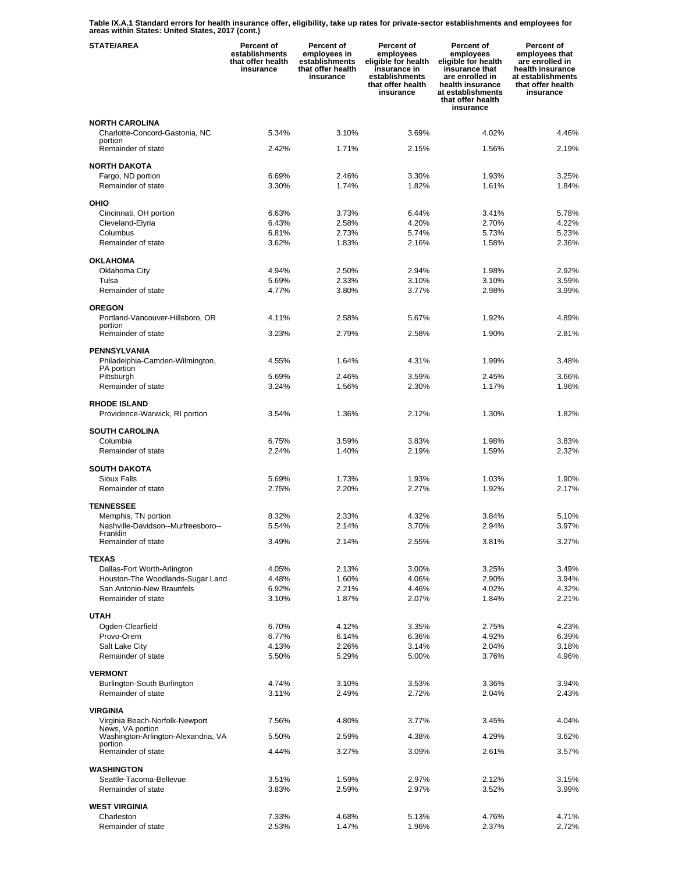**Table IX.A.1 Standard errors for health insurance offer, eligibility, take up rates for private-sector establishments and employees for areas within States: United States, 2017 (cont.)** 

| <b>STATE/AREA</b>                                         | <b>Percent of</b><br>establishments<br>that offer health<br>insurance | Percent of<br>employees in<br>establishments<br>that offer health<br>insurance | Percent of<br>employees<br>eligible for health<br>insurance in<br>establishments<br>that offer health<br>insurance | Percent of<br>employees<br>eligible for health<br>insurance that<br>are enrolled in<br>health insurance<br>at establishments<br>that offer health<br>insurance | Percent of<br>employees that<br>are enrolled in<br>health insurance<br>at establishments<br>that offer health<br>insurance |
|-----------------------------------------------------------|-----------------------------------------------------------------------|--------------------------------------------------------------------------------|--------------------------------------------------------------------------------------------------------------------|----------------------------------------------------------------------------------------------------------------------------------------------------------------|----------------------------------------------------------------------------------------------------------------------------|
| <b>NORTH CAROLINA</b>                                     |                                                                       |                                                                                |                                                                                                                    |                                                                                                                                                                |                                                                                                                            |
| Charlotte-Concord-Gastonia, NC<br>portion                 | 5.34%                                                                 | 3.10%                                                                          | 3.69%                                                                                                              | 4.02%                                                                                                                                                          | 4.46%                                                                                                                      |
| Remainder of state                                        | 2.42%                                                                 | 1.71%                                                                          | 2.15%                                                                                                              | 1.56%                                                                                                                                                          | 2.19%                                                                                                                      |
| <b>NORTH DAKOTA</b>                                       |                                                                       |                                                                                |                                                                                                                    |                                                                                                                                                                |                                                                                                                            |
| Fargo, ND portion<br>Remainder of state                   | 6.69%<br>3.30%                                                        | 2.46%<br>1.74%                                                                 | 3.30%<br>1.82%                                                                                                     | 1.93%<br>1.61%                                                                                                                                                 | 3.25%<br>1.84%                                                                                                             |
| OHIO                                                      |                                                                       |                                                                                |                                                                                                                    |                                                                                                                                                                |                                                                                                                            |
| Cincinnati, OH portion                                    | 6.63%                                                                 | 3.73%                                                                          | 6.44%                                                                                                              | 3.41%                                                                                                                                                          | 5.78%                                                                                                                      |
| Cleveland-Elyria                                          | 6.43%                                                                 | 2.58%                                                                          | 4.20%                                                                                                              | 2.70%                                                                                                                                                          | 4.22%                                                                                                                      |
| Columbus                                                  | 6.81%                                                                 | 2.73%                                                                          | 5.74%                                                                                                              | 5.73%                                                                                                                                                          | 5.23%                                                                                                                      |
| Remainder of state                                        | 3.62%                                                                 | 1.83%                                                                          | 2.16%                                                                                                              | 1.58%                                                                                                                                                          | 2.36%                                                                                                                      |
| <b>OKLAHOMA</b>                                           |                                                                       |                                                                                |                                                                                                                    |                                                                                                                                                                |                                                                                                                            |
| Oklahoma City<br>Tulsa                                    | 4.94%<br>5.69%                                                        | 2.50%<br>2.33%                                                                 | 2.94%<br>3.10%                                                                                                     | 1.98%<br>3.10%                                                                                                                                                 | 2.92%<br>3.59%                                                                                                             |
| Remainder of state                                        | 4.77%                                                                 | 3.80%                                                                          | 3.77%                                                                                                              | 2.98%                                                                                                                                                          | 3.99%                                                                                                                      |
|                                                           |                                                                       |                                                                                |                                                                                                                    |                                                                                                                                                                |                                                                                                                            |
| <b>OREGON</b><br>Portland-Vancouver-Hillsboro, OR         | 4.11%                                                                 | 2.58%                                                                          | 5.67%                                                                                                              | 1.92%                                                                                                                                                          | 4.89%                                                                                                                      |
| portion<br>Remainder of state                             | 3.23%                                                                 | 2.79%                                                                          | 2.58%                                                                                                              | 1.90%                                                                                                                                                          | 2.81%                                                                                                                      |
|                                                           |                                                                       |                                                                                |                                                                                                                    |                                                                                                                                                                |                                                                                                                            |
| <b>PENNSYLVANIA</b><br>Philadelphia-Camden-Wilmington,    | 4.55%                                                                 | 1.64%                                                                          | 4.31%                                                                                                              | 1.99%                                                                                                                                                          | 3.48%                                                                                                                      |
| PA portion                                                |                                                                       |                                                                                |                                                                                                                    |                                                                                                                                                                |                                                                                                                            |
| Pittsburgh<br>Remainder of state                          | 5.69%<br>3.24%                                                        | 2.46%<br>1.56%                                                                 | 3.59%<br>2.30%                                                                                                     | 2.45%<br>1.17%                                                                                                                                                 | 3.66%<br>1.96%                                                                                                             |
| <b>RHODE ISLAND</b>                                       |                                                                       |                                                                                |                                                                                                                    |                                                                                                                                                                |                                                                                                                            |
| Providence-Warwick, RI portion                            | 3.54%                                                                 | 1.36%                                                                          | 2.12%                                                                                                              | 1.30%                                                                                                                                                          | 1.82%                                                                                                                      |
| <b>SOUTH CAROLINA</b>                                     |                                                                       |                                                                                |                                                                                                                    |                                                                                                                                                                |                                                                                                                            |
| Columbia                                                  | 6.75%                                                                 | 3.59%                                                                          | 3.83%                                                                                                              | 1.98%                                                                                                                                                          | 3.83%                                                                                                                      |
| Remainder of state                                        | 2.24%                                                                 | 1.40%                                                                          | 2.19%                                                                                                              | 1.59%                                                                                                                                                          | 2.32%                                                                                                                      |
| <b>SOUTH DAKOTA</b>                                       |                                                                       |                                                                                |                                                                                                                    |                                                                                                                                                                |                                                                                                                            |
| Sioux Falls                                               | 5.69%                                                                 | 1.73%                                                                          | 1.93%                                                                                                              | 1.03%                                                                                                                                                          | 1.90%                                                                                                                      |
| Remainder of state                                        | 2.75%                                                                 | 2.20%                                                                          | 2.27%                                                                                                              | 1.92%                                                                                                                                                          | 2.17%                                                                                                                      |
| <b>TENNESSEE</b>                                          |                                                                       |                                                                                |                                                                                                                    |                                                                                                                                                                |                                                                                                                            |
| Memphis, TN portion<br>Nashville-Davidson--Murfreesboro-- | 8.32%<br>5.54%                                                        | 2.33%<br>2.14%                                                                 | 4.32%<br>3.70%                                                                                                     | 3.84%<br>2.94%                                                                                                                                                 | 5.10%<br>3.97%                                                                                                             |
| Franklin<br>Remainder of state                            | 3.49%                                                                 | 2.14%                                                                          | 2.55%                                                                                                              | 3.81%                                                                                                                                                          | 3.27%                                                                                                                      |
|                                                           |                                                                       |                                                                                |                                                                                                                    |                                                                                                                                                                |                                                                                                                            |
| <b>TEXAS</b><br>Dallas-Fort Worth-Arlington               | 4.05%                                                                 | 2.13%                                                                          | 3.00%                                                                                                              | 3.25%                                                                                                                                                          | 3.49%                                                                                                                      |
| Houston-The Woodlands-Sugar Land                          | 4.48%                                                                 | 1.60%                                                                          | 4.06%                                                                                                              | 2.90%                                                                                                                                                          | 3.94%                                                                                                                      |
| San Antonio-New Braunfels                                 | 6.92%                                                                 | 2.21%                                                                          | 4.46%                                                                                                              | 4.02%                                                                                                                                                          | 4.32%                                                                                                                      |
| Remainder of state                                        | 3.10%                                                                 | 1.87%                                                                          | 2.07%                                                                                                              | 1.84%                                                                                                                                                          | 2.21%                                                                                                                      |
| <b>UTAH</b>                                               |                                                                       |                                                                                |                                                                                                                    |                                                                                                                                                                |                                                                                                                            |
| Ogden-Clearfield                                          | 6.70%                                                                 | 4.12%                                                                          | 3.35%                                                                                                              | 2.75%                                                                                                                                                          | 4.23%                                                                                                                      |
| Provo-Orem<br>Salt Lake City                              | 6.77%<br>4.13%                                                        | 6.14%<br>2.26%                                                                 | 6.36%<br>3.14%                                                                                                     | 4.92%<br>2.04%                                                                                                                                                 | 6.39%<br>3.18%                                                                                                             |
| Remainder of state                                        | 5.50%                                                                 | 5.29%                                                                          | 5.00%                                                                                                              | 3.76%                                                                                                                                                          | 4.96%                                                                                                                      |
| <b>VERMONT</b>                                            |                                                                       |                                                                                |                                                                                                                    |                                                                                                                                                                |                                                                                                                            |
| Burlington-South Burlington                               | 4.74%                                                                 | 3.10%                                                                          | 3.53%                                                                                                              | 3.36%                                                                                                                                                          | 3.94%                                                                                                                      |
| Remainder of state                                        | 3.11%                                                                 | 2.49%                                                                          | 2.72%                                                                                                              | 2.04%                                                                                                                                                          | 2.43%                                                                                                                      |
| <b>VIRGINIA</b>                                           |                                                                       |                                                                                |                                                                                                                    |                                                                                                                                                                |                                                                                                                            |
| Virginia Beach-Norfolk-Newport                            | 7.56%                                                                 | 4.80%                                                                          | 3.77%                                                                                                              | 3.45%                                                                                                                                                          | 4.04%                                                                                                                      |
| News, VA portion<br>Washington-Arlington-Alexandria, VA   | 5.50%                                                                 | 2.59%                                                                          | 4.38%                                                                                                              | 4.29%                                                                                                                                                          | 3.62%                                                                                                                      |
| portion<br>Remainder of state                             | 4.44%                                                                 | 3.27%                                                                          | 3.09%                                                                                                              | 2.61%                                                                                                                                                          | 3.57%                                                                                                                      |
| WASHINGTON                                                |                                                                       |                                                                                |                                                                                                                    |                                                                                                                                                                |                                                                                                                            |
| Seattle-Tacoma-Bellevue                                   | 3.51%                                                                 | 1.59%                                                                          | 2.97%                                                                                                              | 2.12%                                                                                                                                                          | 3.15%                                                                                                                      |
| Remainder of state                                        | 3.83%                                                                 | 2.59%                                                                          | 2.97%                                                                                                              | 3.52%                                                                                                                                                          | 3.99%                                                                                                                      |
| <b>WEST VIRGINIA</b>                                      |                                                                       |                                                                                |                                                                                                                    |                                                                                                                                                                |                                                                                                                            |
| Charleston                                                | 7.33%                                                                 | 4.68%                                                                          | 5.13%                                                                                                              | 4.76%                                                                                                                                                          | 4.71%                                                                                                                      |
| Remainder of state                                        | 2.53%                                                                 | 1.47%                                                                          | 1.96%                                                                                                              | 2.37%                                                                                                                                                          | 2.72%                                                                                                                      |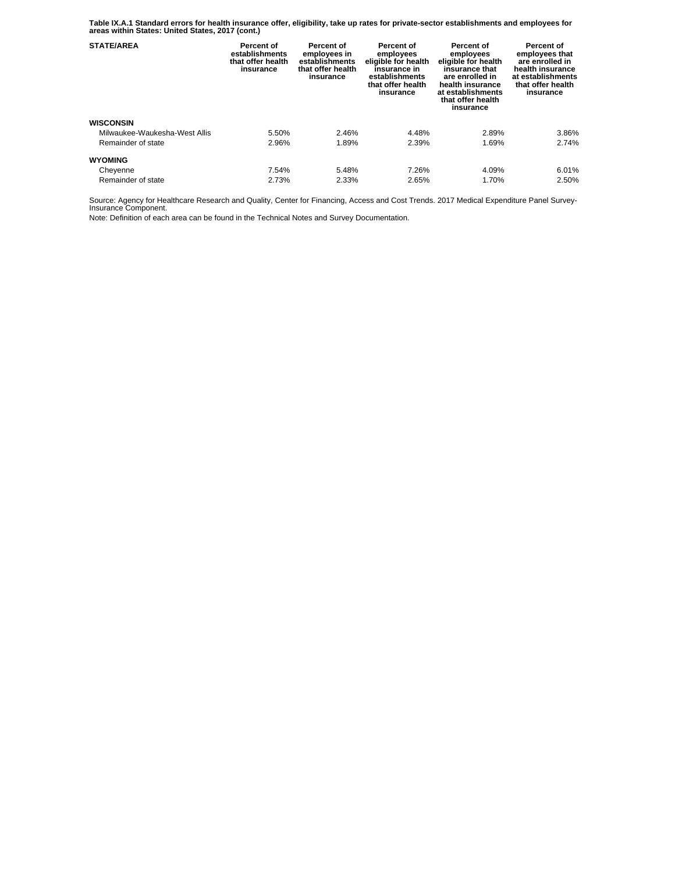**Table IX.A.1 Standard errors for health insurance offer, eligibility, take up rates for private-sector establishments and employees for areas within States: United States, 2017 (cont.)** 

| <b>STATE/AREA</b>             | Percent of<br>establishments<br>that offer health<br>insurance | <b>Percent of</b><br>employees in<br>establishments<br>that offer health<br>insurance | Percent of<br>employees<br>eligible for health<br>insurance in<br>establishments<br>that offer health<br>insurance | Percent of<br>employees<br>eligible for health<br>insurance that<br>are enrolled in<br>health insurance<br>at establishments<br>that offer health<br>insurance | Percent of<br>employees that<br>are enrolled in<br>health insurance<br>at establishments<br>that offer health<br>insurance |
|-------------------------------|----------------------------------------------------------------|---------------------------------------------------------------------------------------|--------------------------------------------------------------------------------------------------------------------|----------------------------------------------------------------------------------------------------------------------------------------------------------------|----------------------------------------------------------------------------------------------------------------------------|
| <b>WISCONSIN</b>              |                                                                |                                                                                       |                                                                                                                    |                                                                                                                                                                |                                                                                                                            |
| Milwaukee-Waukesha-West Allis | 5.50%                                                          | 2.46%                                                                                 | 4.48%                                                                                                              | 2.89%                                                                                                                                                          | 3.86%                                                                                                                      |
| Remainder of state            | 2.96%                                                          | 1.89%                                                                                 | 2.39%                                                                                                              | 1.69%                                                                                                                                                          | 2.74%                                                                                                                      |
| <b>WYOMING</b>                |                                                                |                                                                                       |                                                                                                                    |                                                                                                                                                                |                                                                                                                            |
| Cheyenne                      | 7.54%                                                          | 5.48%                                                                                 | 7.26%                                                                                                              | 4.09%                                                                                                                                                          | 6.01%                                                                                                                      |
| Remainder of state            | 2.73%                                                          | 2.33%                                                                                 | 2.65%                                                                                                              | 1.70%                                                                                                                                                          | 2.50%                                                                                                                      |

Source: Agency for Healthcare Research and Quality, Center for Financing, Access and Cost Trends. 2017 Medical Expenditure Panel Survey-Insurance Component.

Note: Definition of each area can be found in the Technical Notes and Survey Documentation.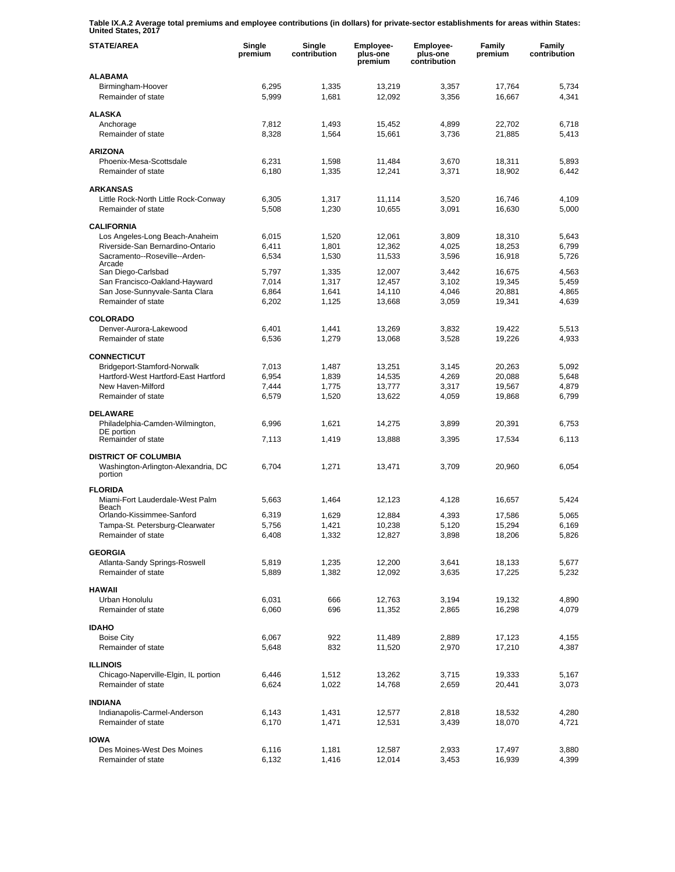**Table IX.A.2 Average total premiums and employee contributions (in dollars) for private-sector establishments for areas within States: United States, 2017** 

| <b>STATE/AREA</b>                                         | Single<br>premium | Single<br>contribution | Employee-<br>plus-one<br>premium | Employee-<br>plus-one<br>contribution | Family<br>premium | Family<br>contribution |
|-----------------------------------------------------------|-------------------|------------------------|----------------------------------|---------------------------------------|-------------------|------------------------|
| <b>ALABAMA</b>                                            |                   |                        |                                  |                                       |                   |                        |
| Birmingham-Hoover<br>Remainder of state                   | 6,295<br>5,999    | 1,335<br>1,681         | 13,219<br>12,092                 | 3,357<br>3,356                        | 17,764<br>16,667  | 5,734<br>4,341         |
| <b>ALASKA</b>                                             |                   |                        |                                  |                                       |                   |                        |
| Anchorage                                                 | 7,812             | 1,493                  | 15,452                           | 4,899                                 | 22,702            | 6,718                  |
| Remainder of state                                        | 8,328             | 1,564                  | 15,661                           | 3,736                                 | 21,885            | 5,413                  |
| <b>ARIZONA</b>                                            |                   |                        |                                  |                                       |                   |                        |
| Phoenix-Mesa-Scottsdale                                   | 6,231             | 1,598                  | 11,484                           | 3,670                                 | 18,311            | 5,893                  |
| Remainder of state                                        | 6,180             | 1,335                  | 12,241                           | 3,371                                 | 18,902            | 6,442                  |
| <b>ARKANSAS</b>                                           |                   |                        |                                  |                                       |                   |                        |
| Little Rock-North Little Rock-Conway                      | 6,305             | 1,317                  | 11,114                           | 3,520                                 | 16,746            | 4,109                  |
| Remainder of state                                        | 5,508             | 1,230                  | 10,655                           | 3,091                                 | 16,630            | 5,000                  |
| <b>CALIFORNIA</b>                                         |                   |                        |                                  |                                       |                   |                        |
| Los Angeles-Long Beach-Anaheim                            | 6,015             | 1,520                  | 12,061                           | 3,809                                 | 18,310            | 5,643                  |
| Riverside-San Bernardino-Ontario                          | 6,411             | 1,801                  | 12,362                           | 4,025                                 | 18,253            | 6,799                  |
| Sacramento--Roseville--Arden-<br>Arcade                   | 6,534             | 1,530                  | 11,533                           | 3,596                                 | 16,918            | 5,726                  |
| San Diego-Carlsbad                                        | 5,797             | 1,335                  | 12,007                           | 3,442                                 | 16,675            | 4,563                  |
| San Francisco-Oakland-Hayward                             | 7,014             | 1,317                  | 12,457                           | 3,102                                 | 19,345            | 5,459                  |
| San Jose-Sunnyvale-Santa Clara<br>Remainder of state      | 6,864<br>6,202    | 1,641<br>1,125         | 14,110<br>13,668                 | 4,046<br>3,059                        | 20,881<br>19,341  | 4,865<br>4,639         |
|                                                           |                   |                        |                                  |                                       |                   |                        |
| <b>COLORADO</b>                                           |                   |                        |                                  |                                       |                   |                        |
| Denver-Aurora-Lakewood<br>Remainder of state              | 6.401             | 1,441                  | 13,269                           | 3,832                                 | 19,422            | 5,513                  |
|                                                           | 6,536             | 1,279                  | 13,068                           | 3,528                                 | 19,226            | 4,933                  |
| <b>CONNECTICUT</b>                                        |                   |                        |                                  |                                       |                   |                        |
| Bridgeport-Stamford-Norwalk                               | 7,013             | 1,487                  | 13,251                           | 3,145                                 | 20,263            | 5,092                  |
| Hartford-West Hartford-East Hartford<br>New Haven-Milford | 6,954<br>7,444    | 1,839<br>1,775         | 14,535<br>13,777                 | 4,269<br>3,317                        | 20,088<br>19,567  | 5,648<br>4,879         |
| Remainder of state                                        | 6,579             | 1,520                  | 13,622                           | 4,059                                 | 19,868            | 6,799                  |
|                                                           |                   |                        |                                  |                                       |                   |                        |
| <b>DELAWARE</b>                                           |                   |                        |                                  |                                       |                   |                        |
| Philadelphia-Camden-Wilmington,<br>DE portion             | 6,996             | 1,621                  | 14,275                           | 3,899                                 | 20,391            | 6,753                  |
| Remainder of state                                        | 7,113             | 1,419                  | 13,888                           | 3,395                                 | 17,534            | 6,113                  |
| <b>DISTRICT OF COLUMBIA</b>                               |                   |                        |                                  |                                       |                   |                        |
| Washington-Arlington-Alexandria, DC<br>portion            | 6,704             | 1,271                  | 13,471                           | 3,709                                 | 20,960            | 6,054                  |
| <b>FLORIDA</b>                                            |                   |                        |                                  |                                       |                   |                        |
| Miami-Fort Lauderdale-West Palm                           | 5,663             | 1,464                  | 12,123                           | 4,128                                 | 16,657            | 5,424                  |
| Beach<br>Orlando-Kissimmee-Sanford                        | 6,319             | 1,629                  | 12,884                           | 4,393                                 | 17,586            | 5.065                  |
| Tampa-St. Petersburg-Clearwater                           | 5,756             | 1,421                  | 10,238                           | 5,120                                 | 15,294            | 6,169                  |
| Remainder of state                                        | 6,408             | 1,332                  | 12,827                           | 3,898                                 | 18,206            | 5,826                  |
| <b>GEORGIA</b>                                            |                   |                        |                                  |                                       |                   |                        |
| Atlanta-Sandy Springs-Roswell                             | 5,819             | 1,235                  | 12,200                           | 3,641                                 | 18,133            | 5,677                  |
| Remainder of state                                        | 5,889             | 1,382                  | 12,092                           | 3,635                                 | 17,225            | 5,232                  |
| <b>HAWAII</b>                                             |                   |                        |                                  |                                       |                   |                        |
| Urban Honolulu                                            | 6,031             | 666                    | 12,763                           | 3,194                                 | 19,132            | 4,890                  |
| Remainder of state                                        | 6,060             | 696                    | 11,352                           | 2,865                                 | 16,298            | 4,079                  |
| <b>IDAHO</b>                                              |                   |                        |                                  |                                       |                   |                        |
| <b>Boise City</b>                                         | 6,067             | 922                    | 11,489                           | 2,889                                 | 17,123            | 4,155                  |
| Remainder of state                                        | 5,648             | 832                    | 11,520                           | 2,970                                 | 17,210            | 4,387                  |
| <b>ILLINOIS</b>                                           |                   |                        |                                  |                                       |                   |                        |
| Chicago-Naperville-Elgin, IL portion                      | 6,446             | 1,512                  | 13,262                           | 3,715                                 | 19,333            | 5,167                  |
| Remainder of state                                        | 6,624             | 1,022                  | 14,768                           | 2,659                                 | 20,441            | 3,073                  |
| <b>INDIANA</b>                                            |                   |                        |                                  |                                       |                   |                        |
| Indianapolis-Carmel-Anderson                              | 6,143             | 1,431                  | 12,577                           | 2,818                                 | 18,532            | 4,280                  |
| Remainder of state                                        | 6,170             | 1,471                  | 12,531                           | 3,439                                 | 18,070            | 4,721                  |
| <b>IOWA</b>                                               |                   |                        |                                  |                                       |                   |                        |
| Des Moines-West Des Moines                                | 6,116             | 1,181                  | 12,587                           | 2,933                                 | 17,497            | 3,880                  |
| Remainder of state                                        | 6,132             | 1,416                  | 12,014                           | 3,453                                 | 16,939            | 4,399                  |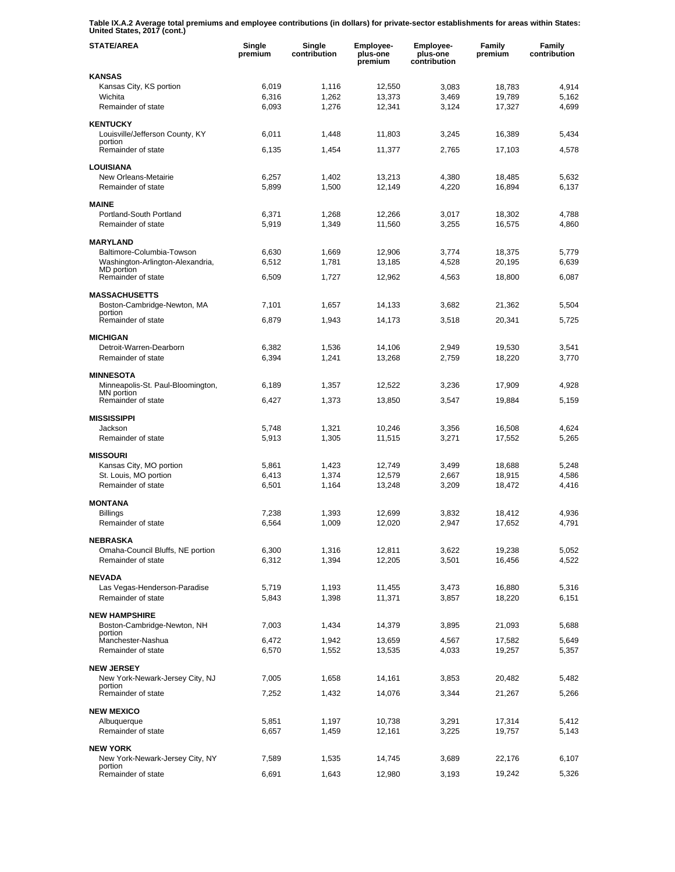**Table IX.A.2 Average total premiums and employee contributions (in dollars) for private-sector establishments for areas within States: United States, 2017 (cont.)** 

| <b>STATE/AREA</b>                            | Single<br>premium | Single<br>contribution | Employee-<br>plus-one<br>premium | <b>Employee-</b><br>plus-one<br>contribution | Family<br>premium | Family<br>contribution |
|----------------------------------------------|-------------------|------------------------|----------------------------------|----------------------------------------------|-------------------|------------------------|
| <b>KANSAS</b>                                |                   |                        |                                  |                                              |                   |                        |
| Kansas City, KS portion                      | 6,019             | 1,116                  | 12,550                           | 3,083                                        | 18,783            | 4,914                  |
| Wichita                                      | 6,316             | 1,262                  | 13,373                           | 3,469                                        | 19,789            | 5,162                  |
| Remainder of state                           | 6,093             | 1,276                  | 12,341                           | 3,124                                        | 17,327            | 4,699                  |
| <b>KENTUCKY</b>                              |                   |                        |                                  |                                              |                   |                        |
| Louisville/Jefferson County, KY              | 6,011             | 1,448                  | 11,803                           | 3,245                                        | 16,389            | 5,434                  |
| portion<br>Remainder of state                | 6,135             | 1,454                  | 11,377                           | 2,765                                        | 17.103            | 4,578                  |
|                                              |                   |                        |                                  |                                              |                   |                        |
| <b>LOUISIANA</b>                             |                   |                        |                                  |                                              |                   |                        |
| New Orleans-Metairie                         | 6,257             | 1,402                  | 13,213                           | 4,380                                        | 18,485            | 5,632                  |
| Remainder of state                           | 5,899             | 1,500                  | 12,149                           | 4,220                                        | 16,894            | 6,137                  |
| <b>MAINE</b>                                 |                   |                        |                                  |                                              |                   |                        |
| Portland-South Portland                      | 6,371             | 1,268                  | 12,266                           | 3,017                                        | 18,302            | 4,788                  |
| Remainder of state                           | 5,919             | 1,349                  | 11,560                           | 3,255                                        | 16,575            | 4,860                  |
|                                              |                   |                        |                                  |                                              |                   |                        |
| <b>MARYLAND</b><br>Baltimore-Columbia-Towson | 6,630             | 1,669                  | 12.906                           | 3,774                                        | 18,375            | 5,779                  |
| Washington-Arlington-Alexandria,             | 6,512             | 1,781                  | 13,185                           | 4,528                                        | 20,195            | 6,639                  |
| <b>MD</b> portion                            |                   |                        |                                  |                                              |                   |                        |
| Remainder of state                           | 6,509             | 1,727                  | 12,962                           | 4,563                                        | 18,800            | 6,087                  |
| <b>MASSACHUSETTS</b>                         |                   |                        |                                  |                                              |                   |                        |
| Boston-Cambridge-Newton, MA                  | 7,101             | 1,657                  | 14,133                           | 3,682                                        | 21,362            | 5,504                  |
| portion                                      |                   |                        |                                  |                                              |                   |                        |
| Remainder of state                           | 6,879             | 1,943                  | 14,173                           | 3,518                                        | 20,341            | 5,725                  |
| <b>MICHIGAN</b>                              |                   |                        |                                  |                                              |                   |                        |
| Detroit-Warren-Dearborn                      | 6,382             | 1,536                  | 14,106                           | 2,949                                        | 19.530            | 3,541                  |
| Remainder of state                           | 6,394             | 1,241                  | 13,268                           | 2,759                                        | 18,220            | 3,770                  |
| <b>MINNESOTA</b>                             |                   |                        |                                  |                                              |                   |                        |
| Minneapolis-St. Paul-Bloomington,            | 6,189             | 1,357                  | 12,522                           | 3,236                                        | 17,909            | 4,928                  |
| MN portion                                   |                   |                        |                                  |                                              |                   |                        |
| Remainder of state                           | 6,427             | 1,373                  | 13,850                           | 3,547                                        | 19,884            | 5,159                  |
| <b>MISSISSIPPI</b>                           |                   |                        |                                  |                                              |                   |                        |
| Jackson                                      | 5,748             | 1,321                  | 10,246                           | 3,356                                        | 16,508            | 4,624                  |
| Remainder of state                           | 5,913             | 1,305                  | 11,515                           | 3,271                                        | 17,552            | 5,265                  |
| <b>MISSOURI</b>                              |                   |                        |                                  |                                              |                   |                        |
| Kansas City, MO portion                      | 5,861             | 1,423                  | 12,749                           | 3,499                                        | 18,688            | 5,248                  |
| St. Louis, MO portion                        | 6,413             | 1,374                  | 12,579                           | 2,667                                        | 18,915            | 4,586                  |
| Remainder of state                           | 6,501             | 1,164                  | 13,248                           | 3,209                                        | 18,472            | 4,416                  |
|                                              |                   |                        |                                  |                                              |                   |                        |
| <b>MONTANA</b><br><b>Billings</b>            | 7,238             |                        |                                  |                                              |                   | 4,936                  |
| Remainder of state                           | 6,564             | 1,393<br>1,009         | 12,699<br>12,020                 | 3,832<br>2,947                               | 18,412<br>17,652  | 4,791                  |
|                                              |                   |                        |                                  |                                              |                   |                        |
| <b>NEBRASKA</b>                              |                   |                        |                                  |                                              |                   |                        |
| Omaha-Council Bluffs, NE portion             | 6,300             | 1,316                  | 12,811                           | 3,622                                        | 19,238            | 5,052                  |
| Remainder of state                           | 6,312             | 1,394                  | 12,205                           | 3,501                                        | 16,456            | 4,522                  |
| <b>NEVADA</b>                                |                   |                        |                                  |                                              |                   |                        |
| Las Vegas-Henderson-Paradise                 | 5,719             | 1,193                  | 11,455                           | 3,473                                        | 16,880            | 5,316                  |
| Remainder of state                           | 5,843             | 1,398                  | 11,371                           | 3,857                                        | 18,220            | 6,151                  |
| <b>NEW HAMPSHIRE</b>                         |                   |                        |                                  |                                              |                   |                        |
| Boston-Cambridge-Newton, NH                  | 7,003             | 1,434                  | 14,379                           | 3,895                                        | 21,093            | 5,688                  |
| portion                                      |                   |                        |                                  |                                              |                   |                        |
| Manchester-Nashua                            | 6,472             | 1,942                  | 13,659                           | 4,567                                        | 17,582            | 5,649                  |
| Remainder of state                           | 6,570             | 1,552                  | 13,535                           | 4,033                                        | 19,257            | 5,357                  |
| <b>NEW JERSEY</b>                            |                   |                        |                                  |                                              |                   |                        |
| New York-Newark-Jersey City, NJ              | 7,005             | 1,658                  | 14,161                           | 3,853                                        | 20,482            | 5,482                  |
| portion<br>Remainder of state                | 7,252             | 1,432                  | 14,076                           | 3,344                                        | 21,267            |                        |
|                                              |                   |                        |                                  |                                              |                   | 5,266                  |
| <b>NEW MEXICO</b>                            |                   |                        |                                  |                                              |                   |                        |
| Albuquerque                                  | 5,851             | 1,197                  | 10,738                           | 3,291                                        | 17,314            | 5,412                  |
| Remainder of state                           | 6,657             | 1,459                  | 12,161                           | 3,225                                        | 19,757            | 5,143                  |
| <b>NEW YORK</b>                              |                   |                        |                                  |                                              |                   |                        |
| New York-Newark-Jersey City, NY              | 7,589             | 1,535                  | 14,745                           | 3,689                                        | 22,176            | 6,107                  |
| portion<br>Remainder of state                | 6,691             | 1,643                  | 12,980                           | 3,193                                        | 19,242            | 5,326                  |
|                                              |                   |                        |                                  |                                              |                   |                        |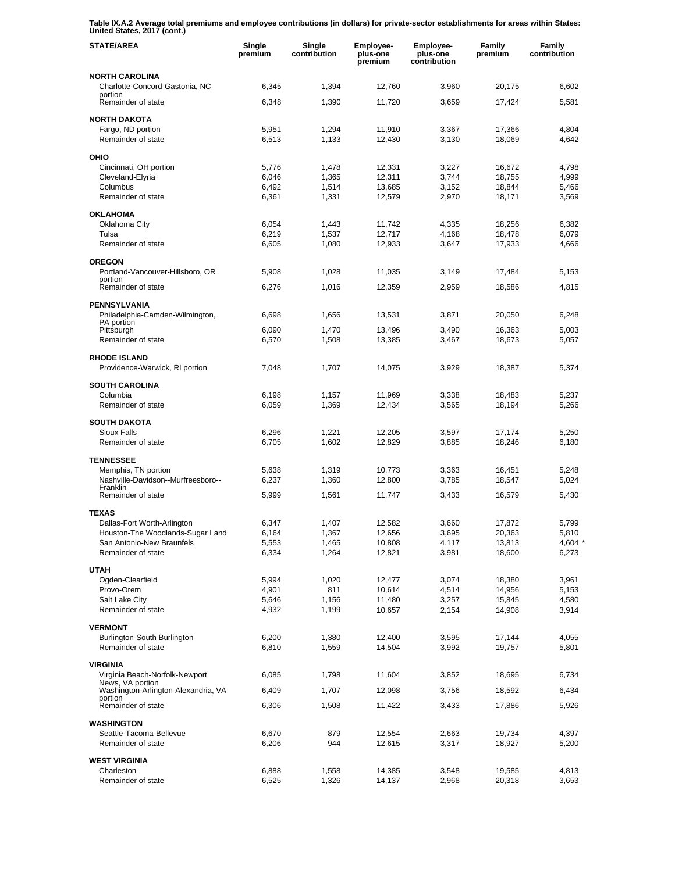**Table IX.A.2 Average total premiums and employee contributions (in dollars) for private-sector establishments for areas within States: United States, 2017 (cont.)** 

| <b>STATE/AREA</b>                                               | Single<br>premium | Single<br>contribution | Employee-<br>plus-one<br>premium | Employee-<br>plus-one<br>contribution | <b>Family</b><br>premium | Family<br>contribution |
|-----------------------------------------------------------------|-------------------|------------------------|----------------------------------|---------------------------------------|--------------------------|------------------------|
| NORTH CAROLINA<br>Charlotte-Concord-Gastonia, NC                | 6,345             | 1,394                  | 12,760                           | 3,960                                 | 20,175                   | 6,602                  |
| portion<br>Remainder of state                                   | 6,348             | 1,390                  | 11,720                           | 3,659                                 | 17,424                   | 5,581                  |
| <b>NORTH DAKOTA</b>                                             |                   |                        |                                  |                                       |                          |                        |
| Fargo, ND portion<br>Remainder of state                         | 5,951<br>6,513    | 1,294<br>1,133         | 11,910<br>12,430                 | 3,367<br>3,130                        | 17,366<br>18,069         | 4,804<br>4,642         |
| OHIO                                                            |                   |                        |                                  |                                       |                          |                        |
| Cincinnati, OH portion                                          | 5,776             | 1,478                  | 12,331                           | 3,227                                 | 16,672                   | 4,798                  |
| Cleveland-Elyria                                                | 6,046             | 1,365                  | 12,311                           | 3,744                                 | 18,755                   | 4,999                  |
| Columbus<br>Remainder of state                                  | 6,492<br>6,361    | 1,514<br>1,331         | 13,685<br>12,579                 | 3,152<br>2,970                        | 18,844<br>18,171         | 5,466<br>3,569         |
| <b>OKLAHOMA</b>                                                 |                   |                        |                                  |                                       |                          |                        |
| Oklahoma City                                                   | 6,054             | 1,443                  | 11,742                           | 4,335                                 | 18,256                   | 6,382                  |
| Tulsa                                                           | 6,219             | 1,537                  | 12,717                           | 4,168                                 | 18,478                   | 6,079                  |
| Remainder of state                                              | 6,605             | 1,080                  | 12,933                           | 3,647                                 | 17,933                   | 4,666                  |
| <b>OREGON</b><br>Portland-Vancouver-Hillsboro, OR               | 5,908             | 1,028                  | 11,035                           | 3,149                                 | 17,484                   | 5,153                  |
| portion                                                         |                   |                        |                                  |                                       |                          |                        |
| Remainder of state                                              | 6,276             | 1,016                  | 12,359                           | 2,959                                 | 18,586                   | 4,815                  |
| <b>PENNSYLVANIA</b><br>Philadelphia-Camden-Wilmington,          | 6,698             | 1,656                  | 13,531                           | 3,871                                 | 20,050                   | 6,248                  |
| PA portion<br>Pittsburgh                                        | 6,090             | 1,470                  | 13,496                           | 3,490                                 | 16,363                   | 5,003                  |
| Remainder of state                                              | 6,570             | 1,508                  | 13,385                           | 3,467                                 | 18,673                   | 5,057                  |
| <b>RHODE ISLAND</b>                                             |                   |                        |                                  |                                       |                          |                        |
| Providence-Warwick, RI portion                                  | 7,048             | 1,707                  | 14,075                           | 3,929                                 | 18,387                   | 5,374                  |
| <b>SOUTH CAROLINA</b>                                           |                   |                        |                                  |                                       |                          |                        |
| Columbia<br>Remainder of state                                  | 6,198<br>6,059    | 1,157<br>1,369         | 11,969<br>12,434                 | 3,338<br>3,565                        | 18,483<br>18,194         | 5,237<br>5,266         |
|                                                                 |                   |                        |                                  |                                       |                          |                        |
| <b>SOUTH DAKOTA</b><br>Sioux Falls                              | 6,296             | 1,221                  | 12,205                           | 3,597                                 | 17,174                   | 5,250                  |
| Remainder of state                                              | 6,705             | 1,602                  | 12,829                           | 3,885                                 | 18,246                   | 6,180                  |
| <b>TENNESSEE</b>                                                |                   |                        |                                  |                                       |                          |                        |
| Memphis, TN portion                                             | 5,638             | 1,319                  | 10,773                           | 3,363                                 | 16,451                   | 5.248                  |
| Nashville-Davidson--Murfreesboro--<br>Franklin                  | 6,237             | 1,360                  | 12,800                           | 3,785                                 | 18,547                   | 5,024                  |
| Remainder of state                                              | 5,999             | 1,561                  | 11,747                           | 3,433                                 | 16,579                   | 5,430                  |
| <b>TEXAS</b>                                                    |                   |                        |                                  |                                       |                          |                        |
| Dallas-Fort Worth-Arlington<br>Houston-The Woodlands-Sugar Land | 6,347<br>6,164    | 1,407<br>1,367         | 12,582<br>12,656                 | 3,660<br>3,695                        | 17,872<br>20,363         | 5,799                  |
| San Antonio-New Braunfels                                       | 5,553             | 1,465                  | 10,808                           | 4,117                                 | 13,813                   | 5,810<br>4,604 *       |
| Remainder of state                                              | 6,334             | 1,264                  | 12,821                           | 3,981                                 | 18,600                   | 6,273                  |
| <b>UTAH</b>                                                     |                   |                        |                                  |                                       |                          |                        |
| Ogden-Clearfield                                                | 5,994             | 1,020                  | 12,477                           | 3,074                                 | 18,380                   | 3,961                  |
| Provo-Orem                                                      | 4,901             | 811                    | 10,614                           | 4,514                                 | 14,956                   | 5,153                  |
| Salt Lake City<br>Remainder of state                            | 5,646<br>4,932    | 1,156<br>1,199         | 11,480<br>10,657                 | 3,257<br>2,154                        | 15,845<br>14,908         | 4,580<br>3,914         |
|                                                                 |                   |                        |                                  |                                       |                          |                        |
| <b>VERMONT</b><br>Burlington-South Burlington                   | 6,200             | 1,380                  | 12,400                           | 3,595                                 | 17,144                   | 4,055                  |
| Remainder of state                                              | 6,810             | 1,559                  | 14,504                           | 3,992                                 | 19,757                   | 5,801                  |
| <b>VIRGINIA</b>                                                 |                   |                        |                                  |                                       |                          |                        |
| Virginia Beach-Norfolk-Newport<br>News, VA portion              | 6,085             | 1,798                  | 11,604                           | 3,852                                 | 18,695                   | 6,734                  |
| Washington-Arlington-Alexandria, VA<br>portion                  | 6,409             | 1,707                  | 12,098                           | 3,756                                 | 18,592                   | 6,434                  |
| Remainder of state                                              | 6,306             | 1,508                  | 11,422                           | 3,433                                 | 17,886                   | 5,926                  |
| <b>WASHINGTON</b>                                               |                   |                        |                                  |                                       |                          |                        |
| Seattle-Tacoma-Bellevue                                         | 6,670             | 879                    | 12,554                           | 2,663                                 | 19,734                   | 4,397                  |
| Remainder of state                                              | 6,206             | 944                    | 12,615                           | 3,317                                 | 18,927                   | 5,200                  |
| <b>WEST VIRGINIA</b><br>Charleston                              | 6,888             | 1,558                  | 14,385                           | 3,548                                 | 19,585                   | 4,813                  |
| Remainder of state                                              | 6,525             | 1,326                  | 14,137                           | 2,968                                 | 20,318                   | 3,653                  |
|                                                                 |                   |                        |                                  |                                       |                          |                        |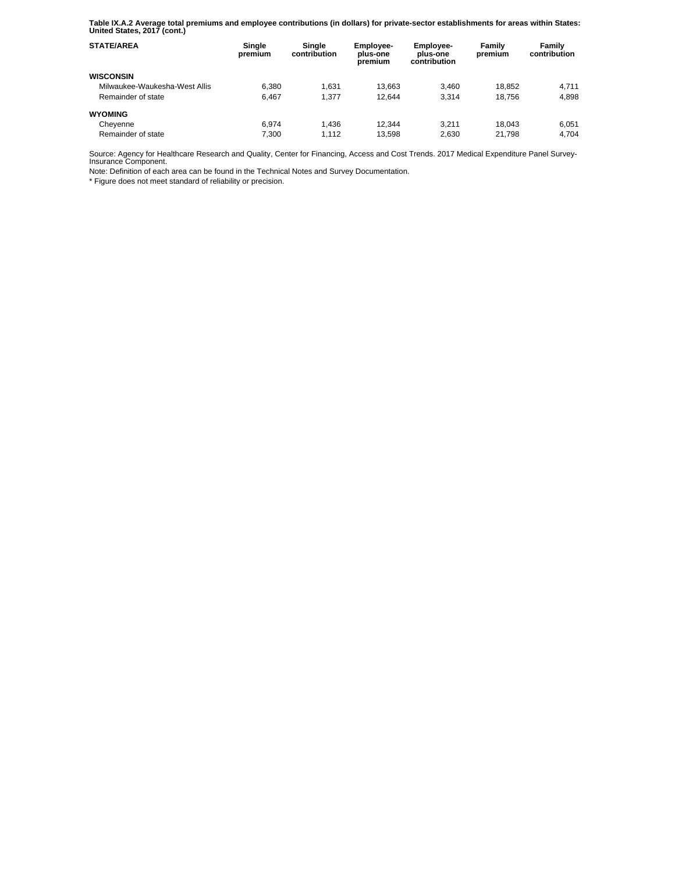**Table IX.A.2 Average total premiums and employee contributions (in dollars) for private-sector establishments for areas within States: United States, 2017 (cont.)** 

| <b>STATE/AREA</b>             | Single<br>premium | Single<br>contribution | Employee-<br>plus-one<br>premium | <b>Employee-</b><br>plus-one<br>contribution | Family<br>premium | Family<br>contribution |
|-------------------------------|-------------------|------------------------|----------------------------------|----------------------------------------------|-------------------|------------------------|
| <b>WISCONSIN</b>              |                   |                        |                                  |                                              |                   |                        |
| Milwaukee-Waukesha-West Allis | 6.380             | 1.631                  | 13.663                           | 3.460                                        | 18.852            | 4.711                  |
| Remainder of state            | 6.467             | 1.377                  | 12.644                           | 3.314                                        | 18.756            | 4.898                  |
| <b>WYOMING</b>                |                   |                        |                                  |                                              |                   |                        |
| Cheyenne                      | 6.974             | 1.436                  | 12.344                           | 3.211                                        | 18.043            | 6,051                  |
| Remainder of state            | 7.300             | 1.112                  | 13.598                           | 2.630                                        | 21.798            | 4.704                  |

Source: Agency for Healthcare Research and Quality, Center for Financing, Access and Cost Trends. 2017 Medical Expenditure Panel Survey-Insurance Component.

Note: Definition of each area can be found in the Technical Notes and Survey Documentation.

\* Figure does not meet standard of reliability or precision.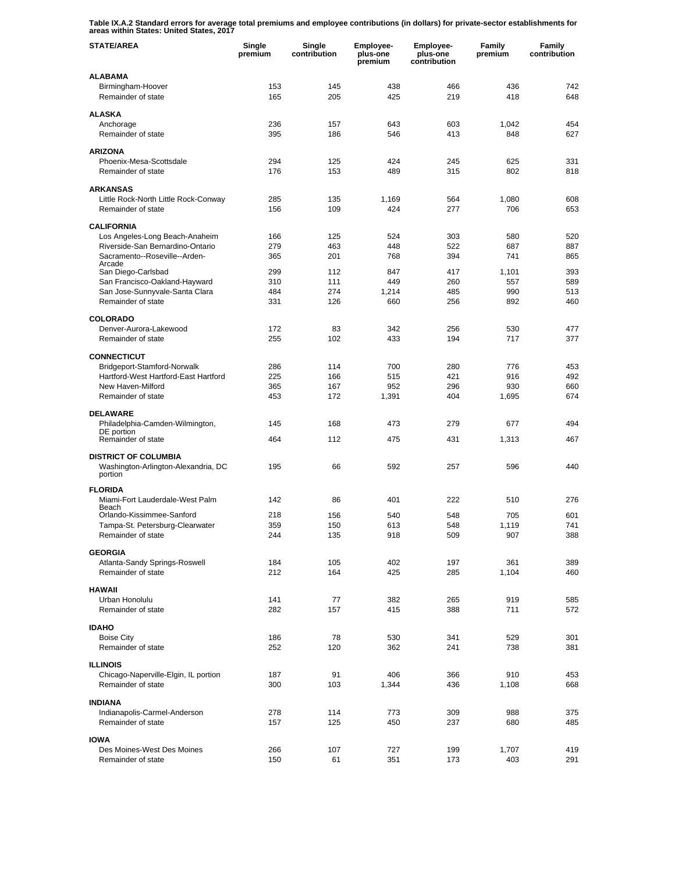**Table IX.A.2 Standard errors for average total premiums and employee contributions (in dollars) for private-sector establishments for areas within States: United States, 2017** 

| <b>STATE/AREA</b>                                                   | Single<br>premium | Single<br>contribution | Employee-<br>plus-one<br>premium | Employee-<br>plus-one<br>contribution | Family<br>premium | Family<br>contribution |
|---------------------------------------------------------------------|-------------------|------------------------|----------------------------------|---------------------------------------|-------------------|------------------------|
| <b>ALABAMA</b>                                                      |                   |                        |                                  |                                       |                   |                        |
| Birmingham-Hoover<br>Remainder of state                             | 153<br>165        | 145<br>205             | 438<br>425                       | 466<br>219                            | 436<br>418        | 742<br>648             |
| <b>ALASKA</b>                                                       |                   |                        |                                  |                                       |                   |                        |
| Anchorage                                                           | 236               | 157                    | 643                              | 603                                   | 1,042             | 454                    |
| Remainder of state                                                  | 395               | 186                    | 546                              | 413                                   | 848               | 627                    |
| <b>ARIZONA</b>                                                      |                   |                        |                                  |                                       |                   |                        |
| Phoenix-Mesa-Scottsdale                                             | 294               | 125                    | 424                              | 245                                   | 625               | 331                    |
| Remainder of state                                                  | 176               | 153                    | 489                              | 315                                   | 802               | 818                    |
| <b>ARKANSAS</b>                                                     |                   |                        |                                  |                                       |                   |                        |
| Little Rock-North Little Rock-Conway                                | 285               | 135                    | 1,169                            | 564                                   | 1,080             | 608                    |
| Remainder of state                                                  | 156               | 109                    | 424                              | 277                                   | 706               | 653                    |
| <b>CALIFORNIA</b>                                                   |                   |                        |                                  |                                       |                   |                        |
| Los Angeles-Long Beach-Anaheim                                      | 166               | 125                    | 524                              | 303                                   | 580               | 520                    |
| Riverside-San Bernardino-Ontario<br>Sacramento--Roseville--Arden-   | 279               | 463                    | 448                              | 522                                   | 687               | 887                    |
| Arcade                                                              | 365               | 201                    | 768                              | 394                                   | 741               | 865                    |
| San Diego-Carlsbad                                                  | 299               | 112                    | 847                              | 417                                   | 1.101             | 393                    |
| San Francisco-Oakland-Hayward<br>San Jose-Sunnyvale-Santa Clara     | 310<br>484        | 111<br>274             | 449<br>1,214                     | 260<br>485                            | 557<br>990        | 589<br>513             |
| Remainder of state                                                  | 331               | 126                    | 660                              | 256                                   | 892               | 460                    |
|                                                                     |                   |                        |                                  |                                       |                   |                        |
| <b>COLORADO</b>                                                     |                   |                        |                                  |                                       |                   |                        |
| Denver-Aurora-Lakewood<br>Remainder of state                        | 172<br>255        | 83<br>102              | 342<br>433                       | 256<br>194                            | 530<br>717        | 477<br>377             |
|                                                                     |                   |                        |                                  |                                       |                   |                        |
| <b>CONNECTICUT</b>                                                  |                   |                        |                                  |                                       |                   |                        |
| Bridgeport-Stamford-Norwalk<br>Hartford-West Hartford-East Hartford | 286<br>225        | 114<br>166             | 700<br>515                       | 280<br>421                            | 776<br>916        | 453<br>492             |
| New Haven-Milford                                                   | 365               | 167                    | 952                              | 296                                   | 930               | 660                    |
| Remainder of state                                                  | 453               | 172                    | 1,391                            | 404                                   | 1,695             | 674                    |
|                                                                     |                   |                        |                                  |                                       |                   |                        |
| <b>DELAWARE</b><br>Philadelphia-Camden-Wilmington,                  | 145               | 168                    | 473                              | 279                                   | 677               | 494                    |
| DE portion                                                          |                   |                        |                                  |                                       |                   |                        |
| Remainder of state                                                  | 464               | 112                    | 475                              | 431                                   | 1,313             | 467                    |
| <b>DISTRICT OF COLUMBIA</b>                                         |                   |                        |                                  |                                       |                   |                        |
| Washington-Arlington-Alexandria, DC                                 | 195               | 66                     | 592                              | 257                                   | 596               | 440                    |
| portion                                                             |                   |                        |                                  |                                       |                   |                        |
| <b>FLORIDA</b>                                                      |                   |                        |                                  |                                       |                   |                        |
| Miami-Fort Lauderdale-West Palm<br>Beach                            | 142               | 86                     | 401                              | 222                                   | 510               | 276                    |
| Orlando-Kissimmee-Sanford                                           | 218               | 156                    | 540                              | 548                                   | 705               | 601                    |
| Tampa-St. Petersburg-Clearwater                                     | 359               | 150                    | 613                              | 548                                   | 1,119             | 741                    |
| Remainder of state                                                  | 244               | 135                    | 918                              | 509                                   | 907               | 388                    |
| <b>GEORGIA</b>                                                      |                   |                        |                                  |                                       |                   |                        |
| Atlanta-Sandy Springs-Roswell                                       | 184               | 105                    | 402                              | 197                                   | 361               | 389                    |
| Remainder of state                                                  | 212               | 164                    | 425                              | 285                                   | 1,104             | 460                    |
| <b>HAWAII</b>                                                       |                   |                        |                                  |                                       |                   |                        |
| Urban Honolulu                                                      | 141               | 77                     | 382                              | 265                                   | 919               | 585                    |
| Remainder of state                                                  | 282               | 157                    | 415                              | 388                                   | 711               | 572                    |
| <b>IDAHO</b>                                                        |                   |                        |                                  |                                       |                   |                        |
| <b>Boise City</b>                                                   | 186               | 78                     | 530                              | 341                                   | 529               | 301                    |
| Remainder of state                                                  | 252               | 120                    | 362                              | 241                                   | 738               | 381                    |
| <b>ILLINOIS</b>                                                     |                   |                        |                                  |                                       |                   |                        |
| Chicago-Naperville-Elgin, IL portion                                | 187               | 91                     | 406                              | 366                                   | 910               | 453                    |
| Remainder of state                                                  | 300               | 103                    | 1,344                            | 436                                   | 1,108             | 668                    |
| <b>INDIANA</b>                                                      |                   |                        |                                  |                                       |                   |                        |
| Indianapolis-Carmel-Anderson                                        | 278               | 114                    | 773                              | 309                                   | 988               | 375                    |
| Remainder of state                                                  | 157               | 125                    | 450                              | 237                                   | 680               | 485                    |
| <b>IOWA</b>                                                         |                   |                        |                                  |                                       |                   |                        |
| Des Moines-West Des Moines                                          | 266               | 107                    | 727                              | 199                                   | 1,707             | 419                    |
| Remainder of state                                                  | 150               | 61                     | 351                              | 173                                   | 403               | 291                    |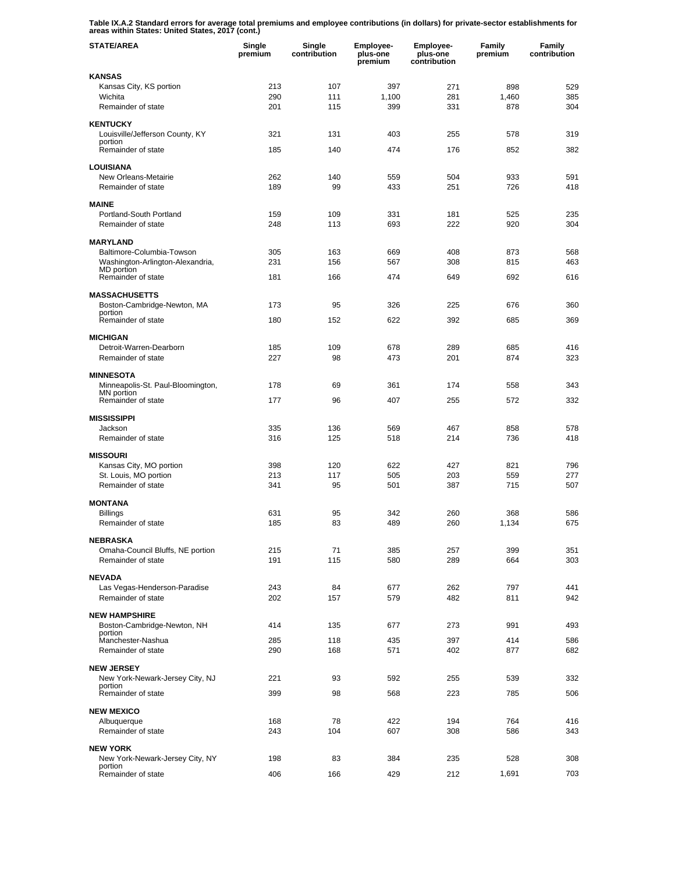**Table IX.A.2 Standard errors for average total premiums and employee contributions (in dollars) for private-sector establishments for areas within States: United States, 2017 (cont.)** 

| <b>STATE/AREA</b>                                   | Single<br>premium | Single<br>contribution | Employee-<br>plus-one<br>premium | Employee-<br>plus-one<br>contribution | Family<br>premium | Family<br>contribution |
|-----------------------------------------------------|-------------------|------------------------|----------------------------------|---------------------------------------|-------------------|------------------------|
| <b>KANSAS</b>                                       |                   |                        |                                  |                                       |                   |                        |
| Kansas City, KS portion                             | 213               | 107                    | 397                              | 271                                   | 898               | 529                    |
| Wichita<br>Remainder of state                       | 290<br>201        | 111<br>115             | 1,100<br>399                     | 281<br>331                            | 1,460<br>878      | 385<br>304             |
|                                                     |                   |                        |                                  |                                       |                   |                        |
| <b>KENTUCKY</b>                                     |                   |                        |                                  |                                       |                   |                        |
| Louisville/Jefferson County, KY<br>portion          | 321               | 131                    | 403                              | 255                                   | 578               | 319                    |
| Remainder of state                                  | 185               | 140                    | 474                              | 176                                   | 852               | 382                    |
| <b>LOUISIANA</b>                                    |                   |                        |                                  |                                       |                   |                        |
| New Orleans-Metairie                                | 262               | 140                    | 559                              | 504                                   | 933               | 591                    |
| Remainder of state                                  | 189               | 99                     | 433                              | 251                                   | 726               | 418                    |
| <b>MAINE</b>                                        |                   |                        |                                  |                                       |                   |                        |
| Portland-South Portland                             | 159               | 109                    | 331                              | 181                                   | 525               | 235                    |
| Remainder of state                                  | 248               | 113                    | 693                              | 222                                   | 920               | 304                    |
| <b>MARYLAND</b>                                     |                   |                        |                                  |                                       |                   |                        |
| Baltimore-Columbia-Towson                           | 305               | 163                    | 669                              | 408                                   | 873               | 568                    |
| Washington-Arlington-Alexandria,<br>MD portion      | 231               | 156                    | 567                              | 308                                   | 815               | 463                    |
| Remainder of state                                  | 181               | 166                    | 474                              | 649                                   | 692               | 616                    |
|                                                     |                   |                        |                                  |                                       |                   |                        |
| <b>MASSACHUSETTS</b><br>Boston-Cambridge-Newton, MA | 173               | 95                     | 326                              | 225                                   | 676               | 360                    |
| portion                                             |                   |                        |                                  |                                       |                   |                        |
| Remainder of state                                  | 180               | 152                    | 622                              | 392                                   | 685               | 369                    |
| <b>MICHIGAN</b>                                     |                   |                        |                                  |                                       |                   |                        |
| Detroit-Warren-Dearborn                             | 185               | 109                    | 678                              | 289                                   | 685               | 416                    |
| Remainder of state                                  | 227               | 98                     | 473                              | 201                                   | 874               | 323                    |
| <b>MINNESOTA</b>                                    |                   |                        |                                  |                                       |                   |                        |
| Minneapolis-St. Paul-Bloomington,<br>MN portion     | 178               | 69                     | 361                              | 174                                   | 558               | 343                    |
| Remainder of state                                  | 177               | 96                     | 407                              | 255                                   | 572               | 332                    |
| <b>MISSISSIPPI</b>                                  |                   |                        |                                  |                                       |                   |                        |
| Jackson                                             | 335               | 136                    | 569                              | 467                                   | 858               | 578                    |
| Remainder of state                                  | 316               | 125                    | 518                              | 214                                   | 736               | 418                    |
| <b>MISSOURI</b>                                     |                   |                        |                                  |                                       |                   |                        |
| Kansas City, MO portion                             | 398               | 120                    | 622                              | 427                                   | 821               | 796                    |
| St. Louis, MO portion                               | 213               | 117                    | 505                              | 203                                   | 559               | 277                    |
| Remainder of state                                  | 341               | 95                     | 501                              | 387                                   | 715               | 507                    |
| <b>MONTANA</b>                                      |                   |                        |                                  |                                       |                   |                        |
| <b>Billings</b>                                     | 631               | 95                     | 342                              | 260                                   | 368               | 586                    |
| Remainder of state                                  | 185               | 83                     | 489                              | 260                                   | 1,134             | 675                    |
| <b>NEBRASKA</b>                                     |                   |                        |                                  |                                       |                   |                        |
| Omaha-Council Bluffs, NE portion                    | 215               | 71                     | 385                              | 257                                   | 399               | 351                    |
| Remainder of state                                  | 191               | 115                    | 580                              | 289                                   | 664               | 303                    |
| <b>NEVADA</b>                                       |                   |                        |                                  |                                       |                   |                        |
| Las Vegas-Henderson-Paradise                        | 243               | 84                     | 677                              | 262                                   | 797               | 441                    |
| Remainder of state                                  | 202               | 157                    | 579                              | 482                                   | 811               | 942                    |
| <b>NEW HAMPSHIRE</b>                                |                   |                        |                                  |                                       |                   |                        |
| Boston-Cambridge-Newton, NH                         | 414               | 135                    | 677                              | 273                                   | 991               | 493                    |
| portion<br>Manchester-Nashua                        | 285               | 118                    | 435                              | 397                                   | 414               | 586                    |
| Remainder of state                                  | 290               | 168                    | 571                              | 402                                   | 877               | 682                    |
| <b>NEW JERSEY</b>                                   |                   |                        |                                  |                                       |                   |                        |
| New York-Newark-Jersey City, NJ                     | 221               | 93                     | 592                              | 255                                   | 539               | 332                    |
| portion<br>Remainder of state                       | 399               | 98                     | 568                              | 223                                   | 785               | 506                    |
|                                                     |                   |                        |                                  |                                       |                   |                        |
| <b>NEW MEXICO</b>                                   |                   |                        |                                  |                                       |                   |                        |
| Albuquerque<br>Remainder of state                   | 168<br>243        | 78<br>104              | 422<br>607                       | 194<br>308                            | 764<br>586        | 416<br>343             |
|                                                     |                   |                        |                                  |                                       |                   |                        |
| <b>NEW YORK</b>                                     |                   |                        |                                  |                                       |                   |                        |
| New York-Newark-Jersey City, NY<br>portion          | 198               | 83                     | 384                              | 235                                   | 528               | 308                    |
| Remainder of state                                  | 406               | 166                    | 429                              | 212                                   | 1,691             | 703                    |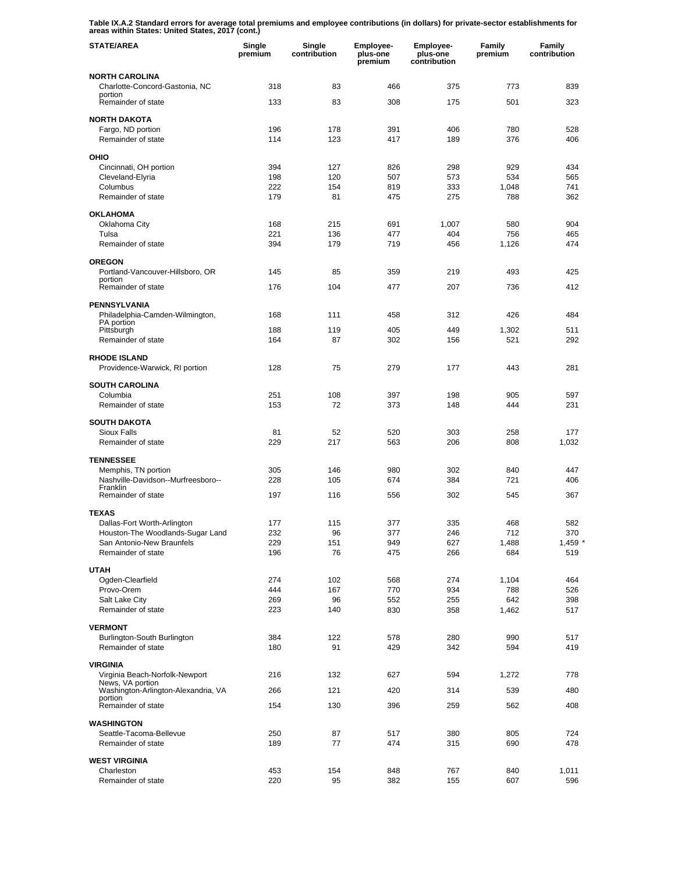**Table IX.A.2 Standard errors for average total premiums and employee contributions (in dollars) for private-sector establishments for areas within States: United States, 2017 (cont.)** 

| <b>STATE/AREA</b>                                             | Single<br>premium | Single<br>contribution | <b>Employee-</b><br>plus-one<br>premium | <b>Employee-</b><br>plus-one<br>contribution | Family<br>premium | Family<br>contribution |
|---------------------------------------------------------------|-------------------|------------------------|-----------------------------------------|----------------------------------------------|-------------------|------------------------|
| <b>NORTH CAROLINA</b>                                         |                   |                        |                                         |                                              |                   |                        |
| Charlotte-Concord-Gastonia, NC<br>portion                     | 318               | 83                     | 466                                     | 375                                          | 773               | 839                    |
| Remainder of state                                            | 133               | 83                     | 308                                     | 175                                          | 501               | 323                    |
| <b>NORTH DAKOTA</b>                                           |                   |                        |                                         |                                              |                   |                        |
| Fargo, ND portion                                             | 196               | 178                    | 391                                     | 406                                          | 780               | 528                    |
| Remainder of state                                            | 114               | 123                    | 417                                     | 189                                          | 376               | 406                    |
| OHIO                                                          |                   |                        |                                         |                                              |                   |                        |
| Cincinnati, OH portion                                        | 394               | 127                    | 826                                     | 298                                          | 929               | 434                    |
| Cleveland-Elyria<br>Columbus                                  | 198<br>222        | 120<br>154             | 507<br>819                              | 573<br>333                                   | 534<br>1,048      | 565<br>741             |
| Remainder of state                                            | 179               | 81                     | 475                                     | 275                                          | 788               | 362                    |
| <b>OKLAHOMA</b>                                               |                   |                        |                                         |                                              |                   |                        |
| Oklahoma City                                                 | 168               | 215                    | 691                                     | 1,007                                        | 580               | 904                    |
| Tulsa                                                         | 221               | 136                    | 477                                     | 404                                          | 756               | 465                    |
| Remainder of state                                            | 394               | 179                    | 719                                     | 456                                          | 1,126             | 474                    |
| <b>OREGON</b>                                                 |                   |                        |                                         |                                              |                   |                        |
| Portland-Vancouver-Hillsboro, OR<br>portion                   | 145               | 85                     | 359                                     | 219                                          | 493               | 425                    |
| Remainder of state                                            | 176               | 104                    | 477                                     | 207                                          | 736               | 412                    |
| <b>PENNSYLVANIA</b>                                           |                   |                        |                                         |                                              |                   |                        |
| Philadelphia-Camden-Wilmington,                               | 168               | 111                    | 458                                     | 312                                          | 426               | 484                    |
| PA portion<br>Pittsburgh                                      | 188               | 119                    | 405                                     | 449                                          | 1,302             | 511                    |
| Remainder of state                                            | 164               | 87                     | 302                                     | 156                                          | 521               | 292                    |
| <b>RHODE ISLAND</b><br>Providence-Warwick, RI portion         | 128               | 75                     | 279                                     | 177                                          | 443               | 281                    |
| <b>SOUTH CAROLINA</b>                                         |                   |                        |                                         |                                              |                   |                        |
| Columbia                                                      | 251               | 108                    | 397                                     | 198                                          | 905               | 597                    |
| Remainder of state                                            | 153               | 72                     | 373                                     | 148                                          | 444               | 231                    |
| <b>SOUTH DAKOTA</b>                                           |                   |                        |                                         |                                              |                   |                        |
| <b>Sioux Falls</b>                                            | 81                | 52                     | 520                                     | 303                                          | 258               | 177                    |
| Remainder of state                                            | 229               | 217                    | 563                                     | 206                                          | 808               | 1,032                  |
| <b>TENNESSEE</b>                                              |                   |                        |                                         |                                              |                   |                        |
| Memphis, TN portion                                           | 305               | 146                    | 980                                     | 302                                          | 840               | 447                    |
| Nashville-Davidson--Murfreesboro--<br>Franklin                | 228               | 105                    | 674                                     | 384                                          | 721               | 406                    |
| Remainder of state                                            | 197               | 116                    | 556                                     | 302                                          | 545               | 367                    |
| <b>TEXAS</b>                                                  |                   |                        |                                         |                                              |                   |                        |
| Dallas-Fort Worth-Arlington                                   | 177               | 115                    | 377                                     | 335                                          | 468               | 582                    |
| Houston-The Woodlands-Sugar Land<br>San Antonio-New Braunfels | 232<br>229        | 96<br>151              | 377<br>949                              | 246<br>627                                   | 712<br>1,488      | 370<br>$1,459$ *       |
| Remainder of state                                            | 196               | 76                     | 475                                     | 266                                          | 684               | 519                    |
| <b>UTAH</b>                                                   |                   |                        |                                         |                                              |                   |                        |
| Ogden-Clearfield                                              | 274               | 102                    | 568                                     | 274                                          | 1,104             | 464                    |
| Provo-Orem                                                    | 444               | 167                    | 770                                     | 934                                          | 788               | 526                    |
| Salt Lake City<br>Remainder of state                          | 269<br>223        | 96<br>140              | 552<br>830                              | 255<br>358                                   | 642<br>1,462      | 398<br>517             |
|                                                               |                   |                        |                                         |                                              |                   |                        |
| <b>VERMONT</b>                                                |                   |                        |                                         |                                              |                   |                        |
| Burlington-South Burlington<br>Remainder of state             | 384<br>180        | 122<br>91              | 578<br>429                              | 280<br>342                                   | 990<br>594        | 517<br>419             |
|                                                               |                   |                        |                                         |                                              |                   |                        |
| <b>VIRGINIA</b><br>Virginia Beach-Norfolk-Newport             | 216               | 132                    | 627                                     | 594                                          | 1,272             | 778                    |
| News, VA portion                                              |                   |                        |                                         |                                              |                   |                        |
| Washington-Arlington-Alexandria, VA<br>portion                | 266               | 121                    | 420                                     | 314                                          | 539               | 480                    |
| Remainder of state                                            | 154               | 130                    | 396                                     | 259                                          | 562               | 408                    |
| <b>WASHINGTON</b>                                             |                   |                        |                                         |                                              |                   |                        |
| Seattle-Tacoma-Bellevue                                       | 250               | 87                     | 517                                     | 380                                          | 805               | 724                    |
| Remainder of state                                            | 189               | 77                     | 474                                     | 315                                          | 690               | 478                    |
| <b>WEST VIRGINIA</b>                                          |                   |                        |                                         |                                              |                   |                        |
| Charleston<br>Remainder of state                              | 453<br>220        | 154<br>95              | 848<br>382                              | 767<br>155                                   | 840<br>607        | 1,011<br>596           |
|                                                               |                   |                        |                                         |                                              |                   |                        |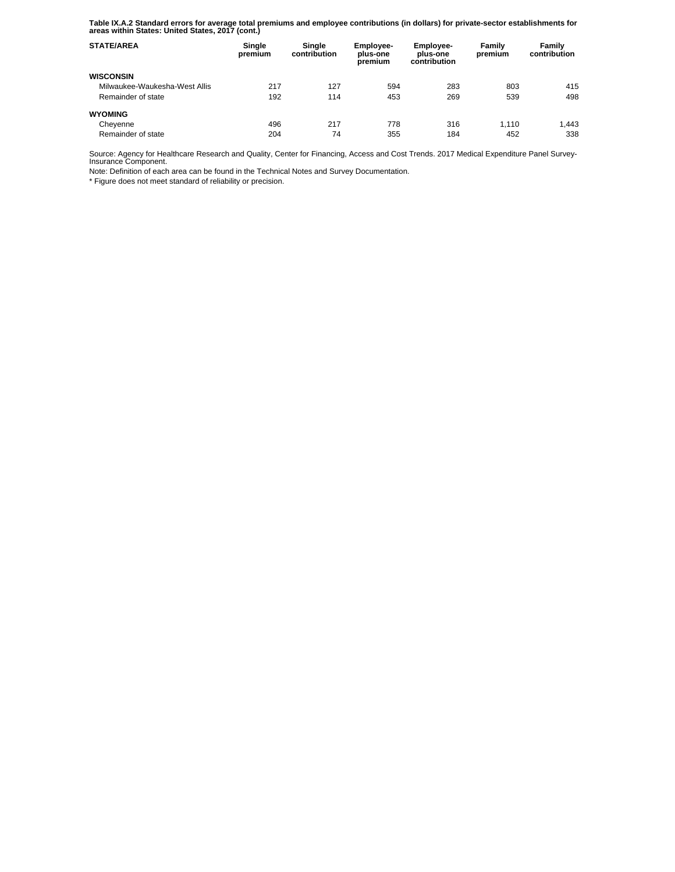**Table IX.A.2 Standard errors for average total premiums and employee contributions (in dollars) for private-sector establishments for areas within States: United States, 2017 (cont.)** 

| <b>STATE/AREA</b>             | Single<br>premium | Single<br>contribution | Employee-<br>plus-one<br>premium | <b>Employee-</b><br>plus-one<br>contribution | Family<br>premium | Family<br>contribution |
|-------------------------------|-------------------|------------------------|----------------------------------|----------------------------------------------|-------------------|------------------------|
| <b>WISCONSIN</b>              |                   |                        |                                  |                                              |                   |                        |
| Milwaukee-Waukesha-West Allis | 217               | 127                    | 594                              | 283                                          | 803               | 415                    |
| Remainder of state            | 192               | 114                    | 453                              | 269                                          | 539               | 498                    |
| <b>WYOMING</b>                |                   |                        |                                  |                                              |                   |                        |
| Cheyenne                      | 496               | 217                    | 778                              | 316                                          | 1.110             | 1.443                  |
| Remainder of state            | 204               | 74                     | 355                              | 184                                          | 452               | 338                    |

Source: Agency for Healthcare Research and Quality, Center for Financing, Access and Cost Trends. 2017 Medical Expenditure Panel Survey-Insurance Component.

Note: Definition of each area can be found in the Technical Notes and Survey Documentation.

\* Figure does not meet standard of reliability or precision.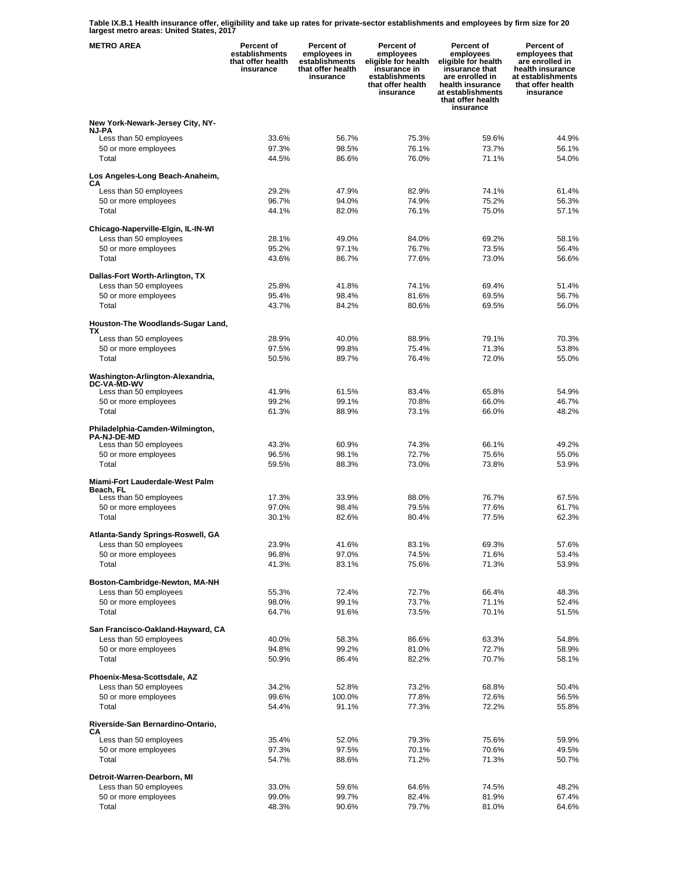**Table IX.B.1 Health insurance offer, eligibility and take up rates for private-sector establishments and employees by firm size for 20 largest metro areas: United States, 2017** 

| <b>METRO AREA</b>                                                               | <b>Percent of</b><br>establishments<br>that offer health<br>insurance | Percent of<br>employees in<br>establishments<br>that offer health<br>insurance | Percent of<br>employees<br>eligible for health<br>insurance in<br>establishments<br>that offer health<br>insurance | Percent of<br>employees<br>eligible for health<br>insurance that<br>are enrolled in<br>health insurance<br>at establishments<br>that offer health<br>insurance | <b>Percent of</b><br>employees that<br>are enrolled in<br>health insurance<br>at establishments<br>that offer health<br>insurance |
|---------------------------------------------------------------------------------|-----------------------------------------------------------------------|--------------------------------------------------------------------------------|--------------------------------------------------------------------------------------------------------------------|----------------------------------------------------------------------------------------------------------------------------------------------------------------|-----------------------------------------------------------------------------------------------------------------------------------|
| New York-Newark-Jersey City, NY-                                                |                                                                       |                                                                                |                                                                                                                    |                                                                                                                                                                |                                                                                                                                   |
| <b>NJ-PA</b><br>Less than 50 employees                                          | 33.6%                                                                 | 56.7%                                                                          | 75.3%                                                                                                              | 59.6%                                                                                                                                                          | 44.9%                                                                                                                             |
| 50 or more employees                                                            | 97.3%                                                                 | 98.5%                                                                          | 76.1%                                                                                                              | 73.7%                                                                                                                                                          | 56.1%                                                                                                                             |
| Total                                                                           | 44.5%                                                                 | 86.6%                                                                          | 76.0%                                                                                                              | 71.1%                                                                                                                                                          | 54.0%                                                                                                                             |
| Los Angeles-Long Beach-Anaheim,<br>CА                                           |                                                                       |                                                                                |                                                                                                                    |                                                                                                                                                                |                                                                                                                                   |
| Less than 50 employees                                                          | 29.2%                                                                 | 47.9%                                                                          | 82.9%                                                                                                              | 74.1%                                                                                                                                                          | 61.4%                                                                                                                             |
| 50 or more employees<br>Total                                                   | 96.7%<br>44.1%                                                        | 94.0%<br>82.0%                                                                 | 74.9%<br>76.1%                                                                                                     | 75.2%<br>75.0%                                                                                                                                                 | 56.3%<br>57.1%                                                                                                                    |
|                                                                                 |                                                                       |                                                                                |                                                                                                                    |                                                                                                                                                                |                                                                                                                                   |
| Chicago-Naperville-Elgin, IL-IN-WI                                              | 28.1%                                                                 | 49.0%                                                                          | 84.0%                                                                                                              | 69.2%                                                                                                                                                          | 58.1%                                                                                                                             |
| Less than 50 employees<br>50 or more employees                                  | 95.2%                                                                 | 97.1%                                                                          | 76.7%                                                                                                              | 73.5%                                                                                                                                                          | 56.4%                                                                                                                             |
| Total                                                                           | 43.6%                                                                 | 86.7%                                                                          | 77.6%                                                                                                              | 73.0%                                                                                                                                                          | 56.6%                                                                                                                             |
| Dallas-Fort Worth-Arlington, TX                                                 |                                                                       |                                                                                |                                                                                                                    |                                                                                                                                                                |                                                                                                                                   |
| Less than 50 employees                                                          | 25.8%                                                                 | 41.8%                                                                          | 74.1%                                                                                                              | 69.4%                                                                                                                                                          | 51.4%                                                                                                                             |
| 50 or more employees                                                            | 95.4%                                                                 | 98.4%                                                                          | 81.6%                                                                                                              | 69.5%                                                                                                                                                          | 56.7%                                                                                                                             |
| Total                                                                           | 43.7%                                                                 | 84.2%                                                                          | 80.6%                                                                                                              | 69.5%                                                                                                                                                          | 56.0%                                                                                                                             |
| Houston-The Woodlands-Sugar Land,<br>ТX                                         |                                                                       |                                                                                |                                                                                                                    |                                                                                                                                                                |                                                                                                                                   |
| Less than 50 employees                                                          | 28.9%                                                                 | 40.0%                                                                          | 88.9%                                                                                                              | 79.1%                                                                                                                                                          | 70.3%                                                                                                                             |
| 50 or more employees<br>Total                                                   | 97.5%<br>50.5%                                                        | 99.8%<br>89.7%                                                                 | 75.4%<br>76.4%                                                                                                     | 71.3%<br>72.0%                                                                                                                                                 | 53.8%<br>55.0%                                                                                                                    |
| Washington-Arlington-Alexandria,                                                |                                                                       |                                                                                |                                                                                                                    |                                                                                                                                                                |                                                                                                                                   |
| <b>DC-VA-MD-WV</b><br>Less than 50 employees                                    | 41.9%                                                                 | 61.5%                                                                          | 83.4%                                                                                                              | 65.8%                                                                                                                                                          | 54.9%                                                                                                                             |
| 50 or more employees                                                            | 99.2%                                                                 | 99.1%                                                                          | 70.8%                                                                                                              | 66.0%                                                                                                                                                          | 46.7%                                                                                                                             |
| Total                                                                           | 61.3%                                                                 | 88.9%                                                                          | 73.1%                                                                                                              | 66.0%                                                                                                                                                          | 48.2%                                                                                                                             |
| Philadelphia-Camden-Wilmington,<br><b>PA-NJ-DE-MD</b><br>Less than 50 employees | 43.3%                                                                 | 60.9%                                                                          | 74.3%                                                                                                              | 66.1%                                                                                                                                                          | 49.2%                                                                                                                             |
| 50 or more employees                                                            | 96.5%                                                                 | 98.1%                                                                          | 72.7%                                                                                                              | 75.6%                                                                                                                                                          | 55.0%                                                                                                                             |
| Total                                                                           | 59.5%                                                                 | 88.3%                                                                          | 73.0%                                                                                                              | 73.8%                                                                                                                                                          | 53.9%                                                                                                                             |
| Miami-Fort Lauderdale-West Palm<br>Beach. FL                                    |                                                                       |                                                                                |                                                                                                                    |                                                                                                                                                                |                                                                                                                                   |
| Less than 50 employees                                                          | 17.3%                                                                 | 33.9%                                                                          | 88.0%                                                                                                              | 76.7%                                                                                                                                                          | 67.5%                                                                                                                             |
| 50 or more employees<br>Total                                                   | 97.0%<br>30.1%                                                        | 98.4%<br>82.6%                                                                 | 79.5%<br>80.4%                                                                                                     | 77.6%<br>77.5%                                                                                                                                                 | 61.7%<br>62.3%                                                                                                                    |
|                                                                                 |                                                                       |                                                                                |                                                                                                                    |                                                                                                                                                                |                                                                                                                                   |
| Atlanta-Sandy Springs-Roswell, GA                                               |                                                                       |                                                                                |                                                                                                                    |                                                                                                                                                                |                                                                                                                                   |
| Less than 50 employees<br>50 or more employees                                  | 23.9%<br>96.8%                                                        | 41.6%<br>97.0%                                                                 | 83.1%<br>74.5%                                                                                                     | 69.3%<br>71.6%                                                                                                                                                 | 57.6%<br>53.4%                                                                                                                    |
| Total                                                                           | 41.3%                                                                 | 83.1%                                                                          | 75.6%                                                                                                              | 71.3%                                                                                                                                                          | 53.9%                                                                                                                             |
|                                                                                 |                                                                       |                                                                                |                                                                                                                    |                                                                                                                                                                |                                                                                                                                   |
| Boston-Cambridge-Newton, MA-NH<br>Less than 50 employees                        | 55.3%                                                                 | 72.4%                                                                          | 72.7%                                                                                                              | 66.4%                                                                                                                                                          | 48.3%                                                                                                                             |
| 50 or more employees                                                            | 98.0%                                                                 | 99.1%                                                                          | 73.7%                                                                                                              | 71.1%                                                                                                                                                          | 52.4%                                                                                                                             |
| Total                                                                           | 64.7%                                                                 | 91.6%                                                                          | 73.5%                                                                                                              | 70.1%                                                                                                                                                          | 51.5%                                                                                                                             |
| San Francisco-Oakland-Hayward, CA                                               |                                                                       |                                                                                |                                                                                                                    |                                                                                                                                                                |                                                                                                                                   |
| Less than 50 employees                                                          | 40.0%                                                                 | 58.3%                                                                          | 86.6%                                                                                                              | 63.3%                                                                                                                                                          | 54.8%                                                                                                                             |
| 50 or more employees                                                            | 94.8%                                                                 | 99.2%                                                                          | 81.0%                                                                                                              | 72.7%                                                                                                                                                          | 58.9%                                                                                                                             |
| Total                                                                           | 50.9%                                                                 | 86.4%                                                                          | 82.2%                                                                                                              | 70.7%                                                                                                                                                          | 58.1%                                                                                                                             |
| Phoenix-Mesa-Scottsdale, AZ                                                     |                                                                       |                                                                                |                                                                                                                    |                                                                                                                                                                |                                                                                                                                   |
| Less than 50 employees                                                          | 34.2%                                                                 | 52.8%                                                                          | 73.2%                                                                                                              | 68.8%                                                                                                                                                          | 50.4%                                                                                                                             |
| 50 or more employees<br>Total                                                   | 99.6%<br>54.4%                                                        | 100.0%<br>91.1%                                                                | 77.8%<br>77.3%                                                                                                     | 72.6%<br>72.2%                                                                                                                                                 | 56.5%<br>55.8%                                                                                                                    |
|                                                                                 |                                                                       |                                                                                |                                                                                                                    |                                                                                                                                                                |                                                                                                                                   |
| Riverside-San Bernardino-Ontario,<br>CА                                         |                                                                       |                                                                                |                                                                                                                    |                                                                                                                                                                |                                                                                                                                   |
| Less than 50 employees                                                          | 35.4%                                                                 | 52.0%                                                                          | 79.3%                                                                                                              | 75.6%                                                                                                                                                          | 59.9%                                                                                                                             |
| 50 or more employees<br>Total                                                   | 97.3%<br>54.7%                                                        | 97.5%<br>88.6%                                                                 | 70.1%<br>71.2%                                                                                                     | 70.6%<br>71.3%                                                                                                                                                 | 49.5%<br>50.7%                                                                                                                    |
|                                                                                 |                                                                       |                                                                                |                                                                                                                    |                                                                                                                                                                |                                                                                                                                   |
| Detroit-Warren-Dearborn, MI                                                     |                                                                       |                                                                                |                                                                                                                    |                                                                                                                                                                |                                                                                                                                   |
| Less than 50 employees<br>50 or more employees                                  | 33.0%<br>99.0%                                                        | 59.6%<br>99.7%                                                                 | 64.6%<br>82.4%                                                                                                     | 74.5%<br>81.9%                                                                                                                                                 | 48.2%<br>67.4%                                                                                                                    |
| Total                                                                           | 48.3%                                                                 | 90.6%                                                                          | 79.7%                                                                                                              | 81.0%                                                                                                                                                          | 64.6%                                                                                                                             |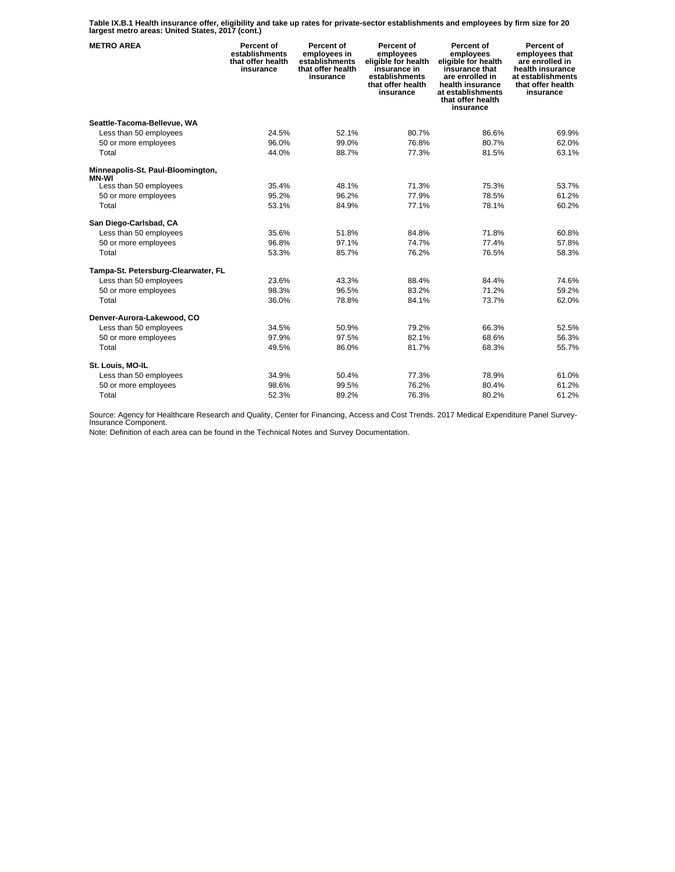**Table IX.B.1 Health insurance offer, eligibility and take up rates for private-sector establishments and employees by firm size for 20 largest metro areas: United States, 2017 (cont.)** 

| <b>METRO AREA</b>                                 | <b>Percent of</b><br>establishments<br>that offer health<br>insurance | Percent of<br>employees in<br>establishments<br>that offer health<br>insurance | Percent of<br>employees<br>eligible for health<br>insurance in<br>establishments<br>that offer health<br>insurance | Percent of<br>employees<br>eligible for health<br>insurance that<br>are enrolled in<br>health insurance<br>at establishments<br>that offer health<br>insurance | Percent of<br>employees that<br>are enrolled in<br>health insurance<br>at establishments<br>that offer health<br>insurance |
|---------------------------------------------------|-----------------------------------------------------------------------|--------------------------------------------------------------------------------|--------------------------------------------------------------------------------------------------------------------|----------------------------------------------------------------------------------------------------------------------------------------------------------------|----------------------------------------------------------------------------------------------------------------------------|
| Seattle-Tacoma-Bellevue, WA                       |                                                                       |                                                                                |                                                                                                                    |                                                                                                                                                                |                                                                                                                            |
| Less than 50 employees                            | 24.5%                                                                 | 52.1%                                                                          | 80.7%                                                                                                              | 86.6%                                                                                                                                                          | 69.9%                                                                                                                      |
| 50 or more employees                              | 96.0%                                                                 | 99.0%                                                                          | 76.8%                                                                                                              | 80.7%                                                                                                                                                          | 62.0%                                                                                                                      |
| Total                                             | 44.0%                                                                 | 88.7%                                                                          | 77.3%                                                                                                              | 81.5%                                                                                                                                                          | 63.1%                                                                                                                      |
| Minneapolis-St. Paul-Bloomington,<br><b>MN-WI</b> |                                                                       |                                                                                |                                                                                                                    |                                                                                                                                                                |                                                                                                                            |
| Less than 50 employees                            | 35.4%                                                                 | 48.1%                                                                          | 71.3%                                                                                                              | 75.3%                                                                                                                                                          | 53.7%                                                                                                                      |
| 50 or more employees                              | 95.2%                                                                 | 96.2%                                                                          | 77.9%                                                                                                              | 78.5%                                                                                                                                                          | 61.2%                                                                                                                      |
| Total                                             | 53.1%                                                                 | 84.9%                                                                          | 77.1%                                                                                                              | 78.1%                                                                                                                                                          | 60.2%                                                                                                                      |
| San Diego-Carlsbad, CA                            |                                                                       |                                                                                |                                                                                                                    |                                                                                                                                                                |                                                                                                                            |
| Less than 50 employees                            | 35.6%                                                                 | 51.8%                                                                          | 84.8%                                                                                                              | 71.8%                                                                                                                                                          | 60.8%                                                                                                                      |
| 50 or more employees                              | 96.8%                                                                 | 97.1%                                                                          | 74.7%                                                                                                              | 77.4%                                                                                                                                                          | 57.8%                                                                                                                      |
| Total                                             | 53.3%                                                                 | 85.7%                                                                          | 76.2%                                                                                                              | 76.5%                                                                                                                                                          | 58.3%                                                                                                                      |
| Tampa-St. Petersburg-Clearwater, FL               |                                                                       |                                                                                |                                                                                                                    |                                                                                                                                                                |                                                                                                                            |
| Less than 50 employees                            | 23.6%                                                                 | 43.3%                                                                          | 88.4%                                                                                                              | 84.4%                                                                                                                                                          | 74.6%                                                                                                                      |
| 50 or more employees                              | 98.3%                                                                 | 96.5%                                                                          | 83.2%                                                                                                              | 71.2%                                                                                                                                                          | 59.2%                                                                                                                      |
| Total                                             | 36.0%                                                                 | 78.8%                                                                          | 84.1%                                                                                                              | 73.7%                                                                                                                                                          | 62.0%                                                                                                                      |
| Denver-Aurora-Lakewood, CO                        |                                                                       |                                                                                |                                                                                                                    |                                                                                                                                                                |                                                                                                                            |
| Less than 50 employees                            | 34.5%                                                                 | 50.9%                                                                          | 79.2%                                                                                                              | 66.3%                                                                                                                                                          | 52.5%                                                                                                                      |
| 50 or more employees                              | 97.9%                                                                 | 97.5%                                                                          | 82.1%                                                                                                              | 68.6%                                                                                                                                                          | 56.3%                                                                                                                      |
| Total                                             | 49.5%                                                                 | 86.0%                                                                          | 81.7%                                                                                                              | 68.3%                                                                                                                                                          | 55.7%                                                                                                                      |
| St. Louis, MO-IL                                  |                                                                       |                                                                                |                                                                                                                    |                                                                                                                                                                |                                                                                                                            |
| Less than 50 employees                            | 34.9%                                                                 | 50.4%                                                                          | 77.3%                                                                                                              | 78.9%                                                                                                                                                          | 61.0%                                                                                                                      |
| 50 or more employees                              | 98.6%                                                                 | 99.5%                                                                          | 76.2%                                                                                                              | 80.4%                                                                                                                                                          | 61.2%                                                                                                                      |
| Total                                             | 52.3%                                                                 | 89.2%                                                                          | 76.3%                                                                                                              | 80.2%                                                                                                                                                          | 61.2%                                                                                                                      |

Source: Agency for Healthcare Research and Quality, Center for Financing, Access and Cost Trends. 2017 Medical Expenditure Panel Survey-Insurance Component.

Note: Definition of each area can be found in the Technical Notes and Survey Documentation.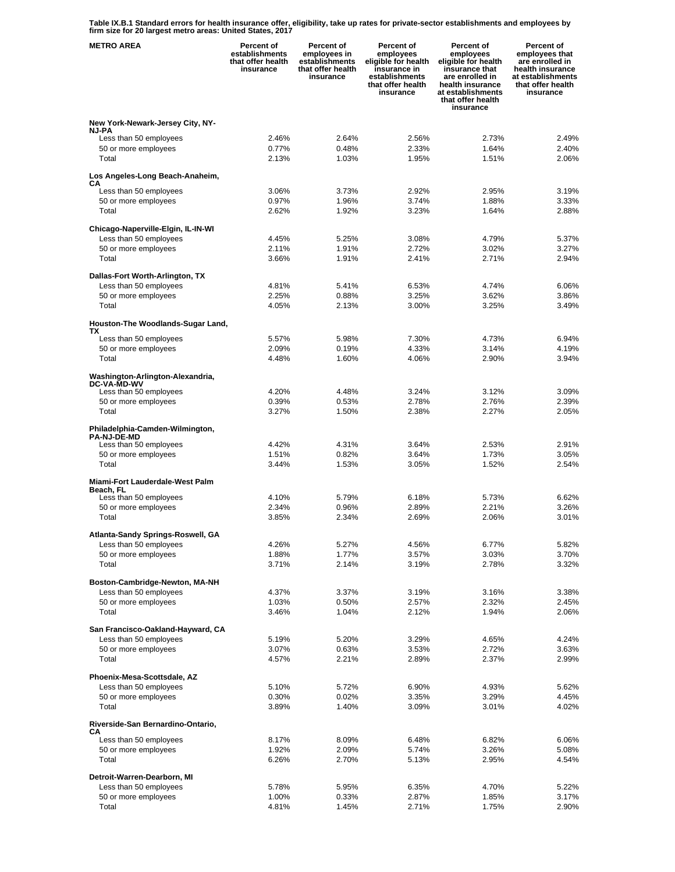**Table IX.B.1 Standard errors for health insurance offer, eligibility, take up rates for private-sector establishments and employees by firm size for 20 largest metro areas: United States, 2017** 

| <b>METRO AREA</b>                                            | Percent of<br>establishments<br>that offer health<br>insurance | Percent of<br>employees in<br>establishments<br>that offer health<br>insurance | Percent of<br>employees<br>eligible for health<br>insurance in<br>establishments<br>that offer health<br>insurance | Percent of<br>employees<br>eligible for health<br>insurance that<br>are enrolled in<br>health insurance<br>at establishments<br>that offer health<br>insurance | Percent of<br>employees that<br>are enrolled in<br>health insurance<br>at establishments<br>that offer health<br>insurance |
|--------------------------------------------------------------|----------------------------------------------------------------|--------------------------------------------------------------------------------|--------------------------------------------------------------------------------------------------------------------|----------------------------------------------------------------------------------------------------------------------------------------------------------------|----------------------------------------------------------------------------------------------------------------------------|
| New York-Newark-Jersey City, NY-                             |                                                                |                                                                                |                                                                                                                    |                                                                                                                                                                |                                                                                                                            |
| <b>NJ-PA</b>                                                 |                                                                |                                                                                |                                                                                                                    |                                                                                                                                                                |                                                                                                                            |
| Less than 50 employees<br>50 or more employees               | 2.46%<br>0.77%                                                 | 2.64%<br>0.48%                                                                 | 2.56%<br>2.33%                                                                                                     | 2.73%<br>1.64%                                                                                                                                                 | 2.49%<br>2.40%                                                                                                             |
| Total                                                        | 2.13%                                                          | 1.03%                                                                          | 1.95%                                                                                                              | 1.51%                                                                                                                                                          | 2.06%                                                                                                                      |
| Los Angeles-Long Beach-Anaheim,                              |                                                                |                                                                                |                                                                                                                    |                                                                                                                                                                |                                                                                                                            |
| CA                                                           |                                                                |                                                                                |                                                                                                                    |                                                                                                                                                                |                                                                                                                            |
| Less than 50 employees<br>50 or more employees               | 3.06%<br>0.97%                                                 | 3.73%<br>1.96%                                                                 | 2.92%<br>3.74%                                                                                                     | 2.95%<br>1.88%                                                                                                                                                 | 3.19%<br>3.33%                                                                                                             |
| Total                                                        | 2.62%                                                          | 1.92%                                                                          | 3.23%                                                                                                              | 1.64%                                                                                                                                                          | 2.88%                                                                                                                      |
|                                                              |                                                                |                                                                                |                                                                                                                    |                                                                                                                                                                |                                                                                                                            |
| Chicago-Naperville-Elgin, IL-IN-WI<br>Less than 50 employees | 4.45%                                                          | 5.25%                                                                          | 3.08%                                                                                                              | 4.79%                                                                                                                                                          | 5.37%                                                                                                                      |
| 50 or more employees                                         | 2.11%                                                          | 1.91%                                                                          | 2.72%                                                                                                              | 3.02%                                                                                                                                                          | 3.27%                                                                                                                      |
| Total                                                        | 3.66%                                                          | 1.91%                                                                          | 2.41%                                                                                                              | 2.71%                                                                                                                                                          | 2.94%                                                                                                                      |
| Dallas-Fort Worth-Arlington, TX                              |                                                                |                                                                                |                                                                                                                    |                                                                                                                                                                |                                                                                                                            |
| Less than 50 employees                                       | 4.81%                                                          | 5.41%                                                                          | 6.53%                                                                                                              | 4.74%                                                                                                                                                          | 6.06%                                                                                                                      |
| 50 or more employees                                         | 2.25%                                                          | 0.88%                                                                          | 3.25%                                                                                                              | 3.62%                                                                                                                                                          | 3.86%                                                                                                                      |
| Total                                                        | 4.05%                                                          | 2.13%                                                                          | 3.00%                                                                                                              | 3.25%                                                                                                                                                          | 3.49%                                                                                                                      |
| Houston-The Woodlands-Sugar Land,                            |                                                                |                                                                                |                                                                                                                    |                                                                                                                                                                |                                                                                                                            |
| ΤХ                                                           |                                                                |                                                                                |                                                                                                                    |                                                                                                                                                                |                                                                                                                            |
| Less than 50 employees<br>50 or more employees               | 5.57%<br>2.09%                                                 | 5.98%<br>0.19%                                                                 | 7.30%<br>4.33%                                                                                                     | 4.73%<br>3.14%                                                                                                                                                 | 6.94%<br>4.19%                                                                                                             |
| Total                                                        | 4.48%                                                          | 1.60%                                                                          | 4.06%                                                                                                              | 2.90%                                                                                                                                                          | 3.94%                                                                                                                      |
| Washington-Arlington-Alexandria,                             |                                                                |                                                                                |                                                                                                                    |                                                                                                                                                                |                                                                                                                            |
| DC-VA-MD-WV                                                  | 4.20%                                                          | 4.48%                                                                          | 3.24%                                                                                                              | 3.12%                                                                                                                                                          | 3.09%                                                                                                                      |
| Less than 50 employees<br>50 or more employees               | 0.39%                                                          | 0.53%                                                                          | 2.78%                                                                                                              | 2.76%                                                                                                                                                          | 2.39%                                                                                                                      |
| Total                                                        | 3.27%                                                          | 1.50%                                                                          | 2.38%                                                                                                              | 2.27%                                                                                                                                                          | 2.05%                                                                                                                      |
| Philadelphia-Camden-Wilmington,                              |                                                                |                                                                                |                                                                                                                    |                                                                                                                                                                |                                                                                                                            |
| <b>PA-NJ-DE-MD</b>                                           |                                                                |                                                                                |                                                                                                                    |                                                                                                                                                                |                                                                                                                            |
| Less than 50 employees                                       | 4.42%                                                          | 4.31%<br>0.82%                                                                 | 3.64%                                                                                                              | 2.53%                                                                                                                                                          | 2.91%                                                                                                                      |
| 50 or more employees<br>Total                                | 1.51%<br>3.44%                                                 | 1.53%                                                                          | 3.64%<br>3.05%                                                                                                     | 1.73%<br>1.52%                                                                                                                                                 | 3.05%<br>2.54%                                                                                                             |
|                                                              |                                                                |                                                                                |                                                                                                                    |                                                                                                                                                                |                                                                                                                            |
| Miami-Fort Lauderdale-West Palm<br>Beach. FL                 |                                                                |                                                                                |                                                                                                                    |                                                                                                                                                                |                                                                                                                            |
| Less than 50 employees                                       | 4.10%                                                          | 5.79%                                                                          | 6.18%                                                                                                              | 5.73%                                                                                                                                                          | 6.62%                                                                                                                      |
| 50 or more employees                                         | 2.34%                                                          | 0.96%                                                                          | 2.89%                                                                                                              | 2.21%<br>2.06%                                                                                                                                                 | 3.26%                                                                                                                      |
| Total                                                        | 3.85%                                                          | 2.34%                                                                          | 2.69%                                                                                                              |                                                                                                                                                                | 3.01%                                                                                                                      |
| Atlanta-Sandy Springs-Roswell, GA                            |                                                                |                                                                                |                                                                                                                    |                                                                                                                                                                |                                                                                                                            |
| Less than 50 employees                                       | 4.26%                                                          | 5.27%                                                                          | 4.56%                                                                                                              | 6.77%                                                                                                                                                          | 5.82%                                                                                                                      |
| 50 or more employees<br>Total                                | 1.88%<br>3.71%                                                 | 1.77%<br>2.14%                                                                 | 3.57%<br>3.19%                                                                                                     | 3.03%<br>2.78%                                                                                                                                                 | 3.70%<br>3.32%                                                                                                             |
|                                                              |                                                                |                                                                                |                                                                                                                    |                                                                                                                                                                |                                                                                                                            |
| Boston-Cambridge-Newton, MA-NH                               |                                                                |                                                                                |                                                                                                                    |                                                                                                                                                                |                                                                                                                            |
| Less than 50 employees<br>50 or more employees               | 4.37%<br>1.03%                                                 | 3.37%<br>0.50%                                                                 | 3.19%<br>2.57%                                                                                                     | 3.16%<br>2.32%                                                                                                                                                 | 3.38%<br>2.45%                                                                                                             |
| Total                                                        | 3.46%                                                          | 1.04%                                                                          | 2.12%                                                                                                              | 1.94%                                                                                                                                                          | 2.06%                                                                                                                      |
|                                                              |                                                                |                                                                                |                                                                                                                    |                                                                                                                                                                |                                                                                                                            |
| San Francisco-Oakland-Hayward, CA<br>Less than 50 employees  | 5.19%                                                          | 5.20%                                                                          | 3.29%                                                                                                              | 4.65%                                                                                                                                                          | 4.24%                                                                                                                      |
| 50 or more employees                                         | 3.07%                                                          | 0.63%                                                                          | 3.53%                                                                                                              | 2.72%                                                                                                                                                          | 3.63%                                                                                                                      |
| Total                                                        | 4.57%                                                          | 2.21%                                                                          | 2.89%                                                                                                              | 2.37%                                                                                                                                                          | 2.99%                                                                                                                      |
| Phoenix-Mesa-Scottsdale, AZ                                  |                                                                |                                                                                |                                                                                                                    |                                                                                                                                                                |                                                                                                                            |
| Less than 50 employees                                       | 5.10%                                                          | 5.72%                                                                          | 6.90%                                                                                                              | 4.93%                                                                                                                                                          | 5.62%                                                                                                                      |
| 50 or more employees                                         | 0.30%                                                          | 0.02%                                                                          | 3.35%                                                                                                              | 3.29%                                                                                                                                                          | 4.45%                                                                                                                      |
| Total                                                        | 3.89%                                                          | 1.40%                                                                          | 3.09%                                                                                                              | 3.01%                                                                                                                                                          | 4.02%                                                                                                                      |
| Riverside-San Bernardino-Ontario,                            |                                                                |                                                                                |                                                                                                                    |                                                                                                                                                                |                                                                                                                            |
| CА<br>Less than 50 employees                                 | 8.17%                                                          | 8.09%                                                                          | 6.48%                                                                                                              | 6.82%                                                                                                                                                          | 6.06%                                                                                                                      |
| 50 or more employees                                         | 1.92%                                                          | 2.09%                                                                          | 5.74%                                                                                                              | 3.26%                                                                                                                                                          | 5.08%                                                                                                                      |
| Total                                                        | 6.26%                                                          | 2.70%                                                                          | 5.13%                                                                                                              | 2.95%                                                                                                                                                          | 4.54%                                                                                                                      |
| Detroit-Warren-Dearborn, MI                                  |                                                                |                                                                                |                                                                                                                    |                                                                                                                                                                |                                                                                                                            |
| Less than 50 employees                                       | 5.78%                                                          | 5.95%                                                                          | 6.35%                                                                                                              | 4.70%                                                                                                                                                          | 5.22%                                                                                                                      |
| 50 or more employees                                         | 1.00%                                                          | 0.33%                                                                          | 2.87%                                                                                                              | 1.85%                                                                                                                                                          | 3.17%                                                                                                                      |
| Total                                                        | 4.81%                                                          | 1.45%                                                                          | 2.71%                                                                                                              | 1.75%                                                                                                                                                          | 2.90%                                                                                                                      |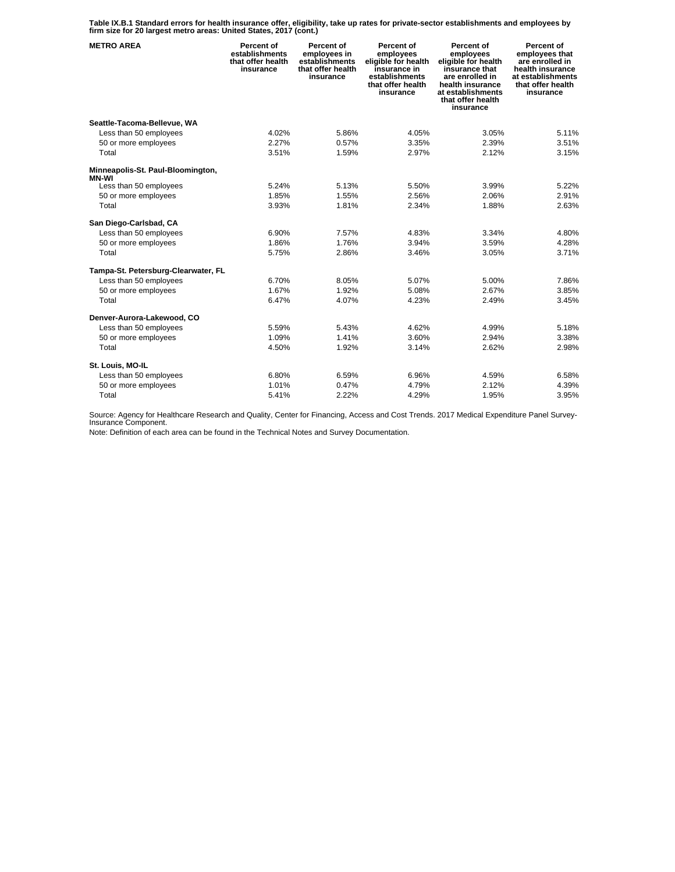**Table IX.B.1 Standard errors for health insurance offer, eligibility, take up rates for private-sector establishments and employees by firm size for 20 largest metro areas: United States, 2017 (cont.)** 

| <b>METRO AREA</b>                                 | Percent of<br>establishments<br>that offer health<br>insurance | Percent of<br>employees in<br>establishments<br>that offer health<br>insurance | Percent of<br>employees<br>eligible for health<br>insurance in<br>establishments<br>that offer health<br>insurance | Percent of<br>employees<br>eligible for health<br>insurance that<br>are enrolled in<br>health insurance<br>at establishments<br>that offer health<br>insurance | Percent of<br>employees that<br>are enrolled in<br>health insurance<br>at establishments<br>that offer health<br>insurance |
|---------------------------------------------------|----------------------------------------------------------------|--------------------------------------------------------------------------------|--------------------------------------------------------------------------------------------------------------------|----------------------------------------------------------------------------------------------------------------------------------------------------------------|----------------------------------------------------------------------------------------------------------------------------|
| Seattle-Tacoma-Bellevue, WA                       |                                                                |                                                                                |                                                                                                                    |                                                                                                                                                                |                                                                                                                            |
| Less than 50 employees                            | 4.02%                                                          | 5.86%                                                                          | 4.05%                                                                                                              | 3.05%                                                                                                                                                          | 5.11%                                                                                                                      |
| 50 or more employees                              | 2.27%                                                          | 0.57%                                                                          | 3.35%                                                                                                              | 2.39%                                                                                                                                                          | 3.51%                                                                                                                      |
| Total                                             | 3.51%                                                          | 1.59%                                                                          | 2.97%                                                                                                              | 2.12%                                                                                                                                                          | 3.15%                                                                                                                      |
| Minneapolis-St. Paul-Bloomington,<br><b>MN-WI</b> |                                                                |                                                                                |                                                                                                                    |                                                                                                                                                                |                                                                                                                            |
| Less than 50 employees                            | 5.24%                                                          | 5.13%                                                                          | 5.50%                                                                                                              | 3.99%                                                                                                                                                          | 5.22%                                                                                                                      |
| 50 or more employees                              | 1.85%                                                          | 1.55%                                                                          | 2.56%                                                                                                              | 2.06%                                                                                                                                                          | 2.91%                                                                                                                      |
| Total                                             | 3.93%                                                          | 1.81%                                                                          | 2.34%                                                                                                              | 1.88%                                                                                                                                                          | 2.63%                                                                                                                      |
| San Diego-Carlsbad, CA                            |                                                                |                                                                                |                                                                                                                    |                                                                                                                                                                |                                                                                                                            |
| Less than 50 employees                            | 6.90%                                                          | 7.57%                                                                          | 4.83%                                                                                                              | 3.34%                                                                                                                                                          | 4.80%                                                                                                                      |
| 50 or more employees                              | 1.86%                                                          | 1.76%                                                                          | 3.94%                                                                                                              | 3.59%                                                                                                                                                          | 4.28%                                                                                                                      |
| Total                                             | 5.75%                                                          | 2.86%                                                                          | 3.46%                                                                                                              | 3.05%                                                                                                                                                          | 3.71%                                                                                                                      |
| Tampa-St. Petersburg-Clearwater, FL               |                                                                |                                                                                |                                                                                                                    |                                                                                                                                                                |                                                                                                                            |
| Less than 50 employees                            | 6.70%                                                          | 8.05%                                                                          | 5.07%                                                                                                              | 5.00%                                                                                                                                                          | 7.86%                                                                                                                      |
| 50 or more employees                              | 1.67%                                                          | 1.92%                                                                          | 5.08%                                                                                                              | 2.67%                                                                                                                                                          | 3.85%                                                                                                                      |
| Total                                             | 6.47%                                                          | 4.07%                                                                          | 4.23%                                                                                                              | 2.49%                                                                                                                                                          | 3.45%                                                                                                                      |
| Denver-Aurora-Lakewood, CO                        |                                                                |                                                                                |                                                                                                                    |                                                                                                                                                                |                                                                                                                            |
| Less than 50 employees                            | 5.59%                                                          | 5.43%                                                                          | 4.62%                                                                                                              | 4.99%                                                                                                                                                          | 5.18%                                                                                                                      |
| 50 or more employees                              | 1.09%                                                          | 1.41%                                                                          | 3.60%                                                                                                              | 2.94%                                                                                                                                                          | 3.38%                                                                                                                      |
| Total                                             | 4.50%                                                          | 1.92%                                                                          | 3.14%                                                                                                              | 2.62%                                                                                                                                                          | 2.98%                                                                                                                      |
| St. Louis, MO-IL                                  |                                                                |                                                                                |                                                                                                                    |                                                                                                                                                                |                                                                                                                            |
| Less than 50 employees                            | 6.80%                                                          | 6.59%                                                                          | 6.96%                                                                                                              | 4.59%                                                                                                                                                          | 6.58%                                                                                                                      |
| 50 or more employees                              | 1.01%                                                          | 0.47%                                                                          | 4.79%                                                                                                              | 2.12%                                                                                                                                                          | 4.39%                                                                                                                      |
| Total                                             | 5.41%                                                          | 2.22%                                                                          | 4.29%                                                                                                              | 1.95%                                                                                                                                                          | 3.95%                                                                                                                      |

Source: Agency for Healthcare Research and Quality, Center for Financing, Access and Cost Trends. 2017 Medical Expenditure Panel Survey-Insurance Component.

Note: Definition of each area can be found in the Technical Notes and Survey Documentation.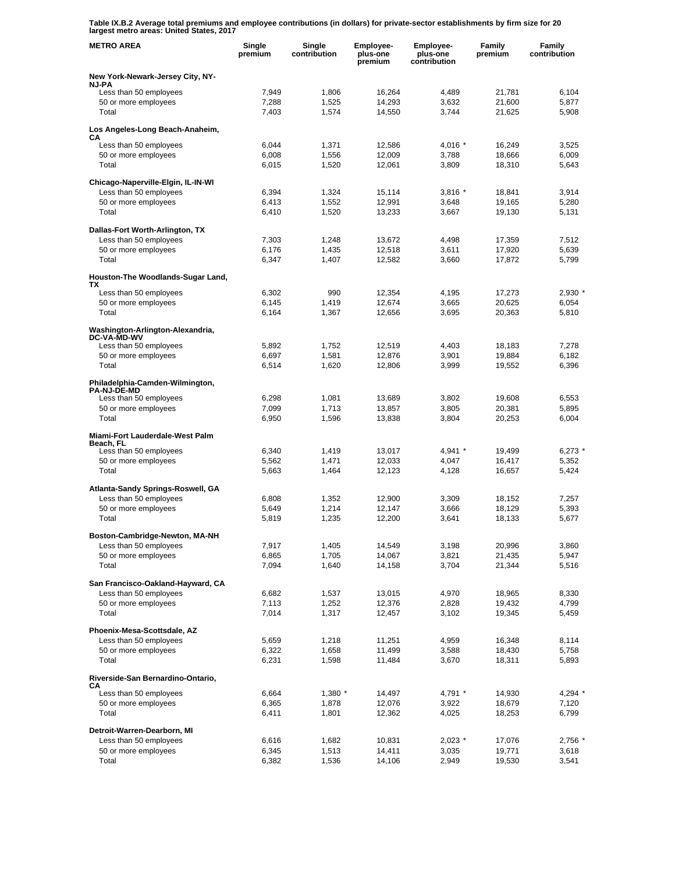**Table IX.B.2 Average total premiums and employee contributions (in dollars) for private-sector establishments by firm size for 20 largest metro areas: United States, 2017** 

| <b>METRO AREA</b>                                            | Single<br>premium | Single<br>contribution | <b>Employee-</b><br>plus-one<br>premium | Employee-<br>plus-one<br>contribution | Family<br>premium | Family<br>contribution |
|--------------------------------------------------------------|-------------------|------------------------|-----------------------------------------|---------------------------------------|-------------------|------------------------|
| New York-Newark-Jersey City, NY-                             |                   |                        |                                         |                                       |                   |                        |
| NJ-PA<br>Less than 50 employees                              | 7,949             | 1,806                  | 16,264                                  | 4,489                                 | 21,781            | 6,104                  |
| 50 or more employees                                         | 7,288             | 1,525                  | 14,293                                  | 3,632                                 | 21.600            | 5.877                  |
| Total                                                        | 7.403             | 1,574                  | 14,550                                  | 3,744                                 | 21,625            | 5,908                  |
| Los Angeles-Long Beach-Anaheim,<br>СA                        |                   |                        |                                         |                                       |                   |                        |
| Less than 50 employees                                       | 6,044             | 1,371                  | 12,586                                  | 4,016 $*$                             | 16,249            | 3,525                  |
| 50 or more employees<br>Total                                | 6,008<br>6,015    | 1,556<br>1,520         | 12,009<br>12,061                        | 3,788<br>3,809                        | 18.666<br>18,310  | 6,009<br>5,643         |
|                                                              |                   |                        |                                         |                                       |                   |                        |
| Chicago-Naperville-Elgin, IL-IN-WI<br>Less than 50 employees |                   |                        |                                         | $3,816*$                              |                   | 3,914                  |
| 50 or more employees                                         | 6,394<br>6,413    | 1,324<br>1,552         | 15,114<br>12,991                        | 3,648                                 | 18,841<br>19,165  | 5,280                  |
| Total                                                        | 6,410             | 1,520                  | 13,233                                  | 3,667                                 | 19,130            | 5,131                  |
| Dallas-Fort Worth-Arlington, TX                              |                   |                        |                                         |                                       |                   |                        |
| Less than 50 employees                                       | 7,303             | 1,248                  | 13,672                                  | 4,498                                 | 17,359            | 7,512                  |
| 50 or more employees                                         | 6,176             | 1,435                  | 12,518                                  | 3,611                                 | 17,920            | 5,639                  |
| Total                                                        | 6,347             | 1,407                  | 12,582                                  | 3,660                                 | 17,872            | 5,799                  |
| Houston-The Woodlands-Sugar Land,<br>ΤХ                      |                   |                        |                                         |                                       |                   |                        |
| Less than 50 employees                                       | 6,302             | 990                    | 12,354                                  | 4,195                                 | 17,273            | 2,930                  |
| 50 or more employees                                         | 6,145             | 1,419                  | 12,674                                  | 3,665                                 | 20.625            | 6,054                  |
| Total                                                        | 6,164             | 1,367                  | 12,656                                  | 3,695                                 | 20,363            | 5,810                  |
| Washington-Arlington-Alexandria,<br><b>DC-VA-MD-WV</b>       |                   |                        |                                         |                                       |                   |                        |
| Less than 50 employees                                       | 5,892             | 1,752                  | 12,519                                  | 4,403                                 | 18,183            | 7,278                  |
| 50 or more employees<br>Total                                | 6,697             | 1,581                  | 12,876                                  | 3,901                                 | 19,884            | 6,182                  |
|                                                              | 6,514             | 1,620                  | 12,806                                  | 3,999                                 | 19,552            | 6,396                  |
| Philadelphia-Camden-Wilmington,<br><b>PA-NJ-DE-MD</b>        |                   |                        |                                         |                                       |                   |                        |
| Less than 50 employees                                       | 6,298             | 1,081                  | 13,689                                  | 3,802                                 | 19,608            | 6,553                  |
| 50 or more employees<br>Total                                | 7,099<br>6,950    | 1,713                  | 13,857                                  | 3,805                                 | 20,381<br>20,253  | 5,895<br>6,004         |
|                                                              |                   | 1,596                  | 13,838                                  | 3,804                                 |                   |                        |
| Miami-Fort Lauderdale-West Palm<br>Beach, FL                 |                   |                        |                                         |                                       |                   |                        |
| Less than 50 employees                                       | 6,340             | 1,419                  | 13,017                                  | $4,941$ *                             | 19,499            | 6,273                  |
| 50 or more employees<br>Total                                | 5,562<br>5,663    | 1,471<br>1,464         | 12,033<br>12,123                        | 4,047<br>4,128                        | 16,417<br>16,657  | 5,352<br>5,424         |
|                                                              |                   |                        |                                         |                                       |                   |                        |
| Atlanta-Sandy Springs-Roswell, GA                            | 6,808             |                        |                                         |                                       |                   | 7,257                  |
| Less than 50 employees<br>50 or more employees               | 5,649             | 1,352<br>1,214         | 12,900<br>12,147                        | 3,309<br>3,666                        | 18,152<br>18,129  | 5,393                  |
| Total                                                        | 5,819             | 1,235                  | 12,200                                  | 3,641                                 | 18,133            | 5,677                  |
| Boston-Cambridge-Newton, MA-NH                               |                   |                        |                                         |                                       |                   |                        |
| Less than 50 employees                                       | 7,917             | 1,405                  | 14,549                                  | 3,198                                 | 20,996            | 3,860                  |
| 50 or more employees                                         | 6,865             | 1,705                  | 14,067                                  | 3,821                                 | 21,435            | 5,947                  |
| Total                                                        | 7,094             | 1,640                  | 14,158                                  | 3,704                                 | 21,344            | 5,516                  |
| San Francisco-Oakland-Hayward, CA                            |                   |                        |                                         |                                       |                   |                        |
| Less than 50 employees<br>50 or more employees               | 6,682<br>7,113    | 1,537<br>1,252         | 13,015<br>12,376                        | 4,970<br>2,828                        | 18,965<br>19,432  | 8,330<br>4,799         |
| Total                                                        | 7,014             | 1,317                  | 12,457                                  | 3,102                                 | 19,345            | 5,459                  |
| Phoenix-Mesa-Scottsdale, AZ                                  |                   |                        |                                         |                                       |                   |                        |
| Less than 50 employees                                       | 5,659             | 1,218                  | 11,251                                  | 4,959                                 | 16,348            | 8,114                  |
| 50 or more employees                                         | 6,322             | 1,658                  | 11,499                                  | 3,588                                 | 18,430            | 5,758                  |
| Total                                                        | 6,231             | 1,598                  | 11,484                                  | 3,670                                 | 18,311            | 5,893                  |
| Riverside-San Bernardino-Ontario,                            |                   |                        |                                         |                                       |                   |                        |
| CА<br>Less than 50 employees                                 | 6,664             | $1,380$ *              | 14,497                                  | 4,791 *                               | 14,930            | 4,294 *                |
| 50 or more employees                                         | 6,365             | 1,878                  | 12,076                                  | 3,922                                 | 18,679            | 7,120                  |
| Total                                                        | 6,411             | 1,801                  | 12,362                                  | 4,025                                 | 18,253            | 6,799                  |
| Detroit-Warren-Dearborn, MI                                  |                   |                        |                                         |                                       |                   |                        |
| Less than 50 employees<br>50 or more employees               | 6,616<br>6,345    | 1,682<br>1,513         | 10,831<br>14,411                        | $2,023$ *<br>3,035                    | 17,076<br>19,771  | 2,756 *<br>3,618       |
| Total                                                        | 6,382             | 1,536                  | 14,106                                  | 2,949                                 | 19,530            | 3,541                  |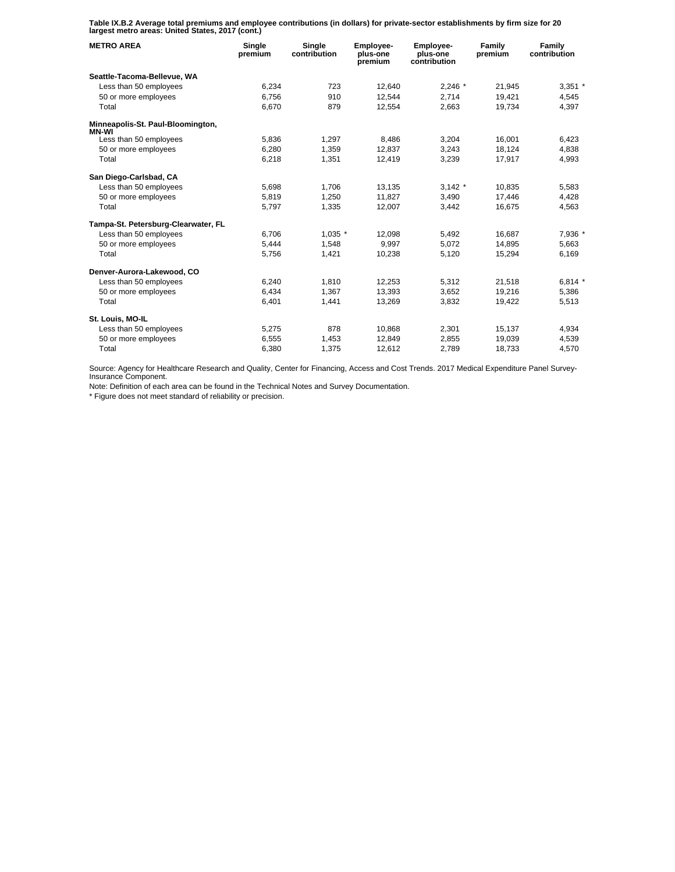**Table IX.B.2 Average total premiums and employee contributions (in dollars) for private-sector establishments by firm size for 20 largest metro areas: United States, 2017 (cont.)** 

| <b>METRO AREA</b>                          | Single<br>premium | Single<br>contribution | <b>Employee-</b><br>plus-one<br>premium | <b>Employee-</b><br>plus-one<br>contribution | Family<br>premium | Family<br>contribution |
|--------------------------------------------|-------------------|------------------------|-----------------------------------------|----------------------------------------------|-------------------|------------------------|
| Seattle-Tacoma-Bellevue, WA                |                   |                        |                                         |                                              |                   |                        |
| Less than 50 employees                     | 6,234             | 723                    | 12.640                                  | $2,246$ *                                    | 21.945            | $3,351$ *              |
| 50 or more employees                       | 6,756             | 910                    | 12.544                                  | 2,714                                        | 19,421            | 4,545                  |
| Total                                      | 6,670             | 879                    | 12.554                                  | 2.663                                        | 19.734            | 4.397                  |
| Minneapolis-St. Paul-Bloomington,<br>MN-WI |                   |                        |                                         |                                              |                   |                        |
| Less than 50 employees                     | 5,836             | 1,297                  | 8,486                                   | 3,204                                        | 16.001            | 6,423                  |
| 50 or more employees                       | 6,280             | 1,359                  | 12,837                                  | 3,243                                        | 18,124            | 4,838                  |
| Total                                      | 6,218             | 1.351                  | 12,419                                  | 3,239                                        | 17,917            | 4,993                  |
| San Diego-Carlsbad, CA                     |                   |                        |                                         |                                              |                   |                        |
| Less than 50 employees                     | 5,698             | 1,706                  | 13,135                                  | $3,142$ *                                    | 10,835            | 5,583                  |
| 50 or more employees                       | 5,819             | 1,250                  | 11,827                                  | 3,490                                        | 17,446            | 4,428                  |
| Total                                      | 5,797             | 1,335                  | 12,007                                  | 3,442                                        | 16,675            | 4,563                  |
| Tampa-St. Petersburg-Clearwater, FL        |                   |                        |                                         |                                              |                   |                        |
| Less than 50 employees                     | 6,706             | $1,035$ *              | 12,098                                  | 5,492                                        | 16,687            | 7,936 *                |
| 50 or more employees                       | 5,444             | 1.548                  | 9.997                                   | 5.072                                        | 14.895            | 5,663                  |
| Total                                      | 5,756             | 1,421                  | 10,238                                  | 5,120                                        | 15,294            | 6,169                  |
| Denver-Aurora-Lakewood, CO                 |                   |                        |                                         |                                              |                   |                        |
| Less than 50 employees                     | 6,240             | 1,810                  | 12,253                                  | 5,312                                        | 21,518            | $6,814*$               |
| 50 or more employees                       | 6,434             | 1.367                  | 13.393                                  | 3.652                                        | 19.216            | 5,386                  |
| Total                                      | 6,401             | 1,441                  | 13,269                                  | 3,832                                        | 19,422            | 5,513                  |
| St. Louis, MO-IL                           |                   |                        |                                         |                                              |                   |                        |
| Less than 50 employees                     | 5,275             | 878                    | 10,868                                  | 2,301                                        | 15,137            | 4,934                  |
| 50 or more employees                       | 6,555             | 1,453                  | 12,849                                  | 2,855                                        | 19,039            | 4,539                  |
| Total                                      | 6,380             | 1,375                  | 12,612                                  | 2,789                                        | 18,733            | 4,570                  |

Source: Agency for Healthcare Research and Quality, Center for Financing, Access and Cost Trends. 2017 Medical Expenditure Panel Survey-Insurance Component.

Note: Definition of each area can be found in the Technical Notes and Survey Documentation.

\* Figure does not meet standard of reliability or precision.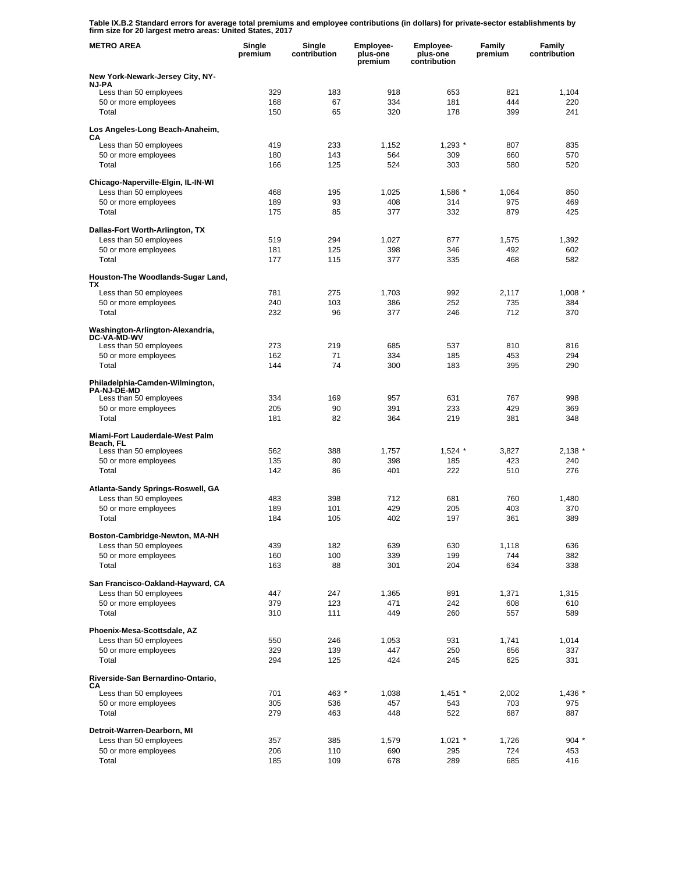**Table IX.B.2 Standard errors for average total premiums and employee contributions (in dollars) for private-sector establishments by firm size for 20 largest metro areas: United States, 2017** 

| <b>METRO AREA</b>                                            | Single<br>premium | Single<br>contribution | Employee-<br>plus-one<br>premium | Employee-<br>plus-one<br>contribution | Family<br>premium | Family<br>contribution |
|--------------------------------------------------------------|-------------------|------------------------|----------------------------------|---------------------------------------|-------------------|------------------------|
| New York-Newark-Jersey City, NY-                             |                   |                        |                                  |                                       |                   |                        |
| <b>NJ-PA</b><br>Less than 50 employees                       | 329               | 183                    | 918                              | 653                                   | 821               | 1,104                  |
| 50 or more employees                                         | 168               | 67                     | 334                              | 181                                   | 444               | 220                    |
| Total                                                        | 150               | 65                     | 320                              | 178                                   | 399               | 241                    |
| Los Angeles-Long Beach-Anaheim,<br>CА                        |                   |                        |                                  |                                       |                   |                        |
| Less than 50 employees                                       | 419               | 233                    | 1,152                            | $1,293$ $*$                           | 807               | 835                    |
| 50 or more employees<br>Total                                | 180<br>166        | 143<br>125             | 564<br>524                       | 309<br>303                            | 660<br>580        | 570<br>520             |
|                                                              |                   |                        |                                  |                                       |                   |                        |
| Chicago-Naperville-Elgin, IL-IN-WI<br>Less than 50 employees | 468               | 195                    | 1,025                            | 1,586 *                               | 1,064             | 850                    |
| 50 or more employees                                         | 189               | 93                     | 408                              | 314                                   | 975               | 469                    |
| Total                                                        | 175               | 85                     | 377                              | 332                                   | 879               | 425                    |
| Dallas-Fort Worth-Arlington, TX                              |                   |                        |                                  |                                       |                   |                        |
| Less than 50 employees                                       | 519               | 294                    | 1,027                            | 877                                   | 1,575             | 1,392                  |
| 50 or more employees<br>Total                                | 181<br>177        | 125<br>115             | 398<br>377                       | 346<br>335                            | 492<br>468        | 602<br>582             |
|                                                              |                   |                        |                                  |                                       |                   |                        |
| Houston-The Woodlands-Sugar Land,<br>TХ                      |                   |                        |                                  |                                       |                   |                        |
| Less than 50 employees                                       | 781               | 275                    | 1,703                            | 992                                   | 2,117             | 1,008                  |
| 50 or more employees<br>Total                                | 240<br>232        | 103<br>96              | 386<br>377                       | 252<br>246                            | 735<br>712        | 384<br>370             |
|                                                              |                   |                        |                                  |                                       |                   |                        |
| Washington-Arlington-Alexandria,<br><b>DC-VA-MD-WV</b>       |                   |                        |                                  |                                       |                   |                        |
| Less than 50 employees<br>50 or more employees               | 273<br>162        | 219<br>71              | 685<br>334                       | 537<br>185                            | 810<br>453        | 816<br>294             |
| Total                                                        | 144               | 74                     | 300                              | 183                                   | 395               | 290                    |
| Philadelphia-Camden-Wilmington,                              |                   |                        |                                  |                                       |                   |                        |
| <b>PA-NJ-DE-MD</b>                                           |                   |                        |                                  |                                       | 767               |                        |
| Less than 50 employees<br>50 or more employees               | 334<br>205        | 169<br>90              | 957<br>391                       | 631<br>233                            | 429               | 998<br>369             |
| Total                                                        | 181               | 82                     | 364                              | 219                                   | 381               | 348                    |
| Miami-Fort Lauderdale-West Palm                              |                   |                        |                                  |                                       |                   |                        |
| Beach, FL<br>Less than 50 employees                          | 562               | 388                    | 1,757                            | $1,524$ *                             | 3,827             | 2,138'                 |
| 50 or more employees                                         | 135               | 80                     | 398                              | 185                                   | 423               | 240                    |
| Total                                                        | 142               | 86                     | 401                              | 222                                   | 510               | 276                    |
| Atlanta-Sandy Springs-Roswell, GA                            |                   |                        |                                  |                                       |                   |                        |
| Less than 50 employees                                       | 483               | 398                    | 712                              | 681                                   | 760               | 1,480                  |
| 50 or more employees<br>Total                                | 189<br>184        | 101<br>105             | 429<br>402                       | 205<br>197                            | 403<br>361        | 370<br>389             |
|                                                              |                   |                        |                                  |                                       |                   |                        |
| Boston-Cambridge-Newton, MA-NH<br>Less than 50 employees     | 439               | 182                    | 639                              | 630                                   | 1,118             | 636                    |
| 50 or more employees                                         | 160               | 100                    | 339                              | 199                                   | 744               | 382                    |
| Total                                                        | 163               | 88                     | 301                              | 204                                   | 634               | 338                    |
| San Francisco-Oakland-Hayward, CA                            |                   |                        |                                  |                                       |                   |                        |
| Less than 50 employees                                       | 447               | 247                    | 1,365                            | 891                                   | 1,371             | 1,315                  |
| 50 or more employees<br>Total                                | 379<br>310        | 123<br>111             | 471<br>449                       | 242<br>260                            | 608<br>557        | 610<br>589             |
|                                                              |                   |                        |                                  |                                       |                   |                        |
| Phoenix-Mesa-Scottsdale, AZ<br>Less than 50 employees        | 550               | 246                    | 1,053                            | 931                                   | 1,741             | 1,014                  |
| 50 or more employees                                         | 329               | 139                    | 447                              | 250                                   | 656               | 337                    |
| Total                                                        | 294               | 125                    | 424                              | 245                                   | 625               | 331                    |
| Riverside-San Bernardino-Ontario,                            |                   |                        |                                  |                                       |                   |                        |
| CА<br>Less than 50 employees                                 | 701               | 463 *                  | 1,038                            | $1,451$ *                             | 2,002             | $1,436$ $*$            |
| 50 or more employees                                         | 305               | 536                    | 457                              | 543                                   | 703               | 975                    |
| Total                                                        | 279               | 463                    | 448                              | 522                                   | 687               | 887                    |
| Detroit-Warren-Dearborn, MI                                  |                   |                        |                                  |                                       |                   |                        |
| Less than 50 employees<br>50 or more employees               | 357<br>206        | 385<br>110             | 1,579<br>690                     | $1,021$ *<br>295                      | 1,726<br>724      | $904$ $*$<br>453       |
| Total                                                        | 185               | 109                    | 678                              | 289                                   | 685               | 416                    |